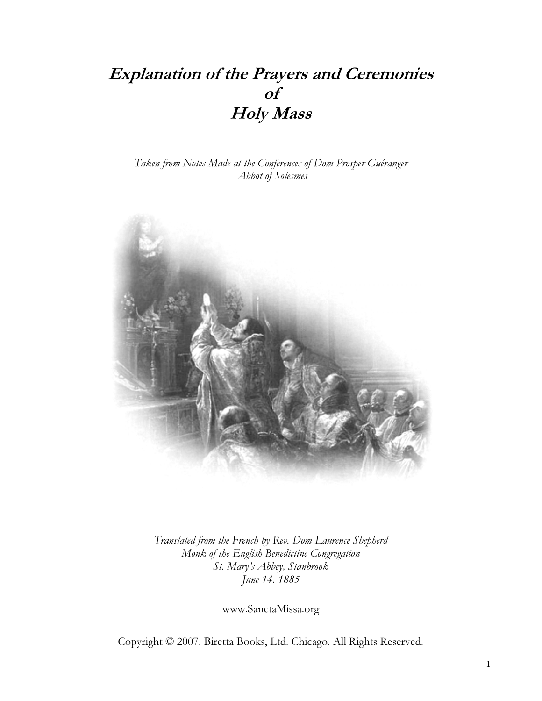# Explanation of the Prayers and Ceremonies of Holy Mass

Taken from Notes Made at the Conferences of Dom Prosper Guéranger Abbot of Solesmes



Translated from the French by Rev. Dom Laurence Shepherd Monk of the English Benedictine Congregation St. Mary's Abbey, Stanbrook June 14. 1885

www.SanctaMissa.org

Copyright © 2007. Biretta Books, Ltd. Chicago. All Rights Reserved.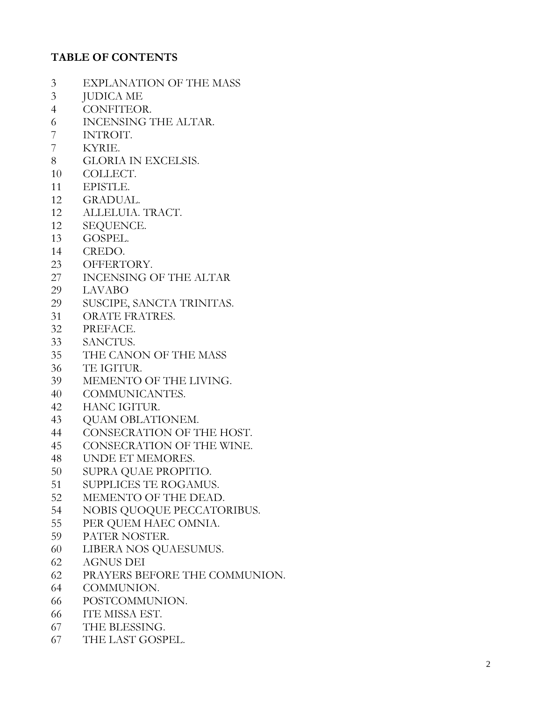## TABLE OF CONTENTS

- 3 EXPLANATION OF THE MASS
- 3 JUDICA ME
- 4 CONFITEOR.
- 6 INCENSING THE ALTAR.
- 7 INTROIT.<br>7 KYRIE.
- KYRIE.
- 8 GLORIA IN EXCELSIS.
- 10 COLLECT.
- 11 EPISTLE.
- 12 GRADUAL.
- 12 ALLELUIA. TRACT.
- 12 SEQUENCE.
- 13 GOSPEL.
- 14 CREDO.
- 23 OFFERTORY.
- 27 INCENSING OF THE ALTAR
- 29 LAVABO
- 29 SUSCIPE, SANCTA TRINITAS.
- 31 ORATE FRATRES.
- 32 PREFACE.
- 33 SANCTUS.
- 35 THE CANON OF THE MASS
- 36 TE IGITUR.
- 39 MEMENTO OF THE LIVING.
- 40 COMMUNICANTES.
- 42 HANC IGITUR.
- 43 OUAM OBLATIONEM.
- 44 CONSECRATION OF THE HOST.
- 45 CONSECRATION OF THE WINE.
- 48 UNDE ET MEMORES.
- 50 SUPRA QUAE PROPITIO.
- 51 SUPPLICES TE ROGAMUS.
- 52 MEMENTO OF THE DEAD.
- 54 NOBIS QUOQUE PECCATORIBUS.
- 55 PER QUEM HAEC OMNIA.
- 59 PATER NOSTER.
- 60 LIBERA NOS QUAESUMUS.
- 62 AGNUS DEI
- 62 PRAYERS BEFORE THE COMMUNION.
- 64 COMMUNION.
- 66 POSTCOMMUNION.
- 66 ITE MISSA EST.
- 67 THE BLESSING.
- 67 THE LAST GOSPEL.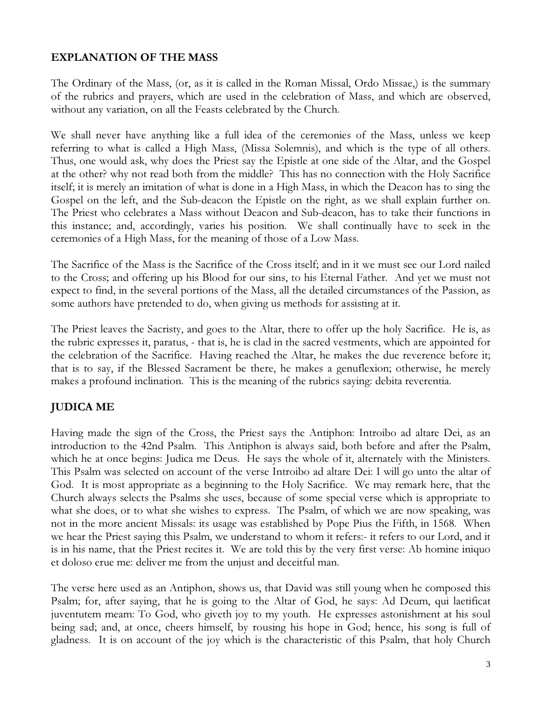## EXPLANATION OF THE MASS

The Ordinary of the Mass, (or, as it is called in the Roman Missal, Ordo Missae,) is the summary of the rubrics and prayers, which are used in the celebration of Mass, and which are observed, without any variation, on all the Feasts celebrated by the Church.

We shall never have anything like a full idea of the ceremonies of the Mass, unless we keep referring to what is called a High Mass, (Missa Solemnis), and which is the type of all others. Thus, one would ask, why does the Priest say the Epistle at one side of the Altar, and the Gospel at the other? why not read both from the middle? This has no connection with the Holy Sacrifice itself; it is merely an imitation of what is done in a High Mass, in which the Deacon has to sing the Gospel on the left, and the Sub-deacon the Epistle on the right, as we shall explain further on. The Priest who celebrates a Mass without Deacon and Sub-deacon, has to take their functions in this instance; and, accordingly, varies his position. We shall continually have to seek in the ceremonies of a High Mass, for the meaning of those of a Low Mass.

The Sacrifice of the Mass is the Sacrifice of the Cross itself; and in it we must see our Lord nailed to the Cross; and offering up his Blood for our sins, to his Eternal Father. And yet we must not expect to find, in the several portions of the Mass, all the detailed circumstances of the Passion, as some authors have pretended to do, when giving us methods for assisting at it.

The Priest leaves the Sacristy, and goes to the Altar, there to offer up the holy Sacrifice. He is, as the rubric expresses it, paratus, - that is, he is clad in the sacred vestments, which are appointed for the celebration of the Sacrifice. Having reached the Altar, he makes the due reverence before it; that is to say, if the Blessed Sacrament be there, he makes a genuflexion; otherwise, he merely makes a profound inclination. This is the meaning of the rubrics saying: debita reverentia.

# JUDICA ME

Having made the sign of the Cross, the Priest says the Antiphon: Introibo ad altare Dei, as an introduction to the 42nd Psalm. This Antiphon is always said, both before and after the Psalm, which he at once begins: Judica me Deus. He says the whole of it, alternately with the Ministers. This Psalm was selected on account of the verse Introibo ad altare Dei: I will go unto the altar of God. It is most appropriate as a beginning to the Holy Sacrifice. We may remark here, that the Church always selects the Psalms she uses, because of some special verse which is appropriate to what she does, or to what she wishes to express. The Psalm, of which we are now speaking, was not in the more ancient Missals: its usage was established by Pope Pius the Fifth, in 1568. When we hear the Priest saying this Psalm, we understand to whom it refers:- it refers to our Lord, and it is in his name, that the Priest recites it. We are told this by the very first verse: Ab homine iniquo et doloso erue me: deliver me from the unjust and deceitful man.

The verse here used as an Antiphon, shows us, that David was still young when he composed this Psalm; for, after saying, that he is going to the Altar of God, he says: Ad Deum, qui laetificat juventutem meam: To God, who giveth joy to my youth. He expresses astonishment at his soul being sad; and, at once, cheers himself, by rousing his hope in God; hence, his song is full of gladness. It is on account of the joy which is the characteristic of this Psalm, that holy Church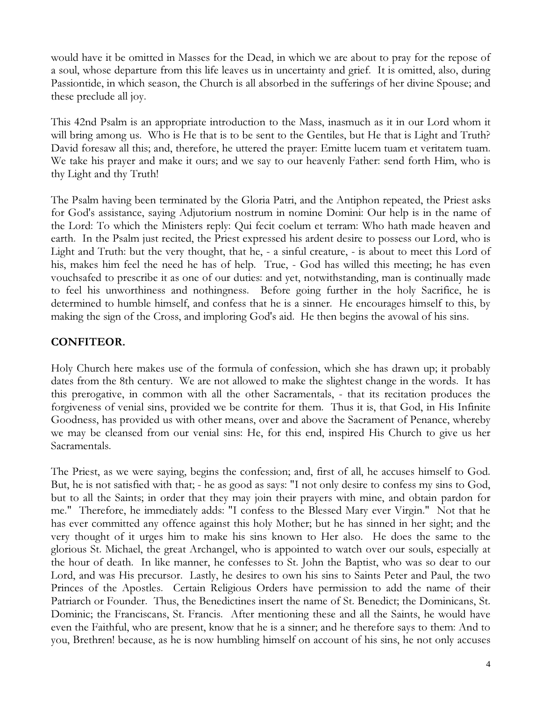would have it be omitted in Masses for the Dead, in which we are about to pray for the repose of a soul, whose departure from this life leaves us in uncertainty and grief. It is omitted, also, during Passiontide, in which season, the Church is all absorbed in the sufferings of her divine Spouse; and these preclude all joy.

This 42nd Psalm is an appropriate introduction to the Mass, inasmuch as it in our Lord whom it will bring among us. Who is He that is to be sent to the Gentiles, but He that is Light and Truth? David foresaw all this; and, therefore, he uttered the prayer: Emitte lucem tuam et veritatem tuam. We take his prayer and make it ours; and we say to our heavenly Father: send forth Him, who is thy Light and thy Truth!

The Psalm having been terminated by the Gloria Patri, and the Antiphon repeated, the Priest asks for God's assistance, saying Adjutorium nostrum in nomine Domini: Our help is in the name of the Lord: To which the Ministers reply: Qui fecit coelum et terram: Who hath made heaven and earth. In the Psalm just recited, the Priest expressed his ardent desire to possess our Lord, who is Light and Truth: but the very thought, that he, - a sinful creature, - is about to meet this Lord of his, makes him feel the need he has of help. True, - God has willed this meeting; he has even vouchsafed to prescribe it as one of our duties: and yet, notwithstanding, man is continually made to feel his unworthiness and nothingness. Before going further in the holy Sacrifice, he is determined to humble himself, and confess that he is a sinner. He encourages himself to this, by making the sign of the Cross, and imploring God's aid. He then begins the avowal of his sins.

## CONFITEOR.

Holy Church here makes use of the formula of confession, which she has drawn up; it probably dates from the 8th century. We are not allowed to make the slightest change in the words. It has this prerogative, in common with all the other Sacramentals, - that its recitation produces the forgiveness of venial sins, provided we be contrite for them. Thus it is, that God, in His Infinite Goodness, has provided us with other means, over and above the Sacrament of Penance, whereby we may be cleansed from our venial sins: He, for this end, inspired His Church to give us her Sacramentals.

The Priest, as we were saying, begins the confession; and, first of all, he accuses himself to God. But, he is not satisfied with that; - he as good as says: "I not only desire to confess my sins to God, but to all the Saints; in order that they may join their prayers with mine, and obtain pardon for me." Therefore, he immediately adds: "I confess to the Blessed Mary ever Virgin." Not that he has ever committed any offence against this holy Mother; but he has sinned in her sight; and the very thought of it urges him to make his sins known to Her also. He does the same to the glorious St. Michael, the great Archangel, who is appointed to watch over our souls, especially at the hour of death. In like manner, he confesses to St. John the Baptist, who was so dear to our Lord, and was His precursor. Lastly, he desires to own his sins to Saints Peter and Paul, the two Princes of the Apostles. Certain Religious Orders have permission to add the name of their Patriarch or Founder. Thus, the Benedictines insert the name of St. Benedict; the Dominicans, St. Dominic; the Franciscans, St. Francis. After mentioning these and all the Saints, he would have even the Faithful, who are present, know that he is a sinner; and he therefore says to them: And to you, Brethren! because, as he is now humbling himself on account of his sins, he not only accuses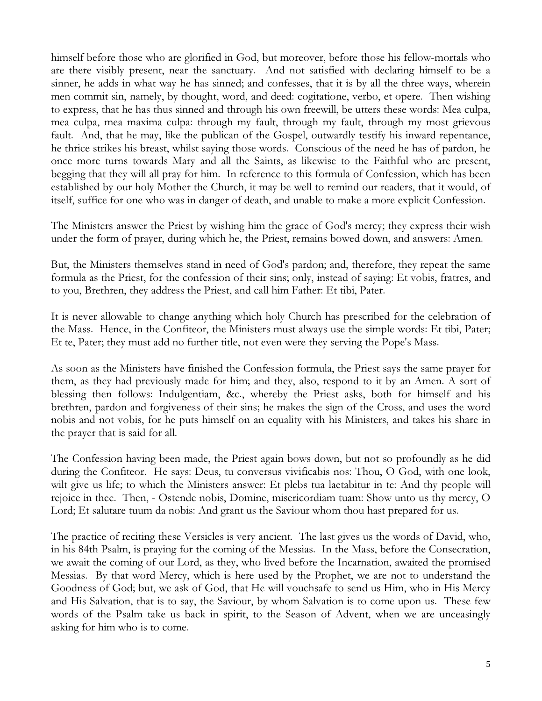himself before those who are glorified in God, but moreover, before those his fellow-mortals who are there visibly present, near the sanctuary. And not satisfied with declaring himself to be a sinner, he adds in what way he has sinned; and confesses, that it is by all the three ways, wherein men commit sin, namely, by thought, word, and deed: cogitatione, verbo, et opere. Then wishing to express, that he has thus sinned and through his own freewill, be utters these words: Mea culpa, mea culpa, mea maxima culpa: through my fault, through my fault, through my most grievous fault. And, that he may, like the publican of the Gospel, outwardly testify his inward repentance, he thrice strikes his breast, whilst saying those words. Conscious of the need he has of pardon, he once more turns towards Mary and all the Saints, as likewise to the Faithful who are present, begging that they will all pray for him. In reference to this formula of Confession, which has been established by our holy Mother the Church, it may be well to remind our readers, that it would, of itself, suffice for one who was in danger of death, and unable to make a more explicit Confession.

The Ministers answer the Priest by wishing him the grace of God's mercy; they express their wish under the form of prayer, during which he, the Priest, remains bowed down, and answers: Amen.

But, the Ministers themselves stand in need of God's pardon; and, therefore, they repeat the same formula as the Priest, for the confession of their sins; only, instead of saying: Et vobis, fratres, and to you, Brethren, they address the Priest, and call him Father: Et tibi, Pater.

It is never allowable to change anything which holy Church has prescribed for the celebration of the Mass. Hence, in the Confiteor, the Ministers must always use the simple words: Et tibi, Pater; Et te, Pater; they must add no further title, not even were they serving the Pope's Mass.

As soon as the Ministers have finished the Confession formula, the Priest says the same prayer for them, as they had previously made for him; and they, also, respond to it by an Amen. A sort of blessing then follows: Indulgentiam, &c., whereby the Priest asks, both for himself and his brethren, pardon and forgiveness of their sins; he makes the sign of the Cross, and uses the word nobis and not vobis, for he puts himself on an equality with his Ministers, and takes his share in the prayer that is said for all.

The Confession having been made, the Priest again bows down, but not so profoundly as he did during the Confiteor. He says: Deus, tu conversus vivificabis nos: Thou, O God, with one look, wilt give us life; to which the Ministers answer: Et plebs tua laetabitur in te: And thy people will rejoice in thee. Then, - Ostende nobis, Domine, misericordiam tuam: Show unto us thy mercy, O Lord; Et salutare tuum da nobis: And grant us the Saviour whom thou hast prepared for us.

The practice of reciting these Versicles is very ancient. The last gives us the words of David, who, in his 84th Psalm, is praying for the coming of the Messias. In the Mass, before the Consecration, we await the coming of our Lord, as they, who lived before the Incarnation, awaited the promised Messias. By that word Mercy, which is here used by the Prophet, we are not to understand the Goodness of God; but, we ask of God, that He will vouchsafe to send us Him, who in His Mercy and His Salvation, that is to say, the Saviour, by whom Salvation is to come upon us. These few words of the Psalm take us back in spirit, to the Season of Advent, when we are unceasingly asking for him who is to come.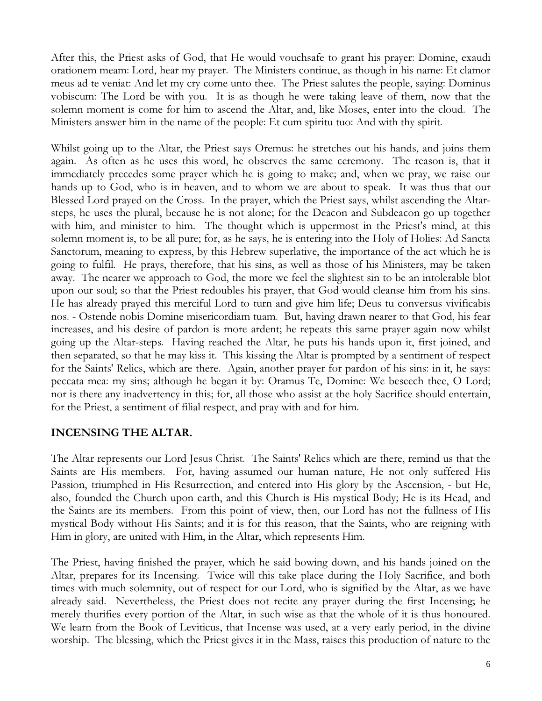After this, the Priest asks of God, that He would vouchsafe to grant his prayer: Domine, exaudi orationem meam: Lord, hear my prayer. The Ministers continue, as though in his name: Et clamor meus ad te veniat: And let my cry come unto thee. The Priest salutes the people, saying: Dominus vobiscum: The Lord be with you. It is as though he were taking leave of them, now that the solemn moment is come for him to ascend the Altar, and, like Moses, enter into the cloud. The Ministers answer him in the name of the people: Et cum spiritu tuo: And with thy spirit.

Whilst going up to the Altar, the Priest says Oremus: he stretches out his hands, and joins them again. As often as he uses this word, he observes the same ceremony. The reason is, that it immediately precedes some prayer which he is going to make; and, when we pray, we raise our hands up to God, who is in heaven, and to whom we are about to speak. It was thus that our Blessed Lord prayed on the Cross. In the prayer, which the Priest says, whilst ascending the Altarsteps, he uses the plural, because he is not alone; for the Deacon and Subdeacon go up together with him, and minister to him. The thought which is uppermost in the Priest's mind, at this solemn moment is, to be all pure; for, as he says, he is entering into the Holy of Holies: Ad Sancta Sanctorum, meaning to express, by this Hebrew superlative, the importance of the act which he is going to fulfil. He prays, therefore, that his sins, as well as those of his Ministers, may be taken away. The nearer we approach to God, the more we feel the slightest sin to be an intolerable blot upon our soul; so that the Priest redoubles his prayer, that God would cleanse him from his sins. He has already prayed this merciful Lord to turn and give him life; Deus tu conversus vivificabis nos. - Ostende nobis Domine misericordiam tuam. But, having drawn nearer to that God, his fear increases, and his desire of pardon is more ardent; he repeats this same prayer again now whilst going up the Altar-steps. Having reached the Altar, he puts his hands upon it, first joined, and then separated, so that he may kiss it. This kissing the Altar is prompted by a sentiment of respect for the Saints' Relics, which are there. Again, another prayer for pardon of his sins: in it, he says: peccata mea: my sins; although he began it by: Oramus Te, Domine: We beseech thee, O Lord; nor is there any inadvertency in this; for, all those who assist at the holy Sacrifice should entertain, for the Priest, a sentiment of filial respect, and pray with and for him.

#### INCENSING THE ALTAR.

The Altar represents our Lord Jesus Christ. The Saints' Relics which are there, remind us that the Saints are His members. For, having assumed our human nature, He not only suffered His Passion, triumphed in His Resurrection, and entered into His glory by the Ascension, - but He, also, founded the Church upon earth, and this Church is His mystical Body; He is its Head, and the Saints are its members. From this point of view, then, our Lord has not the fullness of His mystical Body without His Saints; and it is for this reason, that the Saints, who are reigning with Him in glory, are united with Him, in the Altar, which represents Him.

The Priest, having finished the prayer, which he said bowing down, and his hands joined on the Altar, prepares for its Incensing. Twice will this take place during the Holy Sacrifice, and both times with much solemnity, out of respect for our Lord, who is signified by the Altar, as we have already said. Nevertheless, the Priest does not recite any prayer during the first Incensing; he merely thurifies every portion of the Altar, in such wise as that the whole of it is thus honoured. We learn from the Book of Leviticus, that Incense was used, at a very early period, in the divine worship. The blessing, which the Priest gives it in the Mass, raises this production of nature to the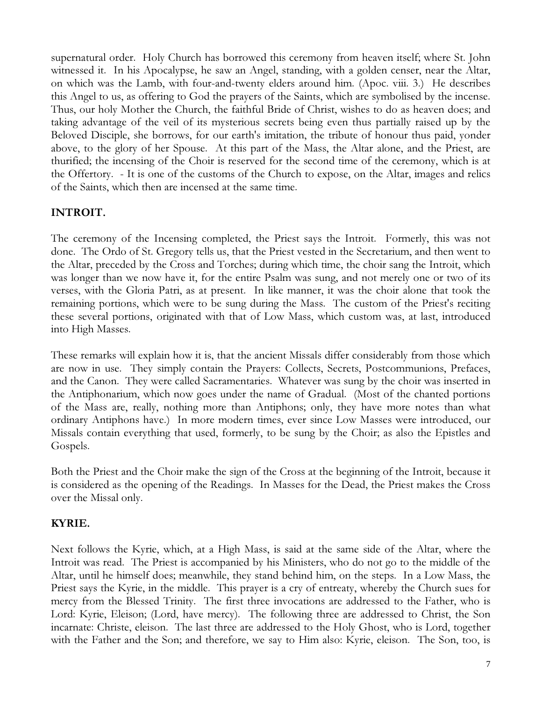supernatural order. Holy Church has borrowed this ceremony from heaven itself; where St. John witnessed it. In his Apocalypse, he saw an Angel, standing, with a golden censer, near the Altar, on which was the Lamb, with four-and-twenty elders around him. (Apoc. viii. 3.) He describes this Angel to us, as offering to God the prayers of the Saints, which are symbolised by the incense. Thus, our holy Mother the Church, the faithful Bride of Christ, wishes to do as heaven does; and taking advantage of the veil of its mysterious secrets being even thus partially raised up by the Beloved Disciple, she borrows, for our earth's imitation, the tribute of honour thus paid, yonder above, to the glory of her Spouse. At this part of the Mass, the Altar alone, and the Priest, are thurified; the incensing of the Choir is reserved for the second time of the ceremony, which is at the Offertory. - It is one of the customs of the Church to expose, on the Altar, images and relics of the Saints, which then are incensed at the same time.

## INTROIT.

The ceremony of the Incensing completed, the Priest says the Introit. Formerly, this was not done. The Ordo of St. Gregory tells us, that the Priest vested in the Secretarium, and then went to the Altar, preceded by the Cross and Torches; during which time, the choir sang the Introit, which was longer than we now have it, for the entire Psalm was sung, and not merely one or two of its verses, with the Gloria Patri, as at present. In like manner, it was the choir alone that took the remaining portions, which were to be sung during the Mass. The custom of the Priest's reciting these several portions, originated with that of Low Mass, which custom was, at last, introduced into High Masses.

These remarks will explain how it is, that the ancient Missals differ considerably from those which are now in use. They simply contain the Prayers: Collects, Secrets, Postcommunions, Prefaces, and the Canon. They were called Sacramentaries. Whatever was sung by the choir was inserted in the Antiphonarium, which now goes under the name of Gradual. (Most of the chanted portions of the Mass are, really, nothing more than Antiphons; only, they have more notes than what ordinary Antiphons have.) In more modern times, ever since Low Masses were introduced, our Missals contain everything that used, formerly, to be sung by the Choir; as also the Epistles and Gospels.

Both the Priest and the Choir make the sign of the Cross at the beginning of the Introit, because it is considered as the opening of the Readings. In Masses for the Dead, the Priest makes the Cross over the Missal only.

# KYRIE.

Next follows the Kyrie, which, at a High Mass, is said at the same side of the Altar, where the Introit was read. The Priest is accompanied by his Ministers, who do not go to the middle of the Altar, until he himself does; meanwhile, they stand behind him, on the steps. In a Low Mass, the Priest says the Kyrie, in the middle. This prayer is a cry of entreaty, whereby the Church sues for mercy from the Blessed Trinity. The first three invocations are addressed to the Father, who is Lord: Kyrie, Eleison; (Lord, have mercy). The following three are addressed to Christ, the Son incarnate: Christe, eleison. The last three are addressed to the Holy Ghost, who is Lord, together with the Father and the Son; and therefore, we say to Him also: Kyrie, eleison. The Son, too, is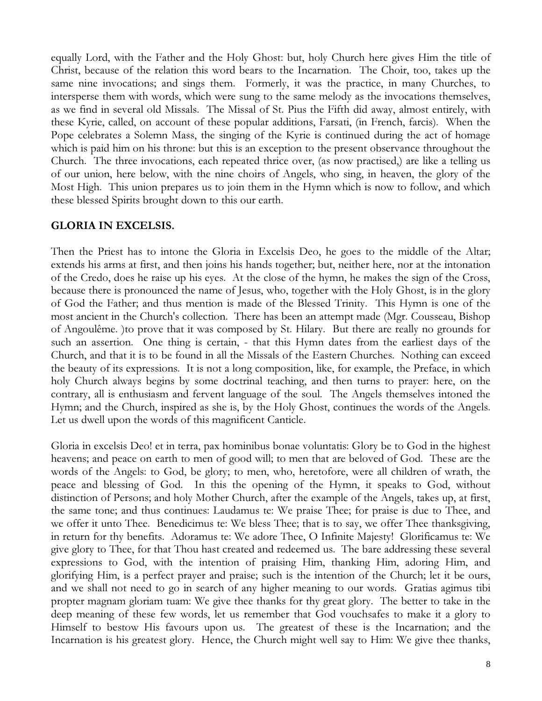equally Lord, with the Father and the Holy Ghost: but, holy Church here gives Him the title of Christ, because of the relation this word bears to the Incarnation. The Choir, too, takes up the same nine invocations; and sings them. Formerly, it was the practice, in many Churches, to intersperse them with words, which were sung to the same melody as the invocations themselves, as we find in several old Missals. The Missal of St. Pius the Fifth did away, almost entirely, with these Kyrie, called, on account of these popular additions, Farsati, (in French, farcis). When the Pope celebrates a Solemn Mass, the singing of the Kyrie is continued during the act of homage which is paid him on his throne: but this is an exception to the present observance throughout the Church. The three invocations, each repeated thrice over, (as now practised,) are like a telling us of our union, here below, with the nine choirs of Angels, who sing, in heaven, the glory of the Most High. This union prepares us to join them in the Hymn which is now to follow, and which these blessed Spirits brought down to this our earth.

#### GLORIA IN EXCELSIS.

Then the Priest has to intone the Gloria in Excelsis Deo, he goes to the middle of the Altar; extends his arms at first, and then joins his hands together; but, neither here, nor at the intonation of the Credo, does he raise up his eyes. At the close of the hymn, he makes the sign of the Cross, because there is pronounced the name of Jesus, who, together with the Holy Ghost, is in the glory of God the Father; and thus mention is made of the Blessed Trinity. This Hymn is one of the most ancient in the Church's collection. There has been an attempt made (Mgr. Cousseau, Bishop of Angoulême. )to prove that it was composed by St. Hilary. But there are really no grounds for such an assertion. One thing is certain, - that this Hymn dates from the earliest days of the Church, and that it is to be found in all the Missals of the Eastern Churches. Nothing can exceed the beauty of its expressions. It is not a long composition, like, for example, the Preface, in which holy Church always begins by some doctrinal teaching, and then turns to prayer: here, on the contrary, all is enthusiasm and fervent language of the soul. The Angels themselves intoned the Hymn; and the Church, inspired as she is, by the Holy Ghost, continues the words of the Angels. Let us dwell upon the words of this magnificent Canticle.

Gloria in excelsis Deo! et in terra, pax hominibus bonae voluntatis: Glory be to God in the highest heavens; and peace on earth to men of good will; to men that are beloved of God. These are the words of the Angels: to God, be glory; to men, who, heretofore, were all children of wrath, the peace and blessing of God. In this the opening of the Hymn, it speaks to God, without distinction of Persons; and holy Mother Church, after the example of the Angels, takes up, at first, the same tone; and thus continues: Laudamus te: We praise Thee; for praise is due to Thee, and we offer it unto Thee. Benedicimus te: We bless Thee; that is to say, we offer Thee thanksgiving, in return for thy benefits. Adoramus te: We adore Thee, O Infinite Majesty! Glorificamus te: We give glory to Thee, for that Thou hast created and redeemed us. The bare addressing these several expressions to God, with the intention of praising Him, thanking Him, adoring Him, and glorifying Him, is a perfect prayer and praise; such is the intention of the Church; let it be ours, and we shall not need to go in search of any higher meaning to our words. Gratias agimus tibi propter magnam gloriam tuam: We give thee thanks for thy great glory. The better to take in the deep meaning of these few words, let us remember that God vouchsafes to make it a glory to Himself to bestow His favours upon us. The greatest of these is the Incarnation; and the Incarnation is his greatest glory. Hence, the Church might well say to Him: We give thee thanks,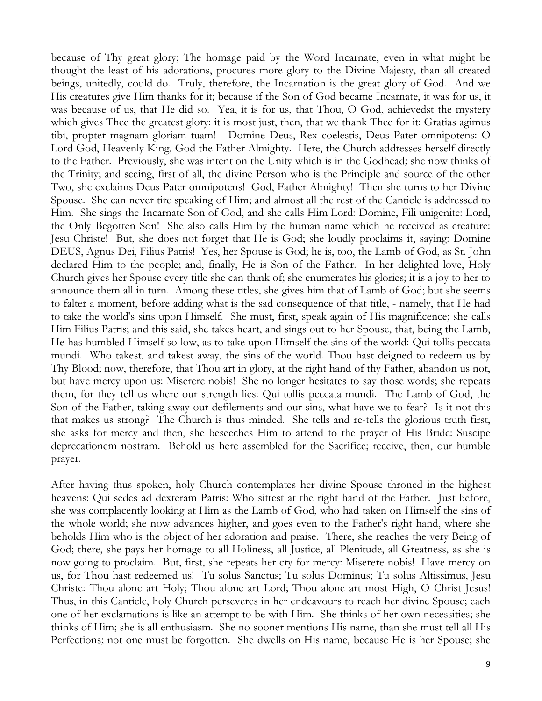because of Thy great glory; The homage paid by the Word Incarnate, even in what might be thought the least of his adorations, procures more glory to the Divine Majesty, than all created beings, unitedly, could do. Truly, therefore, the Incarnation is the great glory of God. And we His creatures give Him thanks for it; because if the Son of God became Incarnate, it was for us, it was because of us, that He did so. Yea, it is for us, that Thou, O God, achievedst the mystery which gives Thee the greatest glory: it is most just, then, that we thank Thee for it: Gratias agimus tibi, propter magnam gloriam tuam! - Domine Deus, Rex coelestis, Deus Pater omnipotens: O Lord God, Heavenly King, God the Father Almighty. Here, the Church addresses herself directly to the Father. Previously, she was intent on the Unity which is in the Godhead; she now thinks of the Trinity; and seeing, first of all, the divine Person who is the Principle and source of the other Two, she exclaims Deus Pater omnipotens! God, Father Almighty! Then she turns to her Divine Spouse. She can never tire speaking of Him; and almost all the rest of the Canticle is addressed to Him. She sings the Incarnate Son of God, and she calls Him Lord: Domine, Fili unigenite: Lord, the Only Begotten Son! She also calls Him by the human name which he received as creature: Jesu Christe! But, she does not forget that He is God; she loudly proclaims it, saying: Domine DEUS, Agnus Dei, Filius Patris! Yes, her Spouse is God; he is, too, the Lamb of God, as St. John declared Him to the people; and, finally, He is Son of the Father. In her delighted love, Holy Church gives her Spouse every title she can think of; she enumerates his glories; it is a joy to her to announce them all in turn. Among these titles, she gives him that of Lamb of God; but she seems to falter a moment, before adding what is the sad consequence of that title, - namely, that He had to take the world's sins upon Himself. She must, first, speak again of His magnificence; she calls Him Filius Patris; and this said, she takes heart, and sings out to her Spouse, that, being the Lamb, He has humbled Himself so low, as to take upon Himself the sins of the world: Qui tollis peccata mundi. Who takest, and takest away, the sins of the world. Thou hast deigned to redeem us by Thy Blood; now, therefore, that Thou art in glory, at the right hand of thy Father, abandon us not, but have mercy upon us: Miserere nobis! She no longer hesitates to say those words; she repeats them, for they tell us where our strength lies: Qui tollis peccata mundi. The Lamb of God, the Son of the Father, taking away our defilements and our sins, what have we to fear? Is it not this that makes us strong? The Church is thus minded. She tells and re-tells the glorious truth first, she asks for mercy and then, she beseeches Him to attend to the prayer of His Bride: Suscipe deprecationem nostram. Behold us here assembled for the Sacrifice; receive, then, our humble prayer.

After having thus spoken, holy Church contemplates her divine Spouse throned in the highest heavens: Qui sedes ad dexteram Patris: Who sittest at the right hand of the Father. Just before, she was complacently looking at Him as the Lamb of God, who had taken on Himself the sins of the whole world; she now advances higher, and goes even to the Father's right hand, where she beholds Him who is the object of her adoration and praise. There, she reaches the very Being of God; there, she pays her homage to all Holiness, all Justice, all Plenitude, all Greatness, as she is now going to proclaim. But, first, she repeats her cry for mercy: Miserere nobis! Have mercy on us, for Thou hast redeemed us! Tu solus Sanctus; Tu solus Dominus; Tu solus Altissimus, Jesu Christe: Thou alone art Holy; Thou alone art Lord; Thou alone art most High, O Christ Jesus! Thus, in this Canticle, holy Church perseveres in her endeavours to reach her divine Spouse; each one of her exclamations is like an attempt to be with Him. She thinks of her own necessities; she thinks of Him; she is all enthusiasm. She no sooner mentions His name, than she must tell all His Perfections; not one must be forgotten. She dwells on His name, because He is her Spouse; she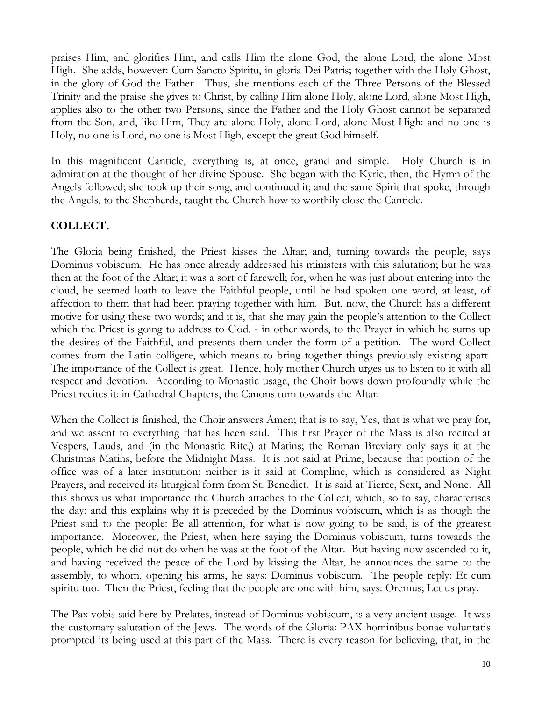praises Him, and glorifies Him, and calls Him the alone God, the alone Lord, the alone Most High. She adds, however: Cum Sancto Spiritu, in gloria Dei Patris; together with the Holy Ghost, in the glory of God the Father. Thus, she mentions each of the Three Persons of the Blessed Trinity and the praise she gives to Christ, by calling Him alone Holy, alone Lord, alone Most High, applies also to the other two Persons, since the Father and the Holy Ghost cannot be separated from the Son, and, like Him, They are alone Holy, alone Lord, alone Most High: and no one is Holy, no one is Lord, no one is Most High, except the great God himself.

In this magnificent Canticle, everything is, at once, grand and simple. Holy Church is in admiration at the thought of her divine Spouse. She began with the Kyrie; then, the Hymn of the Angels followed; she took up their song, and continued it; and the same Spirit that spoke, through the Angels, to the Shepherds, taught the Church how to worthily close the Canticle.

### COLLECT.

The Gloria being finished, the Priest kisses the Altar; and, turning towards the people, says Dominus vobiscum. He has once already addressed his ministers with this salutation; but he was then at the foot of the Altar; it was a sort of farewell; for, when he was just about entering into the cloud, he seemed loath to leave the Faithful people, until he had spoken one word, at least, of affection to them that had been praying together with him. But, now, the Church has a different motive for using these two words; and it is, that she may gain the people's attention to the Collect which the Priest is going to address to God, - in other words, to the Prayer in which he sums up the desires of the Faithful, and presents them under the form of a petition. The word Collect comes from the Latin colligere, which means to bring together things previously existing apart. The importance of the Collect is great. Hence, holy mother Church urges us to listen to it with all respect and devotion. According to Monastic usage, the Choir bows down profoundly while the Priest recites it: in Cathedral Chapters, the Canons turn towards the Altar.

When the Collect is finished, the Choir answers Amen; that is to say, Yes, that is what we pray for, and we assent to everything that has been said. This first Prayer of the Mass is also recited at Vespers, Lauds, and (in the Monastic Rite,) at Matins; the Roman Breviary only says it at the Christmas Matins, before the Midnight Mass. It is not said at Prime, because that portion of the office was of a later institution; neither is it said at Compline, which is considered as Night Prayers, and received its liturgical form from St. Benedict. It is said at Tierce, Sext, and None. All this shows us what importance the Church attaches to the Collect, which, so to say, characterises the day; and this explains why it is preceded by the Dominus vobiscum, which is as though the Priest said to the people: Be all attention, for what is now going to be said, is of the greatest importance. Moreover, the Priest, when here saying the Dominus vobiscum, turns towards the people, which he did not do when he was at the foot of the Altar. But having now ascended to it, and having received the peace of the Lord by kissing the Altar, he announces the same to the assembly, to whom, opening his arms, he says: Dominus vobiscum. The people reply: Et cum spiritu tuo. Then the Priest, feeling that the people are one with him, says: Oremus; Let us pray.

The Pax vobis said here by Prelates, instead of Dominus vobiscum, is a very ancient usage. It was the customary salutation of the Jews. The words of the Gloria: PAX hominibus bonae voluntatis prompted its being used at this part of the Mass. There is every reason for believing, that, in the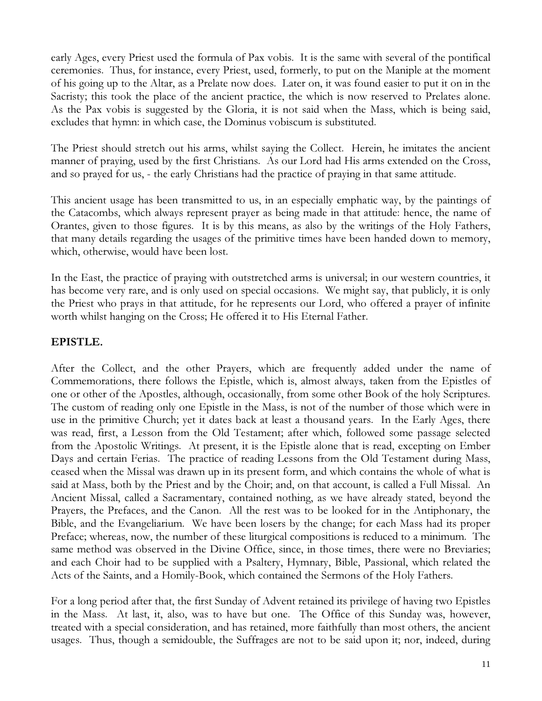early Ages, every Priest used the formula of Pax vobis. It is the same with several of the pontifical ceremonies. Thus, for instance, every Priest, used, formerly, to put on the Maniple at the moment of his going up to the Altar, as a Prelate now does. Later on, it was found easier to put it on in the Sacristy; this took the place of the ancient practice, the which is now reserved to Prelates alone. As the Pax vobis is suggested by the Gloria, it is not said when the Mass, which is being said, excludes that hymn: in which case, the Dominus vobiscum is substituted.

The Priest should stretch out his arms, whilst saying the Collect. Herein, he imitates the ancient manner of praying, used by the first Christians. As our Lord had His arms extended on the Cross, and so prayed for us, - the early Christians had the practice of praying in that same attitude.

This ancient usage has been transmitted to us, in an especially emphatic way, by the paintings of the Catacombs, which always represent prayer as being made in that attitude: hence, the name of Orantes, given to those figures. It is by this means, as also by the writings of the Holy Fathers, that many details regarding the usages of the primitive times have been handed down to memory, which, otherwise, would have been lost.

In the East, the practice of praying with outstretched arms is universal; in our western countries, it has become very rare, and is only used on special occasions. We might say, that publicly, it is only the Priest who prays in that attitude, for he represents our Lord, who offered a prayer of infinite worth whilst hanging on the Cross; He offered it to His Eternal Father.

### EPISTLE.

After the Collect, and the other Prayers, which are frequently added under the name of Commemorations, there follows the Epistle, which is, almost always, taken from the Epistles of one or other of the Apostles, although, occasionally, from some other Book of the holy Scriptures. The custom of reading only one Epistle in the Mass, is not of the number of those which were in use in the primitive Church; yet it dates back at least a thousand years. In the Early Ages, there was read, first, a Lesson from the Old Testament; after which, followed some passage selected from the Apostolic Writings. At present, it is the Epistle alone that is read, excepting on Ember Days and certain Ferias. The practice of reading Lessons from the Old Testament during Mass, ceased when the Missal was drawn up in its present form, and which contains the whole of what is said at Mass, both by the Priest and by the Choir; and, on that account, is called a Full Missal. An Ancient Missal, called a Sacramentary, contained nothing, as we have already stated, beyond the Prayers, the Prefaces, and the Canon. All the rest was to be looked for in the Antiphonary, the Bible, and the Evangeliarium. We have been losers by the change; for each Mass had its proper Preface; whereas, now, the number of these liturgical compositions is reduced to a minimum. The same method was observed in the Divine Office, since, in those times, there were no Breviaries; and each Choir had to be supplied with a Psaltery, Hymnary, Bible, Passional, which related the Acts of the Saints, and a Homily-Book, which contained the Sermons of the Holy Fathers.

For a long period after that, the first Sunday of Advent retained its privilege of having two Epistles in the Mass. At last, it, also, was to have but one. The Office of this Sunday was, however, treated with a special consideration, and has retained, more faithfully than most others, the ancient usages. Thus, though a semidouble, the Suffrages are not to be said upon it; nor, indeed, during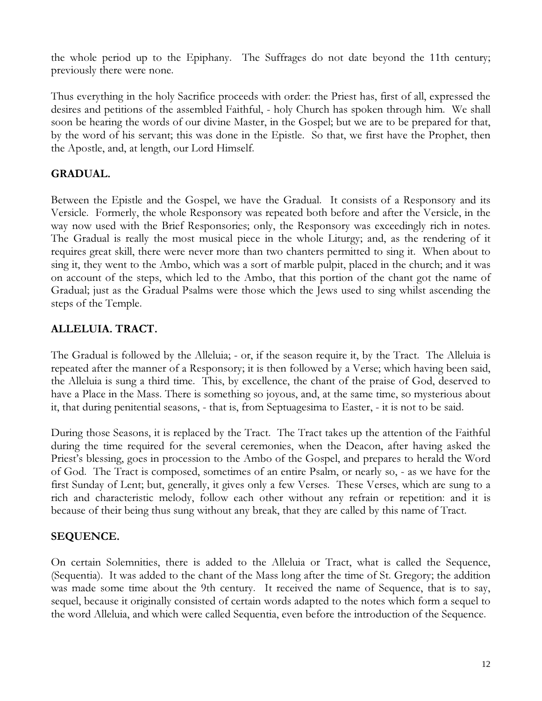the whole period up to the Epiphany. The Suffrages do not date beyond the 11th century; previously there were none.

Thus everything in the holy Sacrifice proceeds with order: the Priest has, first of all, expressed the desires and petitions of the assembled Faithful, - holy Church has spoken through him. We shall soon be hearing the words of our divine Master, in the Gospel; but we are to be prepared for that, by the word of his servant; this was done in the Epistle. So that, we first have the Prophet, then the Apostle, and, at length, our Lord Himself.

# GRADUAL.

Between the Epistle and the Gospel, we have the Gradual. It consists of a Responsory and its Versicle. Formerly, the whole Responsory was repeated both before and after the Versicle, in the way now used with the Brief Responsories; only, the Responsory was exceedingly rich in notes. The Gradual is really the most musical piece in the whole Liturgy; and, as the rendering of it requires great skill, there were never more than two chanters permitted to sing it. When about to sing it, they went to the Ambo, which was a sort of marble pulpit, placed in the church; and it was on account of the steps, which led to the Ambo, that this portion of the chant got the name of Gradual; just as the Gradual Psalms were those which the Jews used to sing whilst ascending the steps of the Temple.

# ALLELUIA. TRACT.

The Gradual is followed by the Alleluia; - or, if the season require it, by the Tract. The Alleluia is repeated after the manner of a Responsory; it is then followed by a Verse; which having been said, the Alleluia is sung a third time. This, by excellence, the chant of the praise of God, deserved to have a Place in the Mass. There is something so joyous, and, at the same time, so mysterious about it, that during penitential seasons, - that is, from Septuagesima to Easter, - it is not to be said.

During those Seasons, it is replaced by the Tract. The Tract takes up the attention of the Faithful during the time required for the several ceremonies, when the Deacon, after having asked the Priest's blessing, goes in procession to the Ambo of the Gospel, and prepares to herald the Word of God. The Tract is composed, sometimes of an entire Psalm, or nearly so, - as we have for the first Sunday of Lent; but, generally, it gives only a few Verses. These Verses, which are sung to a rich and characteristic melody, follow each other without any refrain or repetition: and it is because of their being thus sung without any break, that they are called by this name of Tract.

## SEQUENCE.

On certain Solemnities, there is added to the Alleluia or Tract, what is called the Sequence, (Sequentia). It was added to the chant of the Mass long after the time of St. Gregory; the addition was made some time about the 9th century. It received the name of Sequence, that is to say, sequel, because it originally consisted of certain words adapted to the notes which form a sequel to the word Alleluia, and which were called Sequentia, even before the introduction of the Sequence.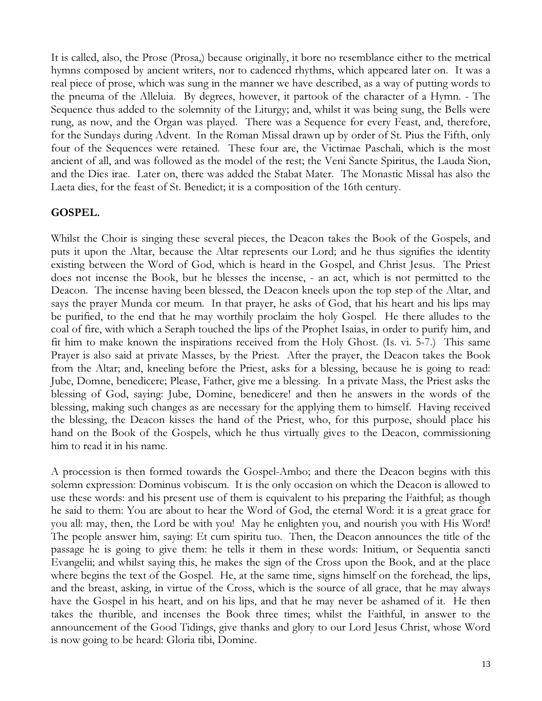It is called, also, the Prose (Prosa,) because originally, it bore no resemblance either to the metrical hymns composed by ancient writers, nor to cadenced rhythms, which appeared later on. It was a real piece of prose, which was sung in the manner we have described, as a way of putting words to the pneuma of the Alleluia. By degrees, however, it partook of the character of a Hymn. - The Sequence thus added to the solemnity of the Liturgy; and, whilst it was being sung, the Bells were rung, as now, and the Organ was played. There was a Sequence for every Feast, and, therefore, for the Sundays during Advent. In the Roman Missal drawn up by order of St. Pius the Fifth, only four of the Sequences were retained. These four are, the Victimae Paschali, which is the most ancient of all, and was followed as the model of the rest; the Veni Sancte Spiritus, the Lauda Sion, and the Dies irae. Later on, there was added the Stabat Mater. The Monastic Missal has also the Laeta dies, for the feast of St. Benedict; it is a composition of the 16th century.

#### GOSPEL.

Whilst the Choir is singing these several pieces, the Deacon takes the Book of the Gospels, and puts it upon the Altar, because the Altar represents our Lord; and he thus signifies the identity existing between the Word of God, which is heard in the Gospel, and Christ Jesus. The Priest does not incense the Book, but he blesses the incense, - an act, which is not permitted to the Deacon. The incense having been blessed, the Deacon kneels upon the top step of the Altar, and says the prayer Munda cor meum. In that prayer, he asks of God, that his heart and his lips may be purified, to the end that he may worthily proclaim the holy Gospel. He there alludes to the coal of fire, with which a Seraph touched the lips of the Prophet Isaias, in order to purify him, and fit him to make known the inspirations received from the Holy Ghost. (Is. vi. 5-7.) This same Prayer is also said at private Masses, by the Priest. After the prayer, the Deacon takes the Book from the Altar; and, kneeling before the Priest, asks for a blessing, because he is going to read: Jube, Domne, benedicere; Please, Father, give me a blessing. In a private Mass, the Priest asks the blessing of God, saying: Jube, Domine, benedicere! and then he answers in the words of the blessing, making such changes as are necessary for the applying them to himself. Having received the blessing, the Deacon kisses the hand of the Priest, who, for this purpose, should place his hand on the Book of the Gospels, which he thus virtually gives to the Deacon, commissioning him to read it in his name.

A procession is then formed towards the Gospel-Ambo; and there the Deacon begins with this solemn expression: Dominus vobiscum. It is the only occasion on which the Deacon is allowed to use these words: and his present use of them is equivalent to his preparing the Faithful; as though he said to them: You are about to hear the Word of God, the eternal Word: it is a great grace for you all: may, then, the Lord be with you! May he enlighten you, and nourish you with His Word! The people answer him, saying: Et cum spiritu tuo. Then, the Deacon announces the title of the passage he is going to give them: he tells it them in these words: Initium, or Sequentia sancti Evangelii; and whilst saying this, he makes the sign of the Cross upon the Book, and at the place where begins the text of the Gospel. He, at the same time, signs himself on the forehead, the lips, and the breast, asking, in virtue of the Cross, which is the source of all grace, that he may always have the Gospel in his heart, and on his lips, and that he may never be ashamed of it. He then takes the thurible, and incenses the Book three times; whilst the Faithful, in answer to the announcement of the Good Tidings, give thanks and glory to our Lord Jesus Christ, whose Word is now going to be heard: Gloria tibi, Domine.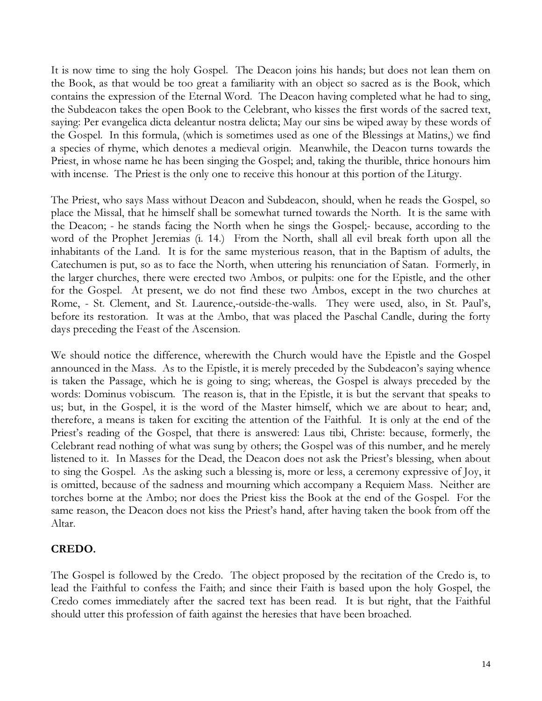It is now time to sing the holy Gospel. The Deacon joins his hands; but does not lean them on the Book, as that would be too great a familiarity with an object so sacred as is the Book, which contains the expression of the Eternal Word. The Deacon having completed what he had to sing, the Subdeacon takes the open Book to the Celebrant, who kisses the first words of the sacred text, saying: Per evangelica dicta deleantur nostra delicta; May our sins be wiped away by these words of the Gospel. In this formula, (which is sometimes used as one of the Blessings at Matins,) we find a species of rhyme, which denotes a medieval origin. Meanwhile, the Deacon turns towards the Priest, in whose name he has been singing the Gospel; and, taking the thurible, thrice honours him with incense. The Priest is the only one to receive this honour at this portion of the Liturgy.

The Priest, who says Mass without Deacon and Subdeacon, should, when he reads the Gospel, so place the Missal, that he himself shall be somewhat turned towards the North. It is the same with the Deacon; - he stands facing the North when he sings the Gospel;- because, according to the word of the Prophet Jeremias (i. 14.) From the North, shall all evil break forth upon all the inhabitants of the Land. It is for the same mysterious reason, that in the Baptism of adults, the Catechumen is put, so as to face the North, when uttering his renunciation of Satan. Formerly, in the larger churches, there were erected two Ambos, or pulpits: one for the Epistle, and the other for the Gospel. At present, we do not find these two Ambos, except in the two churches at Rome, - St. Clement, and St. Laurence,-outside-the-walls. They were used, also, in St. Paul's, before its restoration. It was at the Ambo, that was placed the Paschal Candle, during the forty days preceding the Feast of the Ascension.

We should notice the difference, wherewith the Church would have the Epistle and the Gospel announced in the Mass. As to the Epistle, it is merely preceded by the Subdeacon's saying whence is taken the Passage, which he is going to sing; whereas, the Gospel is always preceded by the words: Dominus vobiscum. The reason is, that in the Epistle, it is but the servant that speaks to us; but, in the Gospel, it is the word of the Master himself, which we are about to hear; and, therefore, a means is taken for exciting the attention of the Faithful. It is only at the end of the Priest's reading of the Gospel, that there is answered: Laus tibi, Christe: because, formerly, the Celebrant read nothing of what was sung by others; the Gospel was of this number, and he merely listened to it. In Masses for the Dead, the Deacon does not ask the Priest's blessing, when about to sing the Gospel. As the asking such a blessing is, more or less, a ceremony expressive of Joy, it is omitted, because of the sadness and mourning which accompany a Requiem Mass. Neither are torches borne at the Ambo; nor does the Priest kiss the Book at the end of the Gospel. For the same reason, the Deacon does not kiss the Priest's hand, after having taken the book from off the Altar.

## CREDO.

The Gospel is followed by the Credo. The object proposed by the recitation of the Credo is, to lead the Faithful to confess the Faith; and since their Faith is based upon the holy Gospel, the Credo comes immediately after the sacred text has been read. It is but right, that the Faithful should utter this profession of faith against the heresies that have been broached.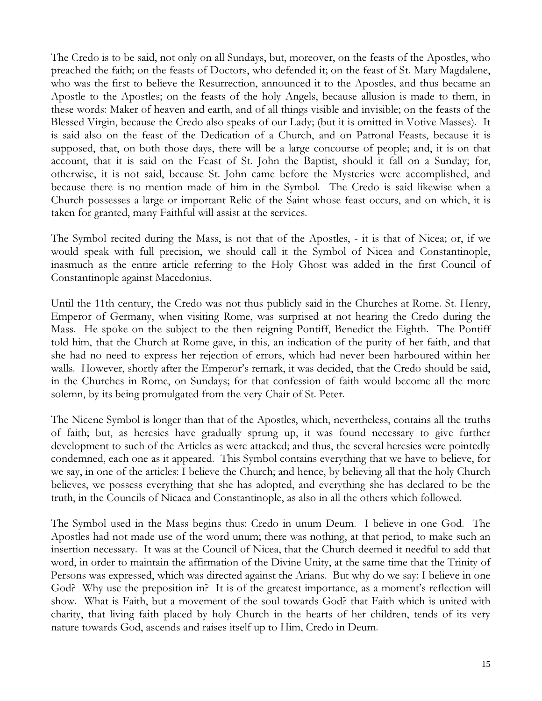The Credo is to be said, not only on all Sundays, but, moreover, on the feasts of the Apostles, who preached the faith; on the feasts of Doctors, who defended it; on the feast of St. Mary Magdalene, who was the first to believe the Resurrection, announced it to the Apostles, and thus became an Apostle to the Apostles; on the feasts of the holy Angels, because allusion is made to them, in these words: Maker of heaven and earth, and of all things visible and invisible; on the feasts of the Blessed Virgin, because the Credo also speaks of our Lady; (but it is omitted in Votive Masses). It is said also on the feast of the Dedication of a Church, and on Patronal Feasts, because it is supposed, that, on both those days, there will be a large concourse of people; and, it is on that account, that it is said on the Feast of St. John the Baptist, should it fall on a Sunday; for, otherwise, it is not said, because St. John came before the Mysteries were accomplished, and because there is no mention made of him in the Symbol. The Credo is said likewise when a Church possesses a large or important Relic of the Saint whose feast occurs, and on which, it is taken for granted, many Faithful will assist at the services.

The Symbol recited during the Mass, is not that of the Apostles, - it is that of Nicea; or, if we would speak with full precision, we should call it the Symbol of Nicea and Constantinople, inasmuch as the entire article referring to the Holy Ghost was added in the first Council of Constantinople against Macedonius.

Until the 11th century, the Credo was not thus publicly said in the Churches at Rome. St. Henry, Emperor of Germany, when visiting Rome, was surprised at not hearing the Credo during the Mass. He spoke on the subject to the then reigning Pontiff, Benedict the Eighth. The Pontiff told him, that the Church at Rome gave, in this, an indication of the purity of her faith, and that she had no need to express her rejection of errors, which had never been harboured within her walls. However, shortly after the Emperor's remark, it was decided, that the Credo should be said, in the Churches in Rome, on Sundays; for that confession of faith would become all the more solemn, by its being promulgated from the very Chair of St. Peter.

The Nicene Symbol is longer than that of the Apostles, which, nevertheless, contains all the truths of faith; but, as heresies have gradually sprung up, it was found necessary to give further development to such of the Articles as were attacked; and thus, the several heresies were pointedly condemned, each one as it appeared. This Symbol contains everything that we have to believe, for we say, in one of the articles: I believe the Church; and hence, by believing all that the holy Church believes, we possess everything that she has adopted, and everything she has declared to be the truth, in the Councils of Nicaea and Constantinople, as also in all the others which followed.

The Symbol used in the Mass begins thus: Credo in unum Deum. I believe in one God. The Apostles had not made use of the word unum; there was nothing, at that period, to make such an insertion necessary. It was at the Council of Nicea, that the Church deemed it needful to add that word, in order to maintain the affirmation of the Divine Unity, at the same time that the Trinity of Persons was expressed, which was directed against the Arians. But why do we say: I believe in one God? Why use the preposition in? It is of the greatest importance, as a moment's reflection will show. What is Faith, but a movement of the soul towards God? that Faith which is united with charity, that living faith placed by holy Church in the hearts of her children, tends of its very nature towards God, ascends and raises itself up to Him, Credo in Deum.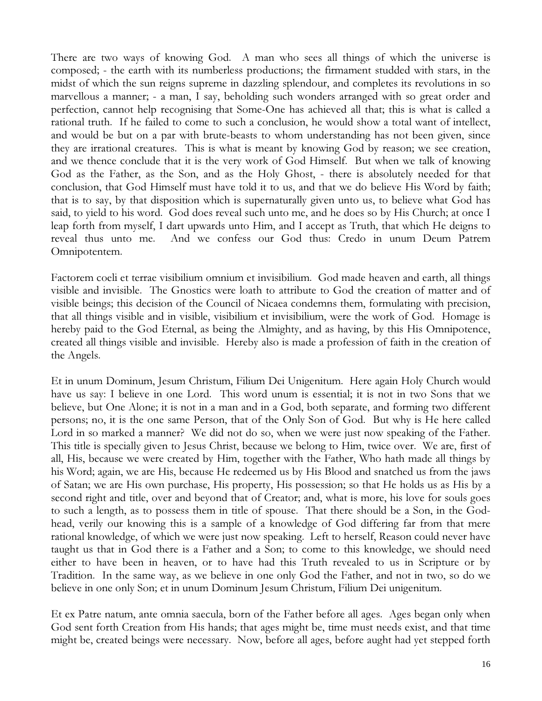There are two ways of knowing God. A man who sees all things of which the universe is composed; - the earth with its numberless productions; the firmament studded with stars, in the midst of which the sun reigns supreme in dazzling splendour, and completes its revolutions in so marvellous a manner; - a man, I say, beholding such wonders arranged with so great order and perfection, cannot help recognising that Some-One has achieved all that; this is what is called a rational truth. If he failed to come to such a conclusion, he would show a total want of intellect, and would be but on a par with brute-beasts to whom understanding has not been given, since they are irrational creatures. This is what is meant by knowing God by reason; we see creation, and we thence conclude that it is the very work of God Himself. But when we talk of knowing God as the Father, as the Son, and as the Holy Ghost, - there is absolutely needed for that conclusion, that God Himself must have told it to us, and that we do believe His Word by faith; that is to say, by that disposition which is supernaturally given unto us, to believe what God has said, to yield to his word. God does reveal such unto me, and he does so by His Church; at once I leap forth from myself, I dart upwards unto Him, and I accept as Truth, that which He deigns to reveal thus unto me. And we confess our God thus: Credo in unum Deum Patrem Omnipotentem.

Factorem coeli et terrae visibilium omnium et invisibilium. God made heaven and earth, all things visible and invisible. The Gnostics were loath to attribute to God the creation of matter and of visible beings; this decision of the Council of Nicaea condemns them, formulating with precision, that all things visible and in visible, visibilium et invisibilium, were the work of God. Homage is hereby paid to the God Eternal, as being the Almighty, and as having, by this His Omnipotence, created all things visible and invisible. Hereby also is made a profession of faith in the creation of the Angels.

Et in unum Dominum, Jesum Christum, Filium Dei Unigenitum. Here again Holy Church would have us say: I believe in one Lord. This word unum is essential; it is not in two Sons that we believe, but One Alone; it is not in a man and in a God, both separate, and forming two different persons; no, it is the one same Person, that of the Only Son of God. But why is He here called Lord in so marked a manner? We did not do so, when we were just now speaking of the Father. This title is specially given to Jesus Christ, because we belong to Him, twice over. We are, first of all, His, because we were created by Him, together with the Father, Who hath made all things by his Word; again, we are His, because He redeemed us by His Blood and snatched us from the jaws of Satan; we are His own purchase, His property, His possession; so that He holds us as His by a second right and title, over and beyond that of Creator; and, what is more, his love for souls goes to such a length, as to possess them in title of spouse. That there should be a Son, in the Godhead, verily our knowing this is a sample of a knowledge of God differing far from that mere rational knowledge, of which we were just now speaking. Left to herself, Reason could never have taught us that in God there is a Father and a Son; to come to this knowledge, we should need either to have been in heaven, or to have had this Truth revealed to us in Scripture or by Tradition. In the same way, as we believe in one only God the Father, and not in two, so do we believe in one only Son; et in unum Dominum Jesum Christum, Filium Dei unigenitum.

Et ex Patre natum, ante omnia saecula, born of the Father before all ages. Ages began only when God sent forth Creation from His hands; that ages might be, time must needs exist, and that time might be, created beings were necessary. Now, before all ages, before aught had yet stepped forth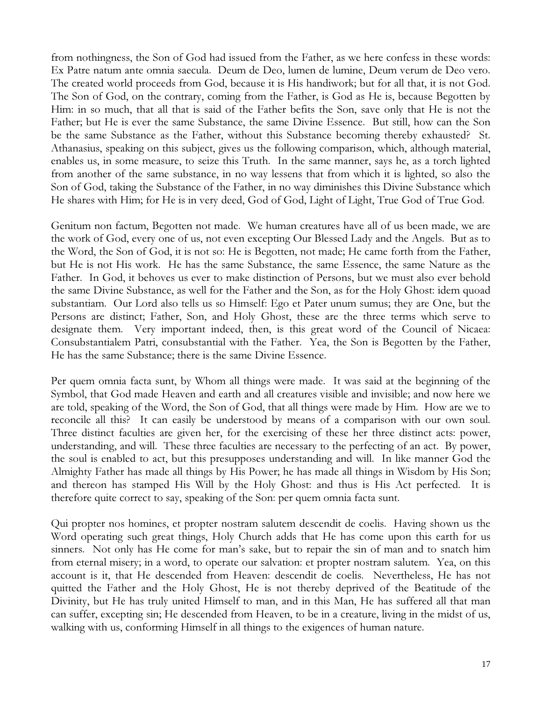from nothingness, the Son of God had issued from the Father, as we here confess in these words: Ex Patre natum ante omnia saecula. Deum de Deo, lumen de lumine, Deum verum de Deo vero. The created world proceeds from God, because it is His handiwork; but for all that, it is not God. The Son of God, on the contrary, coming from the Father, is God as He is, because Begotten by Him: in so much, that all that is said of the Father befits the Son, save only that He is not the Father; but He is ever the same Substance, the same Divine Essence. But still, how can the Son be the same Substance as the Father, without this Substance becoming thereby exhausted? St. Athanasius, speaking on this subject, gives us the following comparison, which, although material, enables us, in some measure, to seize this Truth. In the same manner, says he, as a torch lighted from another of the same substance, in no way lessens that from which it is lighted, so also the Son of God, taking the Substance of the Father, in no way diminishes this Divine Substance which He shares with Him; for He is in very deed, God of God, Light of Light, True God of True God.

Genitum non factum, Begotten not made. We human creatures have all of us been made, we are the work of God, every one of us, not even excepting Our Blessed Lady and the Angels. But as to the Word, the Son of God, it is not so: He is Begotten, not made; He came forth from the Father, but He is not His work. He has the same Substance, the same Essence, the same Nature as the Father. In God, it behoves us ever to make distinction of Persons, but we must also ever behold the same Divine Substance, as well for the Father and the Son, as for the Holy Ghost: idem quoad substantiam. Our Lord also tells us so Himself: Ego et Pater unum sumus; they are One, but the Persons are distinct; Father, Son, and Holy Ghost, these are the three terms which serve to designate them. Very important indeed, then, is this great word of the Council of Nicaea: Consubstantialem Patri, consubstantial with the Father. Yea, the Son is Begotten by the Father, He has the same Substance; there is the same Divine Essence.

Per quem omnia facta sunt, by Whom all things were made. It was said at the beginning of the Symbol, that God made Heaven and earth and all creatures visible and invisible; and now here we are told, speaking of the Word, the Son of God, that all things were made by Him. How are we to reconcile all this? It can easily be understood by means of a comparison with our own soul. Three distinct faculties are given her, for the exercising of these her three distinct acts: power, understanding, and will. These three faculties are necessary to the perfecting of an act. By power, the soul is enabled to act, but this presupposes understanding and will. In like manner God the Almighty Father has made all things by His Power; he has made all things in Wisdom by His Son; and thereon has stamped His Will by the Holy Ghost: and thus is His Act perfected. It is therefore quite correct to say, speaking of the Son: per quem omnia facta sunt.

Qui propter nos homines, et propter nostram salutem descendit de coelis. Having shown us the Word operating such great things, Holy Church adds that He has come upon this earth for us sinners. Not only has He come for man's sake, but to repair the sin of man and to snatch him from eternal misery; in a word, to operate our salvation: et propter nostram salutem. Yea, on this account is it, that He descended from Heaven: descendit de coelis. Nevertheless, He has not quitted the Father and the Holy Ghost, He is not thereby deprived of the Beatitude of the Divinity, but He has truly united Himself to man, and in this Man, He has suffered all that man can suffer, excepting sin; He descended from Heaven, to be in a creature, living in the midst of us, walking with us, conforming Himself in all things to the exigences of human nature.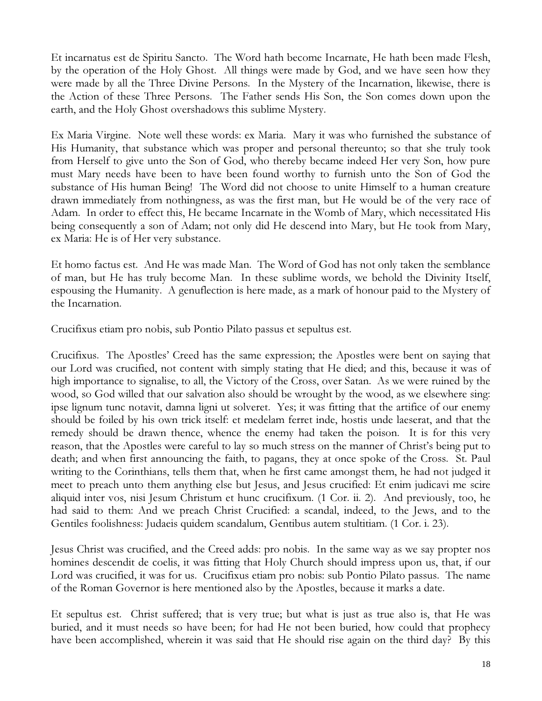Et incarnatus est de Spiritu Sancto. The Word hath become Incarnate, He hath been made Flesh, by the operation of the Holy Ghost. All things were made by God, and we have seen how they were made by all the Three Divine Persons. In the Mystery of the Incarnation, likewise, there is the Action of these Three Persons. The Father sends His Son, the Son comes down upon the earth, and the Holy Ghost overshadows this sublime Mystery.

Ex Maria Virgine. Note well these words: ex Maria. Mary it was who furnished the substance of His Humanity, that substance which was proper and personal thereunto; so that she truly took from Herself to give unto the Son of God, who thereby became indeed Her very Son, how pure must Mary needs have been to have been found worthy to furnish unto the Son of God the substance of His human Being! The Word did not choose to unite Himself to a human creature drawn immediately from nothingness, as was the first man, but He would be of the very race of Adam. In order to effect this, He became Incarnate in the Womb of Mary, which necessitated His being consequently a son of Adam; not only did He descend into Mary, but He took from Mary, ex Maria: He is of Her very substance.

Et homo factus est. And He was made Man. The Word of God has not only taken the semblance of man, but He has truly become Man. In these sublime words, we behold the Divinity Itself, espousing the Humanity. A genuflection is here made, as a mark of honour paid to the Mystery of the Incarnation.

Crucifixus etiam pro nobis, sub Pontio Pilato passus et sepultus est.

Crucifixus. The Apostles' Creed has the same expression; the Apostles were bent on saying that our Lord was crucified, not content with simply stating that He died; and this, because it was of high importance to signalise, to all, the Victory of the Cross, over Satan. As we were ruined by the wood, so God willed that our salvation also should be wrought by the wood, as we elsewhere sing: ipse lignum tunc notavit, damna ligni ut solveret. Yes; it was fitting that the artifice of our enemy should be foiled by his own trick itself: et medelam ferret inde, hostis unde laeserat, and that the remedy should be drawn thence, whence the enemy had taken the poison. It is for this very reason, that the Apostles were careful to lay so much stress on the manner of Christ's being put to death; and when first announcing the faith, to pagans, they at once spoke of the Cross. St. Paul writing to the Corinthians, tells them that, when he first came amongst them, he had not judged it meet to preach unto them anything else but Jesus, and Jesus crucified: Et enim judicavi me scire aliquid inter vos, nisi Jesum Christum et hunc crucifixum. (1 Cor. ii. 2). And previously, too, he had said to them: And we preach Christ Crucified: a scandal, indeed, to the Jews, and to the Gentiles foolishness: Judaeis quidem scandalum, Gentibus autem stultitiam. (1 Cor. i. 23).

Jesus Christ was crucified, and the Creed adds: pro nobis. In the same way as we say propter nos homines descendit de coelis, it was fitting that Holy Church should impress upon us, that, if our Lord was crucified, it was for us. Crucifixus etiam pro nobis: sub Pontio Pilato passus. The name of the Roman Governor is here mentioned also by the Apostles, because it marks a date.

Et sepultus est. Christ suffered; that is very true; but what is just as true also is, that He was buried, and it must needs so have been; for had He not been buried, how could that prophecy have been accomplished, wherein it was said that He should rise again on the third day? By this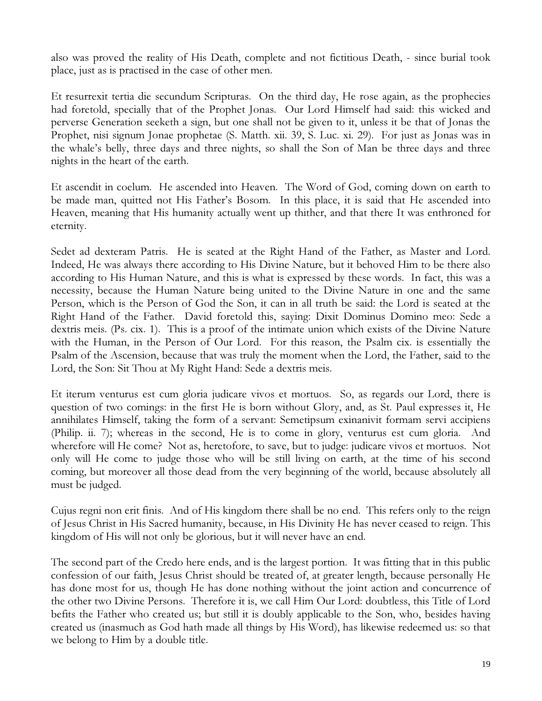also was proved the reality of His Death, complete and not fictitious Death, - since burial took place, just as is practised in the case of other men.

Et resurrexit tertia die secundum Scripturas. On the third day, He rose again, as the prophecies had foretold, specially that of the Prophet Jonas. Our Lord Himself had said: this wicked and perverse Generation seeketh a sign, but one shall not be given to it, unless it be that of Jonas the Prophet, nisi signum Jonae prophetae (S. Matth. xii. 39, S. Luc. xi. 29). For just as Jonas was in the whale's belly, three days and three nights, so shall the Son of Man be three days and three nights in the heart of the earth.

Et ascendit in coelum. He ascended into Heaven. The Word of God, coming down on earth to be made man, quitted not His Father's Bosom. In this place, it is said that He ascended into Heaven, meaning that His humanity actually went up thither, and that there It was enthroned for eternity.

Sedet ad dexteram Patris. He is seated at the Right Hand of the Father, as Master and Lord. Indeed, He was always there according to His Divine Nature, but it behoved Him to be there also according to His Human Nature, and this is what is expressed by these words. In fact, this was a necessity, because the Human Nature being united to the Divine Nature in one and the same Person, which is the Person of God the Son, it can in all truth be said: the Lord is seated at the Right Hand of the Father. David foretold this, saying: Dixit Dominus Domino meo: Sede a dextris meis. (Ps. cix. 1). This is a proof of the intimate union which exists of the Divine Nature with the Human, in the Person of Our Lord. For this reason, the Psalm cix. is essentially the Psalm of the Ascension, because that was truly the moment when the Lord, the Father, said to the Lord, the Son: Sit Thou at My Right Hand: Sede a dextris meis.

Et iterum venturus est cum gloria judicare vivos et mortuos. So, as regards our Lord, there is question of two comings: in the first He is born without Glory, and, as St. Paul expresses it, He annihilates Himself, taking the form of a servant: Semetipsum exinanivit formam servi accipiens (Philip. ii. 7); whereas in the second, He is to come in glory, venturus est cum gloria. And wherefore will He come? Not as, heretofore, to save, but to judge: judicare vivos et mortuos. Not only will He come to judge those who will be still living on earth, at the time of his second coming, but moreover all those dead from the very beginning of the world, because absolutely all must be judged.

Cujus regni non erit finis. And of His kingdom there shall be no end. This refers only to the reign of Jesus Christ in His Sacred humanity, because, in His Divinity He has never ceased to reign. This kingdom of His will not only be glorious, but it will never have an end.

The second part of the Credo here ends, and is the largest portion. It was fitting that in this public confession of our faith, Jesus Christ should be treated of, at greater length, because personally He has done most for us, though He has done nothing without the joint action and concurrence of the other two Divine Persons. Therefore it is, we call Him Our Lord: doubtless, this Title of Lord befits the Father who created us; but still it is doubly applicable to the Son, who, besides having created us (inasmuch as God hath made all things by His Word), has likewise redeemed us: so that we belong to Him by a double title.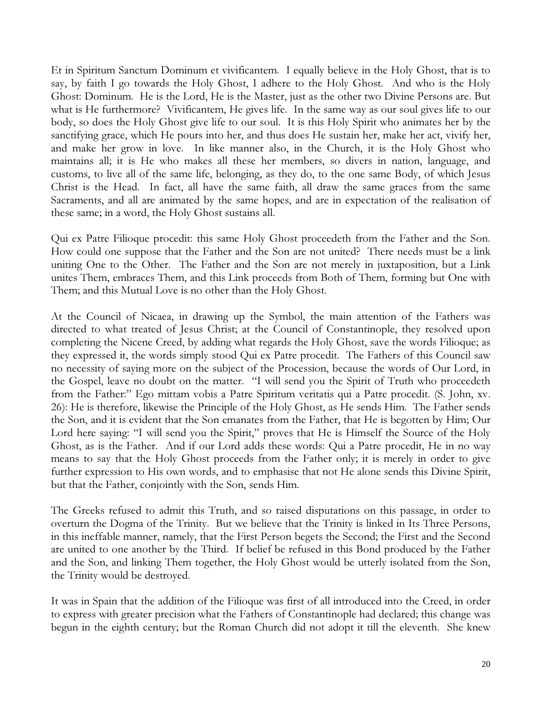Et in Spiritum Sanctum Dominum et vivificantem. I equally believe in the Holy Ghost, that is to say, by faith I go towards the Holy Ghost, I adhere to the Holy Ghost. And who is the Holy Ghost: Dominum. He is the Lord, He is the Master, just as the other two Divine Persons are. But what is He furthermore? Vivificantem, He gives life. In the same way as our soul gives life to our body, so does the Holy Ghost give life to our soul. It is this Holy Spirit who animates her by the sanctifying grace, which He pours into her, and thus does He sustain her, make her act, vivify her, and make her grow in love. In like manner also, in the Church, it is the Holy Ghost who maintains all; it is He who makes all these her members, so divers in nation, language, and customs, to live all of the same life, belonging, as they do, to the one same Body, of which Jesus Christ is the Head. In fact, all have the same faith, all draw the same graces from the same Sacraments, and all are animated by the same hopes, and are in expectation of the realisation of these same; in a word, the Holy Ghost sustains all.

Qui ex Patre Filioque procedit: this same Holy Ghost proceedeth from the Father and the Son. How could one suppose that the Father and the Son are not united? There needs must be a link uniting One to the Other. The Father and the Son are not merely in juxtaposition, but a Link unites Them, embraces Them, and this Link proceeds from Both of Them, forming but One with Them; and this Mutual Love is no other than the Holy Ghost.

At the Council of Nicaea, in drawing up the Symbol, the main attention of the Fathers was directed to what treated of Jesus Christ; at the Council of Constantinople, they resolved upon completing the Nicene Creed, by adding what regards the Holy Ghost, save the words Filioque; as they expressed it, the words simply stood Qui ex Patre procedit. The Fathers of this Council saw no necessity of saying more on the subject of the Procession, because the words of Our Lord, in the Gospel, leave no doubt on the matter. "I will send you the Spirit of Truth who proceedeth from the Father:" Ego mittam vobis a Patre Spiritum veritatis qui a Patre procedit. (S. John, xv. 26): He is therefore, likewise the Principle of the Holy Ghost, as He sends Him. The Father sends the Son, and it is evident that the Son emanates from the Father, that He is begotten by Him; Our Lord here saying: "I will send you the Spirit," proves that He is Himself the Source of the Holy Ghost, as is the Father. And if our Lord adds these words: Qui a Patre procedit, He in no way means to say that the Holy Ghost proceeds from the Father only; it is merely in order to give further expression to His own words, and to emphasise that not He alone sends this Divine Spirit, but that the Father, conjointly with the Son, sends Him.

The Greeks refused to admit this Truth, and so raised disputations on this passage, in order to overturn the Dogma of the Trinity. But we believe that the Trinity is linked in Its Three Persons, in this ineffable manner, namely, that the First Person begets the Second; the First and the Second are united to one another by the Third. If belief be refused in this Bond produced by the Father and the Son, and linking Them together, the Holy Ghost would be utterly isolated from the Son, the Trinity would be destroyed.

It was in Spain that the addition of the Filioque was first of all introduced into the Creed, in order to express with greater precision what the Fathers of Constantinople had declared; this change was begun in the eighth century; but the Roman Church did not adopt it till the eleventh. She knew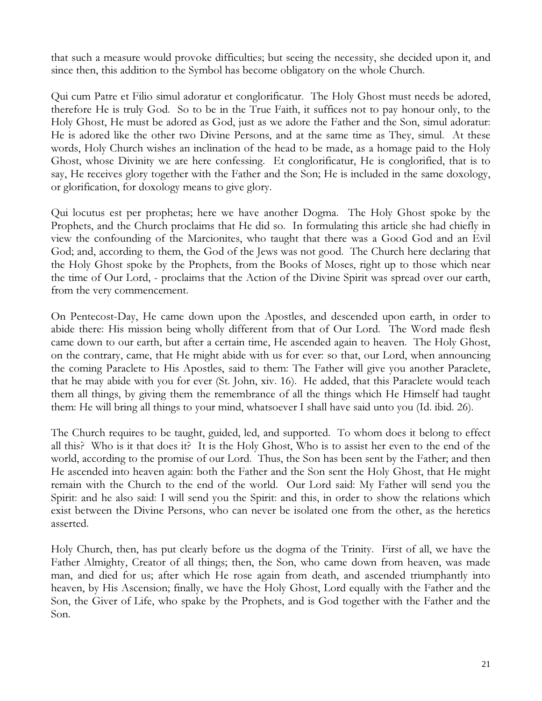that such a measure would provoke difficulties; but seeing the necessity, she decided upon it, and since then, this addition to the Symbol has become obligatory on the whole Church.

Qui cum Patre et Filio simul adoratur et conglorificatur. The Holy Ghost must needs be adored, therefore He is truly God. So to be in the True Faith, it suffices not to pay honour only, to the Holy Ghost, He must be adored as God, just as we adore the Father and the Son, simul adoratur: He is adored like the other two Divine Persons, and at the same time as They, simul. At these words, Holy Church wishes an inclination of the head to be made, as a homage paid to the Holy Ghost, whose Divinity we are here confessing. Et conglorificatur, He is conglorified, that is to say, He receives glory together with the Father and the Son; He is included in the same doxology, or glorification, for doxology means to give glory.

Qui locutus est per prophetas; here we have another Dogma. The Holy Ghost spoke by the Prophets, and the Church proclaims that He did so. In formulating this article she had chiefly in view the confounding of the Marcionites, who taught that there was a Good God and an Evil God; and, according to them, the God of the Jews was not good. The Church here declaring that the Holy Ghost spoke by the Prophets, from the Books of Moses, right up to those which near the time of Our Lord, - proclaims that the Action of the Divine Spirit was spread over our earth, from the very commencement.

On Pentecost-Day, He came down upon the Apostles, and descended upon earth, in order to abide there: His mission being wholly different from that of Our Lord. The Word made flesh came down to our earth, but after a certain time, He ascended again to heaven. The Holy Ghost, on the contrary, came, that He might abide with us for ever: so that, our Lord, when announcing the coming Paraclete to His Apostles, said to them: The Father will give you another Paraclete, that he may abide with you for ever (St. John, xiv. 16). He added, that this Paraclete would teach them all things, by giving them the remembrance of all the things which He Himself had taught them: He will bring all things to your mind, whatsoever I shall have said unto you (Id. ibid. 26).

The Church requires to be taught, guided, led, and supported. To whom does it belong to effect all this? Who is it that does it? It is the Holy Ghost, Who is to assist her even to the end of the world, according to the promise of our Lord. Thus, the Son has been sent by the Father; and then He ascended into heaven again: both the Father and the Son sent the Holy Ghost, that He might remain with the Church to the end of the world. Our Lord said: My Father will send you the Spirit: and he also said: I will send you the Spirit: and this, in order to show the relations which exist between the Divine Persons, who can never be isolated one from the other, as the heretics asserted.

Holy Church, then, has put clearly before us the dogma of the Trinity. First of all, we have the Father Almighty, Creator of all things; then, the Son, who came down from heaven, was made man, and died for us; after which He rose again from death, and ascended triumphantly into heaven, by His Ascension; finally, we have the Holy Ghost, Lord equally with the Father and the Son, the Giver of Life, who spake by the Prophets, and is God together with the Father and the Son.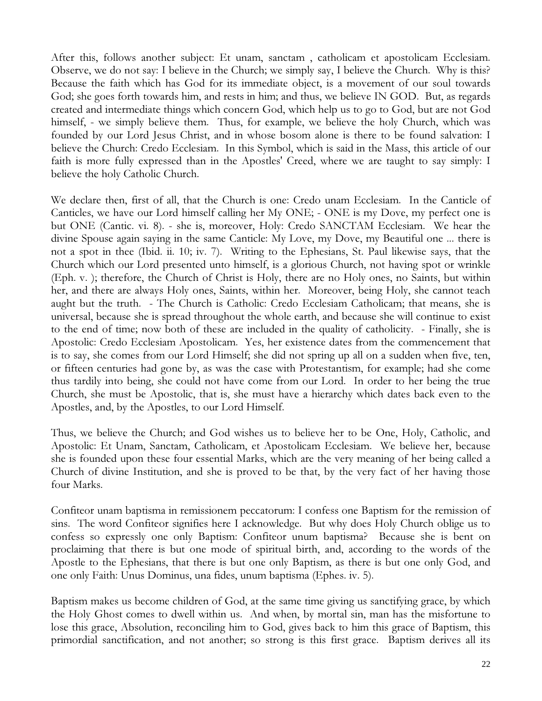After this, follows another subject: Et unam, sanctam , catholicam et apostolicam Ecclesiam. Observe, we do not say: I believe in the Church; we simply say, I believe the Church. Why is this? Because the faith which has God for its immediate object, is a movement of our soul towards God; she goes forth towards him, and rests in him; and thus, we believe IN GOD. But, as regards created and intermediate things which concern God, which help us to go to God, but are not God himself, - we simply believe them. Thus, for example, we believe the holy Church, which was founded by our Lord Jesus Christ, and in whose bosom alone is there to be found salvation: I believe the Church: Credo Ecclesiam. In this Symbol, which is said in the Mass, this article of our faith is more fully expressed than in the Apostles' Creed, where we are taught to say simply: I believe the holy Catholic Church.

We declare then, first of all, that the Church is one: Credo unam Ecclesiam. In the Canticle of Canticles, we have our Lord himself calling her My ONE; - ONE is my Dove, my perfect one is but ONE (Cantic. vi. 8). - she is, moreover, Holy: Credo SANCTAM Ecclesiam. We hear the divine Spouse again saying in the same Canticle: My Love, my Dove, my Beautiful one ... there is not a spot in thee (Ibid. ii. 10; iv. 7). Writing to the Ephesians, St. Paul likewise says, that the Church which our Lord presented unto himself, is a glorious Church, not having spot or wrinkle (Eph. v. ); therefore, the Church of Christ is Holy, there are no Holy ones, no Saints, but within her, and there are always Holy ones, Saints, within her. Moreover, being Holy, she cannot teach aught but the truth. - The Church is Catholic: Credo Ecclesiam Catholicam; that means, she is universal, because she is spread throughout the whole earth, and because she will continue to exist to the end of time; now both of these are included in the quality of catholicity. - Finally, she is Apostolic: Credo Ecclesiam Apostolicam. Yes, her existence dates from the commencement that is to say, she comes from our Lord Himself; she did not spring up all on a sudden when five, ten, or fifteen centuries had gone by, as was the case with Protestantism, for example; had she come thus tardily into being, she could not have come from our Lord. In order to her being the true Church, she must be Apostolic, that is, she must have a hierarchy which dates back even to the Apostles, and, by the Apostles, to our Lord Himself.

Thus, we believe the Church; and God wishes us to believe her to be One, Holy, Catholic, and Apostolic: Et Unam, Sanctam, Catholicam, et Apostolicam Ecclesiam. We believe her, because she is founded upon these four essential Marks, which are the very meaning of her being called a Church of divine Institution, and she is proved to be that, by the very fact of her having those four Marks.

Confiteor unam baptisma in remissionem peccatorum: I confess one Baptism for the remission of sins. The word Confiteor signifies here I acknowledge. But why does Holy Church oblige us to confess so expressly one only Baptism: Confiteor unum baptisma? Because she is bent on proclaiming that there is but one mode of spiritual birth, and, according to the words of the Apostle to the Ephesians, that there is but one only Baptism, as there is but one only God, and one only Faith: Unus Dominus, una fides, unum baptisma (Ephes. iv. 5).

Baptism makes us become children of God, at the same time giving us sanctifying grace, by which the Holy Ghost comes to dwell within us. And when, by mortal sin, man has the misfortune to lose this grace, Absolution, reconciling him to God, gives back to him this grace of Baptism, this primordial sanctification, and not another; so strong is this first grace. Baptism derives all its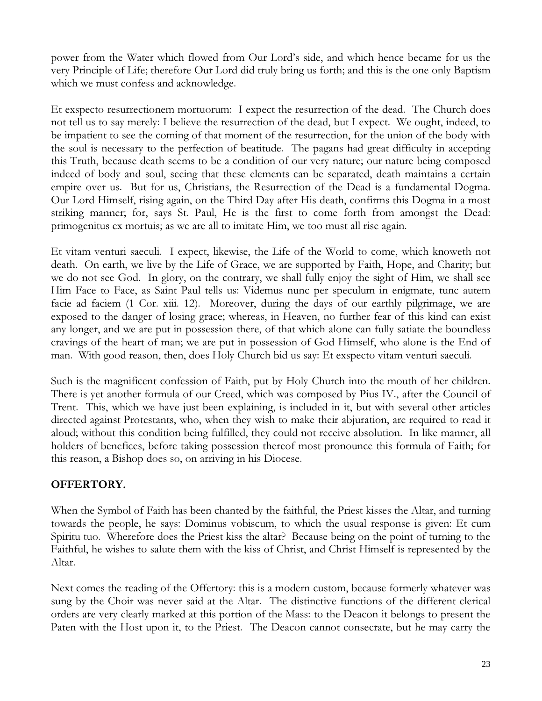power from the Water which flowed from Our Lord's side, and which hence became for us the very Principle of Life; therefore Our Lord did truly bring us forth; and this is the one only Baptism which we must confess and acknowledge.

Et exspecto resurrectionem mortuorum: I expect the resurrection of the dead. The Church does not tell us to say merely: I believe the resurrection of the dead, but I expect. We ought, indeed, to be impatient to see the coming of that moment of the resurrection, for the union of the body with the soul is necessary to the perfection of beatitude. The pagans had great difficulty in accepting this Truth, because death seems to be a condition of our very nature; our nature being composed indeed of body and soul, seeing that these elements can be separated, death maintains a certain empire over us. But for us, Christians, the Resurrection of the Dead is a fundamental Dogma. Our Lord Himself, rising again, on the Third Day after His death, confirms this Dogma in a most striking manner; for, says St. Paul, He is the first to come forth from amongst the Dead: primogenitus ex mortuis; as we are all to imitate Him, we too must all rise again.

Et vitam venturi saeculi. I expect, likewise, the Life of the World to come, which knoweth not death. On earth, we live by the Life of Grace, we are supported by Faith, Hope, and Charity; but we do not see God. In glory, on the contrary, we shall fully enjoy the sight of Him, we shall see Him Face to Face, as Saint Paul tells us: Videmus nunc per speculum in enigmate, tunc autem facie ad faciem (1 Cor. xiii. 12). Moreover, during the days of our earthly pilgrimage, we are exposed to the danger of losing grace; whereas, in Heaven, no further fear of this kind can exist any longer, and we are put in possession there, of that which alone can fully satiate the boundless cravings of the heart of man; we are put in possession of God Himself, who alone is the End of man. With good reason, then, does Holy Church bid us say: Et exspecto vitam venturi saeculi.

Such is the magnificent confession of Faith, put by Holy Church into the mouth of her children. There is yet another formula of our Creed, which was composed by Pius IV., after the Council of Trent. This, which we have just been explaining, is included in it, but with several other articles directed against Protestants, who, when they wish to make their abjuration, are required to read it aloud; without this condition being fulfilled, they could not receive absolution. In like manner, all holders of benefices, before taking possession thereof most pronounce this formula of Faith; for this reason, a Bishop does so, on arriving in his Diocese.

# OFFERTORY.

When the Symbol of Faith has been chanted by the faithful, the Priest kisses the Altar, and turning towards the people, he says: Dominus vobiscum, to which the usual response is given: Et cum Spiritu tuo. Wherefore does the Priest kiss the altar? Because being on the point of turning to the Faithful, he wishes to salute them with the kiss of Christ, and Christ Himself is represented by the Altar.

Next comes the reading of the Offertory: this is a modern custom, because formerly whatever was sung by the Choir was never said at the Altar. The distinctive functions of the different clerical orders are very clearly marked at this portion of the Mass: to the Deacon it belongs to present the Paten with the Host upon it, to the Priest. The Deacon cannot consecrate, but he may carry the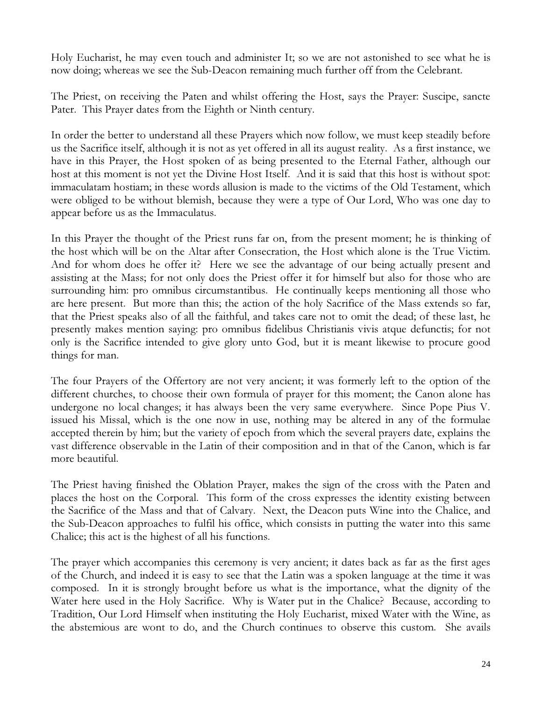Holy Eucharist, he may even touch and administer It; so we are not astonished to see what he is now doing; whereas we see the Sub-Deacon remaining much further off from the Celebrant.

The Priest, on receiving the Paten and whilst offering the Host, says the Prayer: Suscipe, sancte Pater. This Prayer dates from the Eighth or Ninth century.

In order the better to understand all these Prayers which now follow, we must keep steadily before us the Sacrifice itself, although it is not as yet offered in all its august reality. As a first instance, we have in this Prayer, the Host spoken of as being presented to the Eternal Father, although our host at this moment is not yet the Divine Host Itself. And it is said that this host is without spot: immaculatam hostiam; in these words allusion is made to the victims of the Old Testament, which were obliged to be without blemish, because they were a type of Our Lord, Who was one day to appear before us as the Immaculatus.

In this Prayer the thought of the Priest runs far on, from the present moment; he is thinking of the host which will be on the Altar after Consecration, the Host which alone is the True Victim. And for whom does he offer it? Here we see the advantage of our being actually present and assisting at the Mass; for not only does the Priest offer it for himself but also for those who are surrounding him: pro omnibus circumstantibus. He continually keeps mentioning all those who are here present. But more than this; the action of the holy Sacrifice of the Mass extends so far, that the Priest speaks also of all the faithful, and takes care not to omit the dead; of these last, he presently makes mention saying: pro omnibus fidelibus Christianis vivis atque defunctis; for not only is the Sacrifice intended to give glory unto God, but it is meant likewise to procure good things for man.

The four Prayers of the Offertory are not very ancient; it was formerly left to the option of the different churches, to choose their own formula of prayer for this moment; the Canon alone has undergone no local changes; it has always been the very same everywhere. Since Pope Pius V. issued his Missal, which is the one now in use, nothing may be altered in any of the formulae accepted therein by him; but the variety of epoch from which the several prayers date, explains the vast difference observable in the Latin of their composition and in that of the Canon, which is far more beautiful.

The Priest having finished the Oblation Prayer, makes the sign of the cross with the Paten and places the host on the Corporal. This form of the cross expresses the identity existing between the Sacrifice of the Mass and that of Calvary. Next, the Deacon puts Wine into the Chalice, and the Sub-Deacon approaches to fulfil his office, which consists in putting the water into this same Chalice; this act is the highest of all his functions.

The prayer which accompanies this ceremony is very ancient; it dates back as far as the first ages of the Church, and indeed it is easy to see that the Latin was a spoken language at the time it was composed. In it is strongly brought before us what is the importance, what the dignity of the Water here used in the Holy Sacrifice. Why is Water put in the Chalice? Because, according to Tradition, Our Lord Himself when instituting the Holy Eucharist, mixed Water with the Wine, as the abstemious are wont to do, and the Church continues to observe this custom. She avails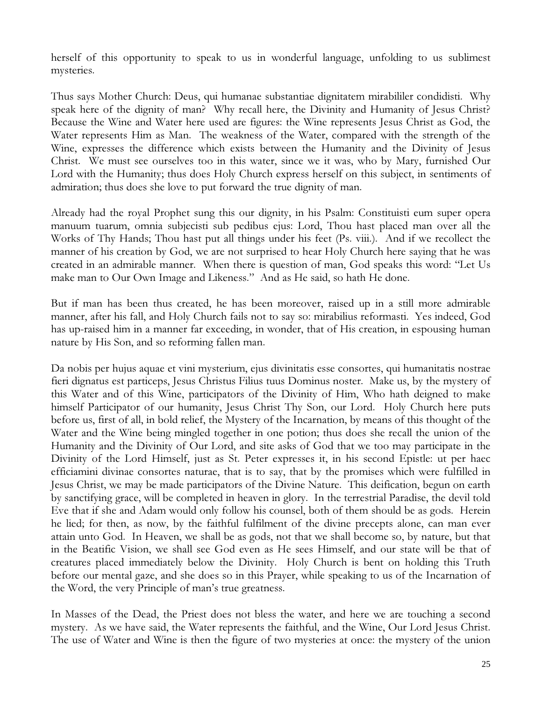herself of this opportunity to speak to us in wonderful language, unfolding to us sublimest mysteries.

Thus says Mother Church: Deus, qui humanae substantiae dignitatem mirabililer condidisti. Why speak here of the dignity of man? Why recall here, the Divinity and Humanity of Jesus Christ? Because the Wine and Water here used are figures: the Wine represents Jesus Christ as God, the Water represents Him as Man. The weakness of the Water, compared with the strength of the Wine, expresses the difference which exists between the Humanity and the Divinity of Jesus Christ. We must see ourselves too in this water, since we it was, who by Mary, furnished Our Lord with the Humanity; thus does Holy Church express herself on this subject, in sentiments of admiration; thus does she love to put forward the true dignity of man.

Already had the royal Prophet sung this our dignity, in his Psalm: Constituisti eum super opera manuum tuarum, omnia subjecisti sub pedibus ejus: Lord, Thou hast placed man over all the Works of Thy Hands; Thou hast put all things under his feet (Ps. viii.). And if we recollect the manner of his creation by God, we are not surprised to hear Holy Church here saying that he was created in an admirable manner. When there is question of man, God speaks this word: "Let Us make man to Our Own Image and Likeness." And as He said, so hath He done.

But if man has been thus created, he has been moreover, raised up in a still more admirable manner, after his fall, and Holy Church fails not to say so: mirabilius reformasti. Yes indeed, God has up-raised him in a manner far exceeding, in wonder, that of His creation, in espousing human nature by His Son, and so reforming fallen man.

Da nobis per hujus aquae et vini mysterium, ejus divinitatis esse consortes, qui humanitatis nostrae fieri dignatus est particeps, Jesus Christus Filius tuus Dominus noster. Make us, by the mystery of this Water and of this Wine, participators of the Divinity of Him, Who hath deigned to make himself Participator of our humanity, Jesus Christ Thy Son, our Lord. Holy Church here puts before us, first of all, in bold relief, the Mystery of the Incarnation, by means of this thought of the Water and the Wine being mingled together in one potion; thus does she recall the union of the Humanity and the Divinity of Our Lord, and site asks of God that we too may participate in the Divinity of the Lord Himself, just as St. Peter expresses it, in his second Epistle: ut per haec efficiamini divinae consortes naturae, that is to say, that by the promises which were fulfilled in Jesus Christ, we may be made participators of the Divine Nature. This deification, begun on earth by sanctifying grace, will be completed in heaven in glory. In the terrestrial Paradise, the devil told Eve that if she and Adam would only follow his counsel, both of them should be as gods. Herein he lied; for then, as now, by the faithful fulfilment of the divine precepts alone, can man ever attain unto God. In Heaven, we shall be as gods, not that we shall become so, by nature, but that in the Beatific Vision, we shall see God even as He sees Himself, and our state will be that of creatures placed immediately below the Divinity. Holy Church is bent on holding this Truth before our mental gaze, and she does so in this Prayer, while speaking to us of the Incarnation of the Word, the very Principle of man's true greatness.

In Masses of the Dead, the Priest does not bless the water, and here we are touching a second mystery. As we have said, the Water represents the faithful, and the Wine, Our Lord Jesus Christ. The use of Water and Wine is then the figure of two mysteries at once: the mystery of the union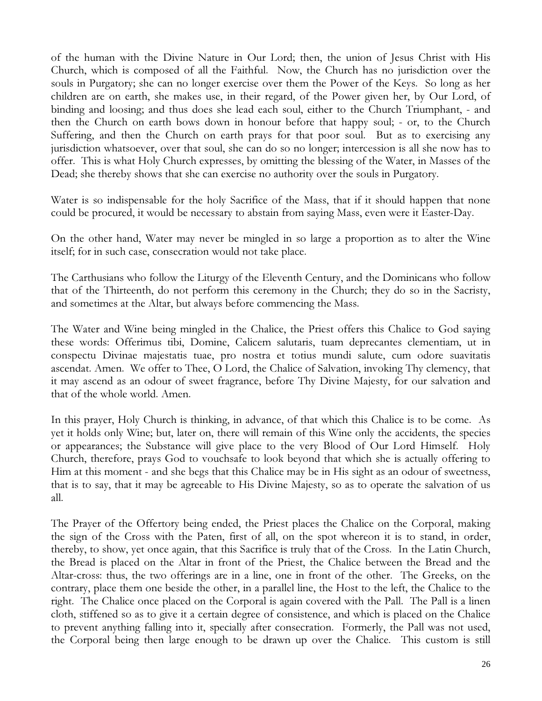of the human with the Divine Nature in Our Lord; then, the union of Jesus Christ with His Church, which is composed of all the Faithful. Now, the Church has no jurisdiction over the souls in Purgatory; she can no longer exercise over them the Power of the Keys. So long as her children are on earth, she makes use, in their regard, of the Power given her, by Our Lord, of binding and loosing; and thus does she lead each soul, either to the Church Triumphant, - and then the Church on earth bows down in honour before that happy soul; - or, to the Church Suffering, and then the Church on earth prays for that poor soul. But as to exercising any jurisdiction whatsoever, over that soul, she can do so no longer; intercession is all she now has to offer. This is what Holy Church expresses, by omitting the blessing of the Water, in Masses of the Dead; she thereby shows that she can exercise no authority over the souls in Purgatory.

Water is so indispensable for the holy Sacrifice of the Mass, that if it should happen that none could be procured, it would be necessary to abstain from saying Mass, even were it Easter-Day.

On the other hand, Water may never be mingled in so large a proportion as to alter the Wine itself; for in such case, consecration would not take place.

The Carthusians who follow the Liturgy of the Eleventh Century, and the Dominicans who follow that of the Thirteenth, do not perform this ceremony in the Church; they do so in the Sacristy, and sometimes at the Altar, but always before commencing the Mass.

The Water and Wine being mingled in the Chalice, the Priest offers this Chalice to God saying these words: Offerimus tibi, Domine, Calicem salutaris, tuam deprecantes clementiam, ut in conspectu Divinae majestatis tuae, pro nostra et totius mundi salute, cum odore suavitatis ascendat. Amen. We offer to Thee, O Lord, the Chalice of Salvation, invoking Thy clemency, that it may ascend as an odour of sweet fragrance, before Thy Divine Majesty, for our salvation and that of the whole world. Amen.

In this prayer, Holy Church is thinking, in advance, of that which this Chalice is to be come. As yet it holds only Wine; but, later on, there will remain of this Wine only the accidents, the species or appearances; the Substance will give place to the very Blood of Our Lord Himself. Holy Church, therefore, prays God to vouchsafe to look beyond that which she is actually offering to Him at this moment - and she begs that this Chalice may be in His sight as an odour of sweetness, that is to say, that it may be agreeable to His Divine Majesty, so as to operate the salvation of us all.

The Prayer of the Offertory being ended, the Priest places the Chalice on the Corporal, making the sign of the Cross with the Paten, first of all, on the spot whereon it is to stand, in order, thereby, to show, yet once again, that this Sacrifice is truly that of the Cross. In the Latin Church, the Bread is placed on the Altar in front of the Priest, the Chalice between the Bread and the Altar-cross: thus, the two offerings are in a line, one in front of the other. The Greeks, on the contrary, place them one beside the other, in a parallel line, the Host to the left, the Chalice to the right. The Chalice once placed on the Corporal is again covered with the Pall. The Pall is a linen cloth, stiffened so as to give it a certain degree of consistence, and which is placed on the Chalice to prevent anything falling into it, specially after consecration. Formerly, the Pall was not used, the Corporal being then large enough to be drawn up over the Chalice. This custom is still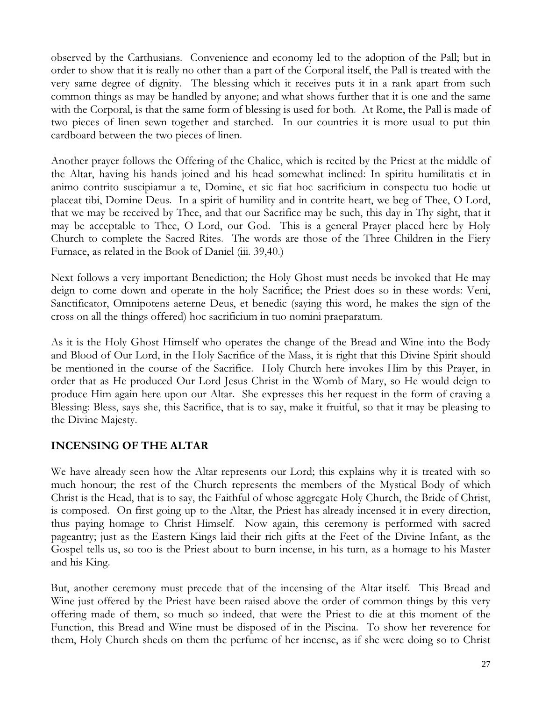observed by the Carthusians. Convenience and economy led to the adoption of the Pall; but in order to show that it is really no other than a part of the Corporal itself, the Pall is treated with the very same degree of dignity. The blessing which it receives puts it in a rank apart from such common things as may be handled by anyone; and what shows further that it is one and the same with the Corporal, is that the same form of blessing is used for both. At Rome, the Pall is made of two pieces of linen sewn together and starched. In our countries it is more usual to put thin cardboard between the two pieces of linen.

Another prayer follows the Offering of the Chalice, which is recited by the Priest at the middle of the Altar, having his hands joined and his head somewhat inclined: In spiritu humilitatis et in animo contrito suscipiamur a te, Domine, et sic fiat hoc sacrificium in conspectu tuo hodie ut placeat tibi, Domine Deus. In a spirit of humility and in contrite heart, we beg of Thee, O Lord, that we may be received by Thee, and that our Sacrifice may be such, this day in Thy sight, that it may be acceptable to Thee, O Lord, our God. This is a general Prayer placed here by Holy Church to complete the Sacred Rites. The words are those of the Three Children in the Fiery Furnace, as related in the Book of Daniel (iii. 39,40.)

Next follows a very important Benediction; the Holy Ghost must needs be invoked that He may deign to come down and operate in the holy Sacrifice; the Priest does so in these words: Veni, Sanctificator, Omnipotens aeterne Deus, et benedic (saying this word, he makes the sign of the cross on all the things offered) hoc sacrificium in tuo nomini praeparatum.

As it is the Holy Ghost Himself who operates the change of the Bread and Wine into the Body and Blood of Our Lord, in the Holy Sacrifice of the Mass, it is right that this Divine Spirit should be mentioned in the course of the Sacrifice. Holy Church here invokes Him by this Prayer, in order that as He produced Our Lord Jesus Christ in the Womb of Mary, so He would deign to produce Him again here upon our Altar. She expresses this her request in the form of craving a Blessing: Bless, says she, this Sacrifice, that is to say, make it fruitful, so that it may be pleasing to the Divine Majesty.

# INCENSING OF THE ALTAR

We have already seen how the Altar represents our Lord; this explains why it is treated with so much honour; the rest of the Church represents the members of the Mystical Body of which Christ is the Head, that is to say, the Faithful of whose aggregate Holy Church, the Bride of Christ, is composed. On first going up to the Altar, the Priest has already incensed it in every direction, thus paying homage to Christ Himself. Now again, this ceremony is performed with sacred pageantry; just as the Eastern Kings laid their rich gifts at the Feet of the Divine Infant, as the Gospel tells us, so too is the Priest about to burn incense, in his turn, as a homage to his Master and his King.

But, another ceremony must precede that of the incensing of the Altar itself. This Bread and Wine just offered by the Priest have been raised above the order of common things by this very offering made of them, so much so indeed, that were the Priest to die at this moment of the Function, this Bread and Wine must be disposed of in the Piscina. To show her reverence for them, Holy Church sheds on them the perfume of her incense, as if she were doing so to Christ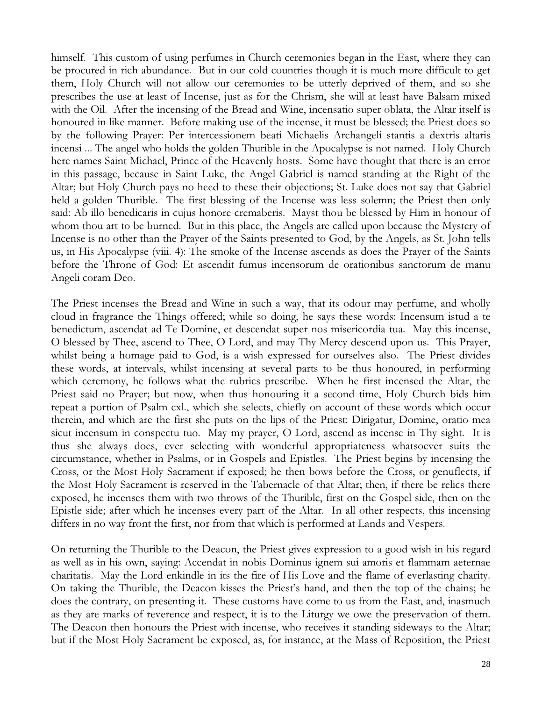himself. This custom of using perfumes in Church ceremonies began in the East, where they can be procured in rich abundance. But in our cold countries though it is much more difficult to get them, Holy Church will not allow our ceremonies to be utterly deprived of them, and so she prescribes the use at least of Incense, just as for the Chrism, she will at least have Balsam mixed with the Oil. After the incensing of the Bread and Wine, incensatio super oblata, the Altar itself is honoured in like manner. Before making use of the incense, it must be blessed; the Priest does so by the following Prayer: Per intercessionem beati Michaelis Archangeli stantis a dextris altaris incensi ... The angel who holds the golden Thurible in the Apocalypse is not named. Holy Church here names Saint Michael, Prince of the Heavenly hosts. Some have thought that there is an error in this passage, because in Saint Luke, the Angel Gabriel is named standing at the Right of the Altar; but Holy Church pays no heed to these their objections; St. Luke does not say that Gabriel held a golden Thurible. The first blessing of the Incense was less solemn; the Priest then only said: Ab illo benedicaris in cujus honore cremaberis. Mayst thou be blessed by Him in honour of whom thou art to be burned. But in this place, the Angels are called upon because the Mystery of Incense is no other than the Prayer of the Saints presented to God, by the Angels, as St. John tells us, in His Apocalypse (viii. 4): The smoke of the Incense ascends as does the Prayer of the Saints before the Throne of God: Et ascendit fumus incensorum de orationibus sanctorum de manu Angeli coram Deo.

The Priest incenses the Bread and Wine in such a way, that its odour may perfume, and wholly cloud in fragrance the Things offered; while so doing, he says these words: Incensum istud a te benedictum, ascendat ad Te Domine, et descendat super nos misericordia tua. May this incense, O blessed by Thee, ascend to Thee, O Lord, and may Thy Mercy descend upon us. This Prayer, whilst being a homage paid to God, is a wish expressed for ourselves also. The Priest divides these words, at intervals, whilst incensing at several parts to be thus honoured, in performing which ceremony, he follows what the rubrics prescribe. When he first incensed the Altar, the Priest said no Prayer; but now, when thus honouring it a second time, Holy Church bids him repeat a portion of Psalm cxl., which she selects, chiefly on account of these words which occur therein, and which are the first she puts on the lips of the Priest: Dirigatur, Domine, oratio mea sicut incensum in conspectu tuo. May my prayer, O Lord, ascend as incense in Thy sight. It is thus she always does, ever selecting with wonderful appropriateness whatsoever suits the circumstance, whether in Psalms, or in Gospels and Epistles. The Priest begins by incensing the Cross, or the Most Holy Sacrament if exposed; he then bows before the Cross, or genuflects, if the Most Holy Sacrament is reserved in the Tabernacle of that Altar; then, if there be relics there exposed, he incenses them with two throws of the Thurible, first on the Gospel side, then on the Epistle side; after which he incenses every part of the Altar. In all other respects, this incensing differs in no way front the first, nor from that which is performed at Lands and Vespers.

On returning the Thurible to the Deacon, the Priest gives expression to a good wish in his regard as well as in his own, saying: Accendat in nobis Dominus ignem sui amoris et flammam aeternae charitatis. May the Lord enkindle in its the fire of His Love and the flame of everlasting charity. On taking the Thurible, the Deacon kisses the Priest's hand, and then the top of the chains; he does the contrary, on presenting it. These customs have come to us from the East, and, inasmuch as they are marks of reverence and respect, it is to the Liturgy we owe the preservation of them. The Deacon then honours the Priest with incense, who receives it standing sideways to the Altar; but if the Most Holy Sacrament be exposed, as, for instance, at the Mass of Reposition, the Priest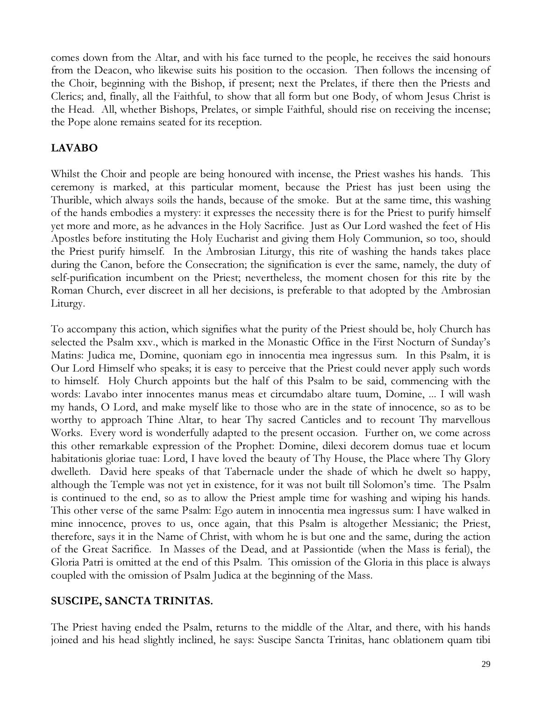comes down from the Altar, and with his face turned to the people, he receives the said honours from the Deacon, who likewise suits his position to the occasion. Then follows the incensing of the Choir, beginning with the Bishop, if present; next the Prelates, if there then the Priests and Clerics; and, finally, all the Faithful, to show that all form but one Body, of whom Jesus Christ is the Head. All, whether Bishops, Prelates, or simple Faithful, should rise on receiving the incense; the Pope alone remains seated for its reception.

## LAVABO

Whilst the Choir and people are being honoured with incense, the Priest washes his hands. This ceremony is marked, at this particular moment, because the Priest has just been using the Thurible, which always soils the hands, because of the smoke. But at the same time, this washing of the hands embodies a mystery: it expresses the necessity there is for the Priest to purify himself yet more and more, as he advances in the Holy Sacrifice. Just as Our Lord washed the feet of His Apostles before instituting the Holy Eucharist and giving them Holy Communion, so too, should the Priest purify himself. In the Ambrosian Liturgy, this rite of washing the hands takes place during the Canon, before the Consecration; the signification is ever the same, namely, the duty of self-purification incumbent on the Priest; nevertheless, the moment chosen for this rite by the Roman Church, ever discreet in all her decisions, is preferable to that adopted by the Ambrosian Liturgy.

To accompany this action, which signifies what the purity of the Priest should be, holy Church has selected the Psalm xxv., which is marked in the Monastic Office in the First Nocturn of Sunday's Matins: Judica me, Domine, quoniam ego in innocentia mea ingressus sum. In this Psalm, it is Our Lord Himself who speaks; it is easy to perceive that the Priest could never apply such words to himself. Holy Church appoints but the half of this Psalm to be said, commencing with the words: Lavabo inter innocentes manus meas et circumdabo altare tuum, Domine, ... I will wash my hands, O Lord, and make myself like to those who are in the state of innocence, so as to be worthy to approach Thine Altar, to hear Thy sacred Canticles and to recount Thy marvellous Works. Every word is wonderfully adapted to the present occasion. Further on, we come across this other remarkable expression of the Prophet: Domine, dilexi decorem domus tuae et locum habitationis gloriae tuae: Lord, I have loved the beauty of Thy House, the Place where Thy Glory dwelleth. David here speaks of that Tabernacle under the shade of which he dwelt so happy, although the Temple was not yet in existence, for it was not built till Solomon's time. The Psalm is continued to the end, so as to allow the Priest ample time for washing and wiping his hands. This other verse of the same Psalm: Ego autem in innocentia mea ingressus sum: I have walked in mine innocence, proves to us, once again, that this Psalm is altogether Messianic; the Priest, therefore, says it in the Name of Christ, with whom he is but one and the same, during the action of the Great Sacrifice. In Masses of the Dead, and at Passiontide (when the Mass is ferial), the Gloria Patri is omitted at the end of this Psalm. This omission of the Gloria in this place is always coupled with the omission of Psalm Judica at the beginning of the Mass.

## SUSCIPE, SANCTA TRINITAS.

The Priest having ended the Psalm, returns to the middle of the Altar, and there, with his hands joined and his head slightly inclined, he says: Suscipe Sancta Trinitas, hanc oblationem quam tibi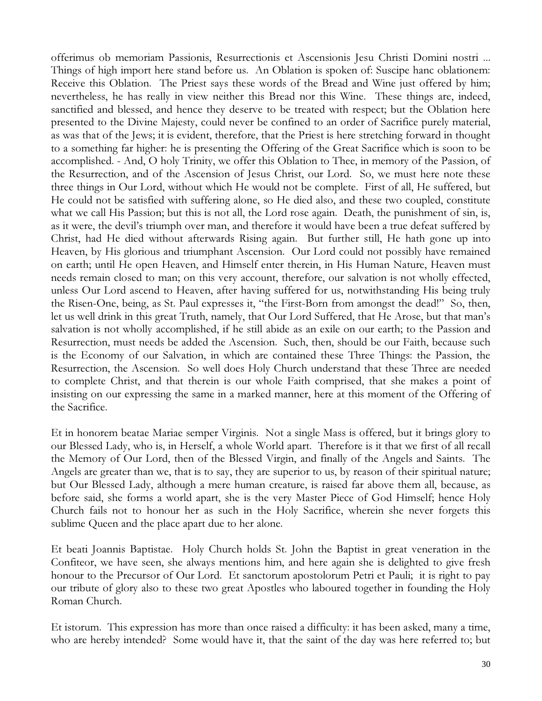offerimus ob memoriam Passionis, Resurrectionis et Ascensionis Jesu Christi Domini nostri ... Things of high import here stand before us. An Oblation is spoken of: Suscipe hanc oblationem: Receive this Oblation. The Priest says these words of the Bread and Wine just offered by him; nevertheless, he has really in view neither this Bread nor this Wine. These things are, indeed, sanctified and blessed, and hence they deserve to be treated with respect; but the Oblation here presented to the Divine Majesty, could never be confined to an order of Sacrifice purely material, as was that of the Jews; it is evident, therefore, that the Priest is here stretching forward in thought to a something far higher: he is presenting the Offering of the Great Sacrifice which is soon to be accomplished. - And, O holy Trinity, we offer this Oblation to Thee, in memory of the Passion, of the Resurrection, and of the Ascension of Jesus Christ, our Lord. So, we must here note these three things in Our Lord, without which He would not be complete. First of all, He suffered, but He could not be satisfied with suffering alone, so He died also, and these two coupled, constitute what we call His Passion; but this is not all, the Lord rose again. Death, the punishment of sin, is, as it were, the devil's triumph over man, and therefore it would have been a true defeat suffered by Christ, had He died without afterwards Rising again. But further still, He hath gone up into Heaven, by His glorious and triumphant Ascension. Our Lord could not possibly have remained on earth; until He open Heaven, and Himself enter therein, in His Human Nature, Heaven must needs remain closed to man; on this very account, therefore, our salvation is not wholly effected, unless Our Lord ascend to Heaven, after having suffered for us, notwithstanding His being truly the Risen-One, being, as St. Paul expresses it, "the First-Born from amongst the dead!" So, then, let us well drink in this great Truth, namely, that Our Lord Suffered, that He Arose, but that man's salvation is not wholly accomplished, if he still abide as an exile on our earth; to the Passion and Resurrection, must needs be added the Ascension. Such, then, should be our Faith, because such is the Economy of our Salvation, in which are contained these Three Things: the Passion, the Resurrection, the Ascension. So well does Holy Church understand that these Three are needed to complete Christ, and that therein is our whole Faith comprised, that she makes a point of insisting on our expressing the same in a marked manner, here at this moment of the Offering of the Sacrifice.

Et in honorem beatae Mariae semper Virginis. Not a single Mass is offered, but it brings glory to our Blessed Lady, who is, in Herself, a whole World apart. Therefore is it that we first of all recall the Memory of Our Lord, then of the Blessed Virgin, and finally of the Angels and Saints. The Angels are greater than we, that is to say, they are superior to us, by reason of their spiritual nature; but Our Blessed Lady, although a mere human creature, is raised far above them all, because, as before said, she forms a world apart, she is the very Master Piece of God Himself; hence Holy Church fails not to honour her as such in the Holy Sacrifice, wherein she never forgets this sublime Queen and the place apart due to her alone.

Et beati Joannis Baptistae. Holy Church holds St. John the Baptist in great veneration in the Confiteor, we have seen, she always mentions him, and here again she is delighted to give fresh honour to the Precursor of Our Lord. Et sanctorum apostolorum Petri et Pauli; it is right to pay our tribute of glory also to these two great Apostles who laboured together in founding the Holy Roman Church.

Et istorum. This expression has more than once raised a difficulty: it has been asked, many a time, who are hereby intended? Some would have it, that the saint of the day was here referred to; but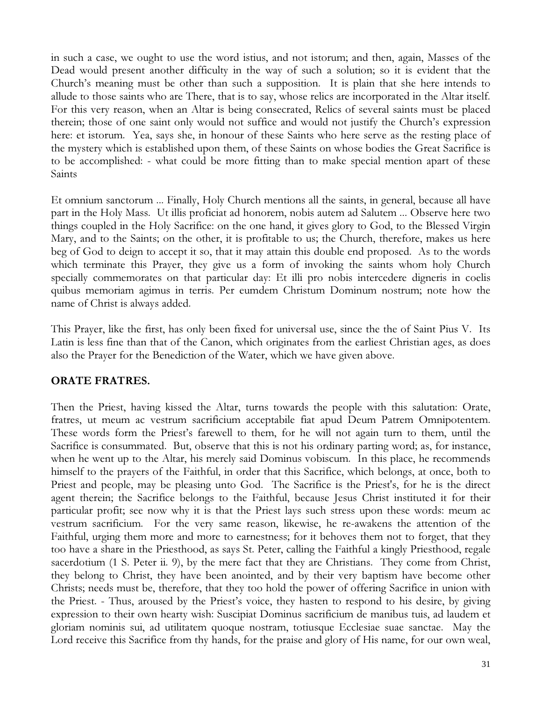in such a case, we ought to use the word istius, and not istorum; and then, again, Masses of the Dead would present another difficulty in the way of such a solution; so it is evident that the Church's meaning must be other than such a supposition. It is plain that she here intends to allude to those saints who are There, that is to say, whose relics are incorporated in the Altar itself. For this very reason, when an Altar is being consecrated, Relics of several saints must be placed therein; those of one saint only would not suffice and would not justify the Church's expression here: et istorum. Yea, says she, in honour of these Saints who here serve as the resting place of the mystery which is established upon them, of these Saints on whose bodies the Great Sacrifice is to be accomplished: - what could be more fitting than to make special mention apart of these Saints

Et omnium sanctorum ... Finally, Holy Church mentions all the saints, in general, because all have part in the Holy Mass. Ut illis proficiat ad honorem, nobis autem ad Salutem ... Observe here two things coupled in the Holy Sacrifice: on the one hand, it gives glory to God, to the Blessed Virgin Mary, and to the Saints; on the other, it is profitable to us; the Church, therefore, makes us here beg of God to deign to accept it so, that it may attain this double end proposed. As to the words which terminate this Prayer, they give us a form of invoking the saints whom holy Church specially commemorates on that particular day: Et illi pro nobis intercedere digneris in coelis quibus memoriam agimus in terris. Per eumdem Christum Dominum nostrum; note how the name of Christ is always added.

This Prayer, like the first, has only been fixed for universal use, since the the of Saint Pius V. Its Latin is less fine than that of the Canon, which originates from the earliest Christian ages, as does also the Prayer for the Benediction of the Water, which we have given above.

## ORATE FRATRES.

Then the Priest, having kissed the Altar, turns towards the people with this salutation: Orate, fratres, ut meum ac vestrum sacrificium acceptabile fiat apud Deum Patrem Omnipotentem. These words form the Priest's farewell to them, for he will not again turn to them, until the Sacrifice is consummated. But, observe that this is not his ordinary parting word; as, for instance, when he went up to the Altar, his merely said Dominus vobiscum. In this place, he recommends himself to the prayers of the Faithful, in order that this Sacrifice, which belongs, at once, both to Priest and people, may be pleasing unto God. The Sacrifice is the Priest's, for he is the direct agent therein; the Sacrifice belongs to the Faithful, because Jesus Christ instituted it for their particular profit; see now why it is that the Priest lays such stress upon these words: meum ac vestrum sacrificium. For the very same reason, likewise, he re-awakens the attention of the Faithful, urging them more and more to earnestness; for it behoves them not to forget, that they too have a share in the Priesthood, as says St. Peter, calling the Faithful a kingly Priesthood, regale sacerdotium (1 S. Peter ii. 9), by the mere fact that they are Christians. They come from Christ, they belong to Christ, they have been anointed, and by their very baptism have become other Christs; needs must be, therefore, that they too hold the power of offering Sacrifice in union with the Priest. - Thus, aroused by the Priest's voice, they hasten to respond to his desire, by giving expression to their own hearty wish: Suscipiat Dominus sacrificium de manibus tuis, ad laudem et gloriam nominis sui, ad utilitatem quoque nostram, totiusque Ecclesiae suae sanctae. May the Lord receive this Sacrifice from thy hands, for the praise and glory of His name, for our own weal,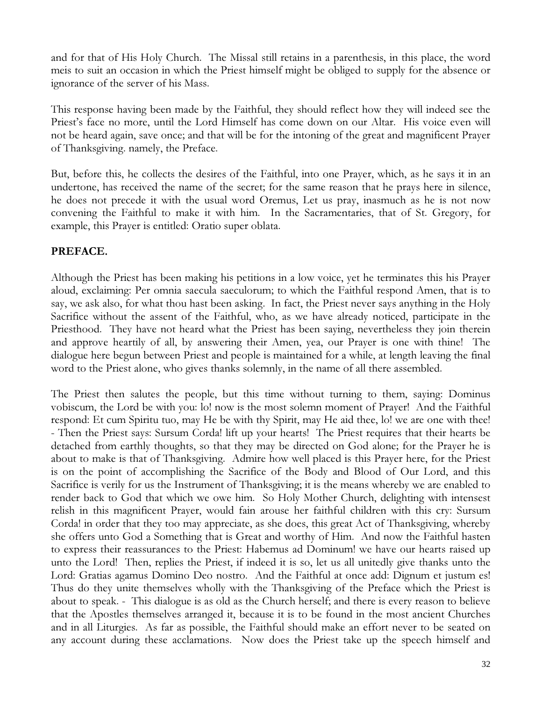and for that of His Holy Church. The Missal still retains in a parenthesis, in this place, the word meis to suit an occasion in which the Priest himself might be obliged to supply for the absence or ignorance of the server of his Mass.

This response having been made by the Faithful, they should reflect how they will indeed see the Priest's face no more, until the Lord Himself has come down on our Altar. His voice even will not be heard again, save once; and that will be for the intoning of the great and magnificent Prayer of Thanksgiving. namely, the Preface.

But, before this, he collects the desires of the Faithful, into one Prayer, which, as he says it in an undertone, has received the name of the secret; for the same reason that he prays here in silence, he does not precede it with the usual word Oremus, Let us pray, inasmuch as he is not now convening the Faithful to make it with him. In the Sacramentaries, that of St. Gregory, for example, this Prayer is entitled: Oratio super oblata.

## PREFACE.

Although the Priest has been making his petitions in a low voice, yet he terminates this his Prayer aloud, exclaiming: Per omnia saecula saeculorum; to which the Faithful respond Amen, that is to say, we ask also, for what thou hast been asking. In fact, the Priest never says anything in the Holy Sacrifice without the assent of the Faithful, who, as we have already noticed, participate in the Priesthood. They have not heard what the Priest has been saying, nevertheless they join therein and approve heartily of all, by answering their Amen, yea, our Prayer is one with thine! The dialogue here begun between Priest and people is maintained for a while, at length leaving the final word to the Priest alone, who gives thanks solemnly, in the name of all there assembled.

The Priest then salutes the people, but this time without turning to them, saying: Dominus vobiscum, the Lord be with you: lo! now is the most solemn moment of Prayer! And the Faithful respond: Et cum Spiritu tuo, may He be with thy Spirit, may He aid thee, lo! we are one with thee! - Then the Priest says: Sursum Corda! lift up your hearts! The Priest requires that their hearts be detached from earthly thoughts, so that they may be directed on God alone; for the Prayer he is about to make is that of Thanksgiving. Admire how well placed is this Prayer here, for the Priest is on the point of accomplishing the Sacrifice of the Body and Blood of Our Lord, and this Sacrifice is verily for us the Instrument of Thanksgiving; it is the means whereby we are enabled to render back to God that which we owe him. So Holy Mother Church, delighting with intensest relish in this magnificent Prayer, would fain arouse her faithful children with this cry: Sursum Corda! in order that they too may appreciate, as she does, this great Act of Thanksgiving, whereby she offers unto God a Something that is Great and worthy of Him. And now the Faithful hasten to express their reassurances to the Priest: Habemus ad Dominum! we have our hearts raised up unto the Lord! Then, replies the Priest, if indeed it is so, let us all unitedly give thanks unto the Lord: Gratias agamus Domino Deo nostro. And the Faithful at once add: Dignum et justum es! Thus do they unite themselves wholly with the Thanksgiving of the Preface which the Priest is about to speak. - This dialogue is as old as the Church herself; and there is every reason to believe that the Apostles themselves arranged it, because it is to be found in the most ancient Churches and in all Liturgies. As far as possible, the Faithful should make an effort never to be seated on any account during these acclamations. Now does the Priest take up the speech himself and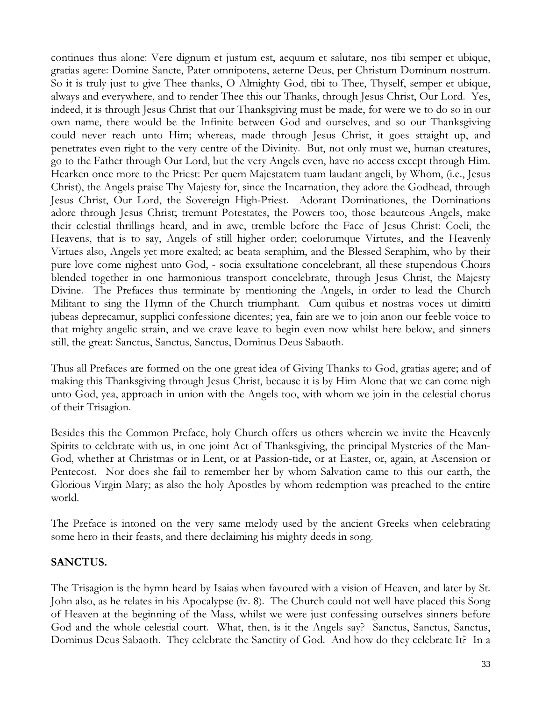continues thus alone: Vere dignum et justum est, aequum et salutare, nos tibi semper et ubique, gratias agere: Domine Sancte, Pater omnipotens, aeterne Deus, per Christum Dominum nostrum. So it is truly just to give Thee thanks, O Almighty God, tibi to Thee, Thyself, semper et ubique, always and everywhere, and to render Thee this our Thanks, through Jesus Christ, Our Lord. Yes, indeed, it is through Jesus Christ that our Thanksgiving must be made, for were we to do so in our own name, there would be the Infinite between God and ourselves, and so our Thanksgiving could never reach unto Him; whereas, made through Jesus Christ, it goes straight up, and penetrates even right to the very centre of the Divinity. But, not only must we, human creatures, go to the Father through Our Lord, but the very Angels even, have no access except through Him. Hearken once more to the Priest: Per quem Majestatem tuam laudant angeli, by Whom, (i.e., Jesus Christ), the Angels praise Thy Majesty for, since the Incarnation, they adore the Godhead, through Jesus Christ, Our Lord, the Sovereign High-Priest. Adorant Dominationes, the Dominations adore through Jesus Christ; tremunt Potestates, the Powers too, those beauteous Angels, make their celestial thrillings heard, and in awe, tremble before the Face of Jesus Christ: Coeli, the Heavens, that is to say, Angels of still higher order; coelorumque Virtutes, and the Heavenly Virtues also, Angels yet more exalted; ac beata seraphim, and the Blessed Seraphim, who by their pure love come nighest unto God, - socia exsultatione concelebrant, all these stupendous Choirs blended together in one harmonious transport concelebrate, through Jesus Christ, the Majesty Divine. The Prefaces thus terminate by mentioning the Angels, in order to lead the Church Militant to sing the Hymn of the Church triumphant. Cum quibus et nostras voces ut dimitti jubeas deprecamur, supplici confessione dicentes; yea, fain are we to join anon our feeble voice to that mighty angelic strain, and we crave leave to begin even now whilst here below, and sinners still, the great: Sanctus, Sanctus, Sanctus, Dominus Deus Sabaoth.

Thus all Prefaces are formed on the one great idea of Giving Thanks to God, gratias agere; and of making this Thanksgiving through Jesus Christ, because it is by Him Alone that we can come nigh unto God, yea, approach in union with the Angels too, with whom we join in the celestial chorus of their Trisagion.

Besides this the Common Preface, holy Church offers us others wherein we invite the Heavenly Spirits to celebrate with us, in one joint Act of Thanksgiving, the principal Mysteries of the Man-God, whether at Christmas or in Lent, or at Passion-tide, or at Easter, or, again, at Ascension or Pentecost. Nor does she fail to remember her by whom Salvation came to this our earth, the Glorious Virgin Mary; as also the holy Apostles by whom redemption was preached to the entire world.

The Preface is intoned on the very same melody used by the ancient Greeks when celebrating some hero in their feasts, and there declaiming his mighty deeds in song.

## SANCTUS.

The Trisagion is the hymn heard by Isaias when favoured with a vision of Heaven, and later by St. John also, as he relates in his Apocalypse (iv. 8). The Church could not well have placed this Song of Heaven at the beginning of the Mass, whilst we were just confessing ourselves sinners before God and the whole celestial court. What, then, is it the Angels say? Sanctus, Sanctus, Sanctus, Dominus Deus Sabaoth. They celebrate the Sanctity of God. And how do they celebrate It? In a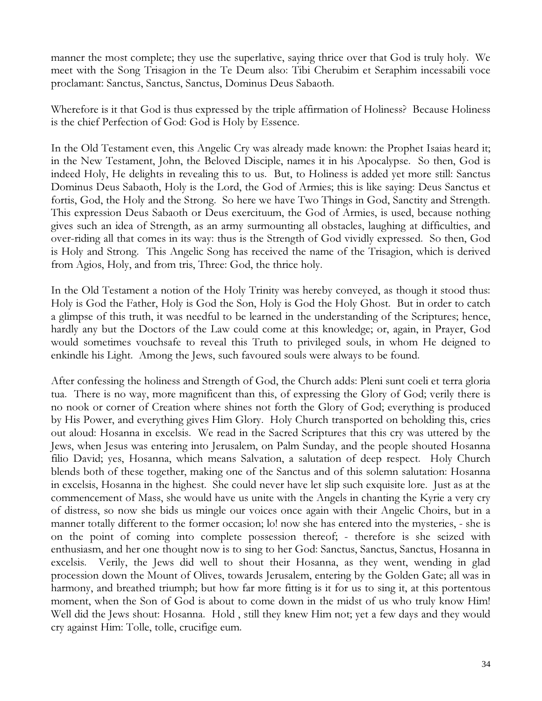manner the most complete; they use the superlative, saying thrice over that God is truly holy. We meet with the Song Trisagion in the Te Deum also: Tibi Cherubim et Seraphim incessabili voce proclamant: Sanctus, Sanctus, Sanctus, Dominus Deus Sabaoth.

Wherefore is it that God is thus expressed by the triple affirmation of Holiness? Because Holiness is the chief Perfection of God: God is Holy by Essence.

In the Old Testament even, this Angelic Cry was already made known: the Prophet Isaias heard it; in the New Testament, John, the Beloved Disciple, names it in his Apocalypse. So then, God is indeed Holy, He delights in revealing this to us. But, to Holiness is added yet more still: Sanctus Dominus Deus Sabaoth, Holy is the Lord, the God of Armies; this is like saying: Deus Sanctus et fortis, God, the Holy and the Strong. So here we have Two Things in God, Sanctity and Strength. This expression Deus Sabaoth or Deus exercituum, the God of Armies, is used, because nothing gives such an idea of Strength, as an army surmounting all obstacles, laughing at difficulties, and over-riding all that comes in its way: thus is the Strength of God vividly expressed. So then, God is Holy and Strong. This Angelic Song has received the name of the Trisagion, which is derived from Agios, Holy, and from tris, Three: God, the thrice holy.

In the Old Testament a notion of the Holy Trinity was hereby conveyed, as though it stood thus: Holy is God the Father, Holy is God the Son, Holy is God the Holy Ghost. But in order to catch a glimpse of this truth, it was needful to be learned in the understanding of the Scriptures; hence, hardly any but the Doctors of the Law could come at this knowledge; or, again, in Prayer, God would sometimes vouchsafe to reveal this Truth to privileged souls, in whom He deigned to enkindle his Light. Among the Jews, such favoured souls were always to be found.

After confessing the holiness and Strength of God, the Church adds: Pleni sunt coeli et terra gloria tua. There is no way, more magnificent than this, of expressing the Glory of God; verily there is no nook or corner of Creation where shines not forth the Glory of God; everything is produced by His Power, and everything gives Him Glory. Holy Church transported on beholding this, cries out aloud: Hosanna in excelsis. We read in the Sacred Scriptures that this cry was uttered by the Jews, when Jesus was entering into Jerusalem, on Palm Sunday, and the people shouted Hosanna filio David; yes, Hosanna, which means Salvation, a salutation of deep respect. Holy Church blends both of these together, making one of the Sanctus and of this solemn salutation: Hosanna in excelsis, Hosanna in the highest. She could never have let slip such exquisite lore. Just as at the commencement of Mass, she would have us unite with the Angels in chanting the Kyrie a very cry of distress, so now she bids us mingle our voices once again with their Angelic Choirs, but in a manner totally different to the former occasion; lo! now she has entered into the mysteries, - she is on the point of coming into complete possession thereof; - therefore is she seized with enthusiasm, and her one thought now is to sing to her God: Sanctus, Sanctus, Sanctus, Hosanna in excelsis. Verily, the Jews did well to shout their Hosanna, as they went, wending in glad procession down the Mount of Olives, towards Jerusalem, entering by the Golden Gate; all was in harmony, and breathed triumph; but how far more fitting is it for us to sing it, at this portentous moment, when the Son of God is about to come down in the midst of us who truly know Him! Well did the Jews shout: Hosanna. Hold , still they knew Him not; yet a few days and they would cry against Him: Tolle, tolle, crucifige eum.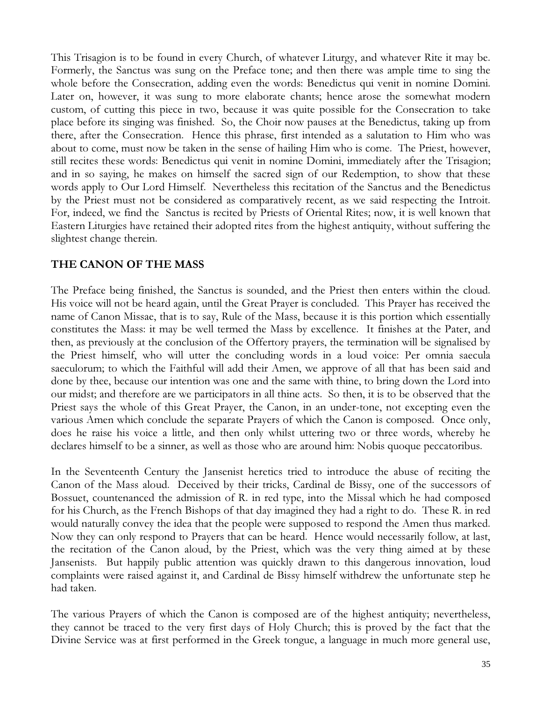This Trisagion is to be found in every Church, of whatever Liturgy, and whatever Rite it may be. Formerly, the Sanctus was sung on the Preface tone; and then there was ample time to sing the whole before the Consecration, adding even the words: Benedictus qui venit in nomine Domini. Later on, however, it was sung to more elaborate chants; hence arose the somewhat modern custom, of cutting this piece in two, because it was quite possible for the Consecration to take place before its singing was finished. So, the Choir now pauses at the Benedictus, taking up from there, after the Consecration. Hence this phrase, first intended as a salutation to Him who was about to come, must now be taken in the sense of hailing Him who is come. The Priest, however, still recites these words: Benedictus qui venit in nomine Domini, immediately after the Trisagion; and in so saying, he makes on himself the sacred sign of our Redemption, to show that these words apply to Our Lord Himself. Nevertheless this recitation of the Sanctus and the Benedictus by the Priest must not be considered as comparatively recent, as we said respecting the Introit. For, indeed, we find the Sanctus is recited by Priests of Oriental Rites; now, it is well known that Eastern Liturgies have retained their adopted rites from the highest antiquity, without suffering the slightest change therein.

### THE CANON OF THE MASS

The Preface being finished, the Sanctus is sounded, and the Priest then enters within the cloud. His voice will not be heard again, until the Great Prayer is concluded. This Prayer has received the name of Canon Missae, that is to say, Rule of the Mass, because it is this portion which essentially constitutes the Mass: it may be well termed the Mass by excellence. It finishes at the Pater, and then, as previously at the conclusion of the Offertory prayers, the termination will be signalised by the Priest himself, who will utter the concluding words in a loud voice: Per omnia saecula saeculorum; to which the Faithful will add their Amen, we approve of all that has been said and done by thee, because our intention was one and the same with thine, to bring down the Lord into our midst; and therefore are we participators in all thine acts. So then, it is to be observed that the Priest says the whole of this Great Prayer, the Canon, in an under-tone, not excepting even the various Amen which conclude the separate Prayers of which the Canon is composed. Once only, does he raise his voice a little, and then only whilst uttering two or three words, whereby he declares himself to be a sinner, as well as those who are around him: Nobis quoque peccatoribus.

In the Seventeenth Century the Jansenist heretics tried to introduce the abuse of reciting the Canon of the Mass aloud. Deceived by their tricks, Cardinal de Bissy, one of the successors of Bossuet, countenanced the admission of R. in red type, into the Missal which he had composed for his Church, as the French Bishops of that day imagined they had a right to do. These R. in red would naturally convey the idea that the people were supposed to respond the Amen thus marked. Now they can only respond to Prayers that can be heard. Hence would necessarily follow, at last, the recitation of the Canon aloud, by the Priest, which was the very thing aimed at by these Jansenists. But happily public attention was quickly drawn to this dangerous innovation, loud complaints were raised against it, and Cardinal de Bissy himself withdrew the unfortunate step he had taken.

The various Prayers of which the Canon is composed are of the highest antiquity; nevertheless, they cannot be traced to the very first days of Holy Church; this is proved by the fact that the Divine Service was at first performed in the Greek tongue, a language in much more general use,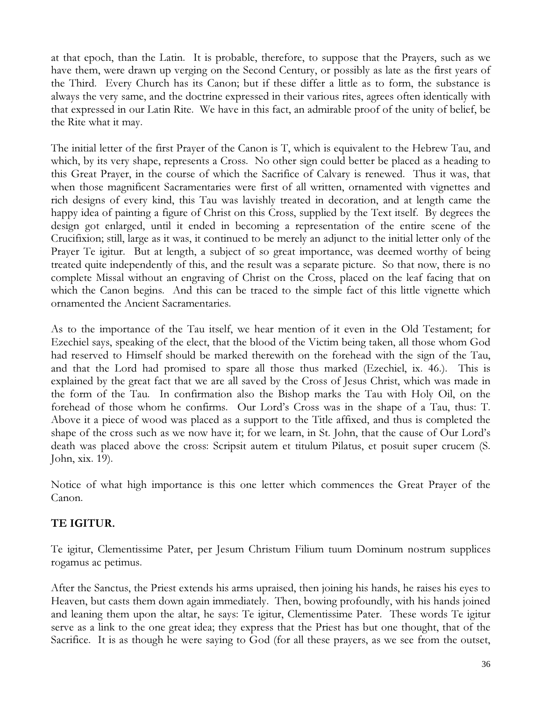at that epoch, than the Latin. It is probable, therefore, to suppose that the Prayers, such as we have them, were drawn up verging on the Second Century, or possibly as late as the first years of the Third. Every Church has its Canon; but if these differ a little as to form, the substance is always the very same, and the doctrine expressed in their various rites, agrees often identically with that expressed in our Latin Rite. We have in this fact, an admirable proof of the unity of belief, be the Rite what it may.

The initial letter of the first Prayer of the Canon is T, which is equivalent to the Hebrew Tau, and which, by its very shape, represents a Cross. No other sign could better be placed as a heading to this Great Prayer, in the course of which the Sacrifice of Calvary is renewed. Thus it was, that when those magnificent Sacramentaries were first of all written, ornamented with vignettes and rich designs of every kind, this Tau was lavishly treated in decoration, and at length came the happy idea of painting a figure of Christ on this Cross, supplied by the Text itself. By degrees the design got enlarged, until it ended in becoming a representation of the entire scene of the Crucifixion; still, large as it was, it continued to be merely an adjunct to the initial letter only of the Prayer Te igitur. But at length, a subject of so great importance, was deemed worthy of being treated quite independently of this, and the result was a separate picture. So that now, there is no complete Missal without an engraving of Christ on the Cross, placed on the leaf facing that on which the Canon begins. And this can be traced to the simple fact of this little vignette which ornamented the Ancient Sacramentaries.

As to the importance of the Tau itself, we hear mention of it even in the Old Testament; for Ezechiel says, speaking of the elect, that the blood of the Victim being taken, all those whom God had reserved to Himself should be marked therewith on the forehead with the sign of the Tau, and that the Lord had promised to spare all those thus marked (Ezechiel, ix. 46.). This is explained by the great fact that we are all saved by the Cross of Jesus Christ, which was made in the form of the Tau. In confirmation also the Bishop marks the Tau with Holy Oil, on the forehead of those whom he confirms. Our Lord's Cross was in the shape of a Tau, thus: T. Above it a piece of wood was placed as a support to the Title affixed, and thus is completed the shape of the cross such as we now have it; for we learn, in St. John, that the cause of Our Lord's death was placed above the cross: Scripsit autem et titulum Pilatus, et posuit super crucem (S. John, xix. 19).

Notice of what high importance is this one letter which commences the Great Prayer of the Canon.

# TE IGITUR.

Te igitur, Clementissime Pater, per Jesum Christum Filium tuum Dominum nostrum supplices rogamus ac petimus.

After the Sanctus, the Priest extends his arms upraised, then joining his hands, he raises his eyes to Heaven, but casts them down again immediately. Then, bowing profoundly, with his hands joined and leaning them upon the altar, he says: Te igitur, Clementissime Pater. These words Te igitur serve as a link to the one great idea; they express that the Priest has but one thought, that of the Sacrifice. It is as though he were saying to God (for all these prayers, as we see from the outset,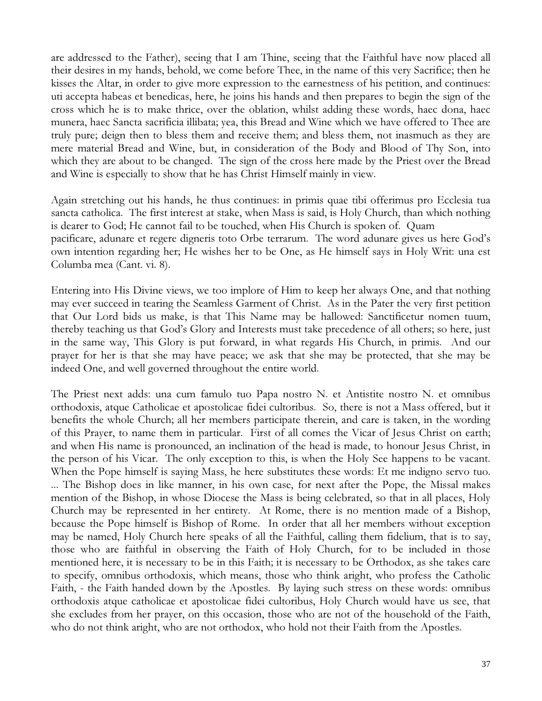are addressed to the Father), seeing that I am Thine, seeing that the Faithful have now placed all their desires in my hands, behold, we come before Thee, in the name of this very Sacrifice; then he kisses the Altar, in order to give more expression to the earnestness of his petition, and continues: uti accepta habeas et benedicas, here, he joins his hands and then prepares to begin the sign of the cross which he is to make thrice, over the oblation, whilst adding these words, haec dona, haec munera, haec Sancta sacrificia illibata; yea, this Bread and Wine which we have offered to Thee are truly pure; deign then to bless them and receive them; and bless them, not inasmuch as they are mere material Bread and Wine, but, in consideration of the Body and Blood of Thy Son, into which they are about to be changed. The sign of the cross here made by the Priest over the Bread and Wine is especially to show that he has Christ Himself mainly in view.

Again stretching out his hands, he thus continues: in primis quae tibi offerimus pro Ecclesia tua sancta catholica. The first interest at stake, when Mass is said, is Holy Church, than which nothing is dearer to God; He cannot fail to be touched, when His Church is spoken of. Quam pacificare, adunare et regere digneris toto Orbe terrarum. The word adunare gives us here God's own intention regarding her; He wishes her to be One, as He himself says in Holy Writ: una est Columba mea (Cant. vi. 8).

Entering into His Divine views, we too implore of Him to keep her always One, and that nothing may ever succeed in tearing the Seamless Garment of Christ. As in the Pater the very first petition that Our Lord bids us make, is that This Name may be hallowed: Sanctificetur nomen tuum, thereby teaching us that God's Glory and Interests must take precedence of all others; so here, just in the same way, This Glory is put forward, in what regards His Church, in primis. And our prayer for her is that she may have peace; we ask that she may be protected, that she may be indeed One, and well governed throughout the entire world.

The Priest next adds: una cum famulo tuo Papa nostro N. et Antistite nostro N. et omnibus orthodoxis, atque Catholicae et apostolicae fidei cultoribus. So, there is not a Mass offered, but it benefits the whole Church; all her members participate therein, and care is taken, in the wording of this Prayer, to name them in particular. First of all comes the Vicar of Jesus Christ on earth; and when His name is pronounced, an inclination of the head is made, to honour Jesus Christ, in the person of his Vicar. The only exception to this, is when the Holy See happens to be vacant. When the Pope himself is saying Mass, he here substitutes these words: Et me indigno servo tuo. ... The Bishop does in like manner, in his own case, for next after the Pope, the Missal makes mention of the Bishop, in whose Diocese the Mass is being celebrated, so that in all places, Holy Church may be represented in her entirety. At Rome, there is no mention made of a Bishop, because the Pope himself is Bishop of Rome. In order that all her members without exception may be named, Holy Church here speaks of all the Faithful, calling them fidelium, that is to say, those who are faithful in observing the Faith of Holy Church, for to be included in those mentioned here, it is necessary to be in this Faith; it is necessary to be Orthodox, as she takes care to specify, omnibus orthodoxis, which means, those who think aright, who profess the Catholic Faith, - the Faith handed down by the Apostles. By laying such stress on these words: omnibus orthodoxis atque catholicae et apostolicae fidei cultoribus, Holy Church would have us see, that she excludes from her prayer, on this occasion, those who are not of the household of the Faith, who do not think aright, who are not orthodox, who hold not their Faith from the Apostles.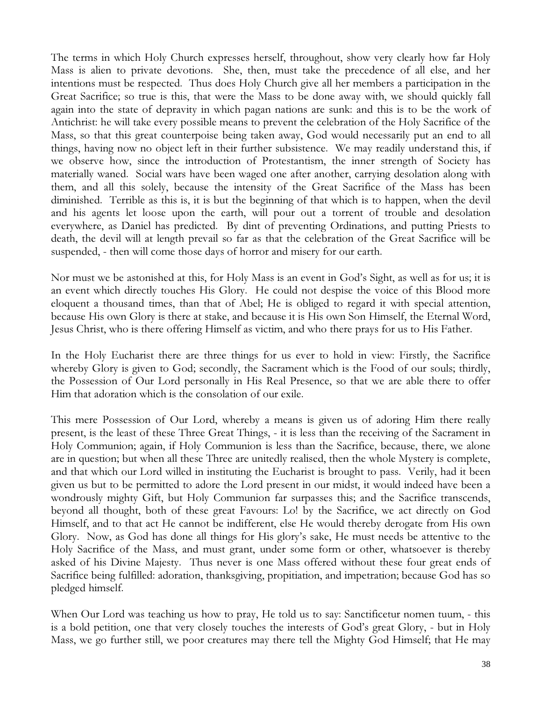The terms in which Holy Church expresses herself, throughout, show very clearly how far Holy Mass is alien to private devotions. She, then, must take the precedence of all else, and her intentions must be respected. Thus does Holy Church give all her members a participation in the Great Sacrifice; so true is this, that were the Mass to be done away with, we should quickly fall again into the state of depravity in which pagan nations are sunk: and this is to be the work of Antichrist: he will take every possible means to prevent the celebration of the Holy Sacrifice of the Mass, so that this great counterpoise being taken away, God would necessarily put an end to all things, having now no object left in their further subsistence. We may readily understand this, if we observe how, since the introduction of Protestantism, the inner strength of Society has materially waned. Social wars have been waged one after another, carrying desolation along with them, and all this solely, because the intensity of the Great Sacrifice of the Mass has been diminished. Terrible as this is, it is but the beginning of that which is to happen, when the devil and his agents let loose upon the earth, will pour out a torrent of trouble and desolation everywhere, as Daniel has predicted. By dint of preventing Ordinations, and putting Priests to death, the devil will at length prevail so far as that the celebration of the Great Sacrifice will be suspended, - then will come those days of horror and misery for our earth.

Nor must we be astonished at this, for Holy Mass is an event in God's Sight, as well as for us; it is an event which directly touches His Glory. He could not despise the voice of this Blood more eloquent a thousand times, than that of Abel; He is obliged to regard it with special attention, because His own Glory is there at stake, and because it is His own Son Himself, the Eternal Word, Jesus Christ, who is there offering Himself as victim, and who there prays for us to His Father.

In the Holy Eucharist there are three things for us ever to hold in view: Firstly, the Sacrifice whereby Glory is given to God; secondly, the Sacrament which is the Food of our souls; thirdly, the Possession of Our Lord personally in His Real Presence, so that we are able there to offer Him that adoration which is the consolation of our exile.

This mere Possession of Our Lord, whereby a means is given us of adoring Him there really present, is the least of these Three Great Things, - it is less than the receiving of the Sacrament in Holy Communion; again, if Holy Communion is less than the Sacrifice, because, there, we alone are in question; but when all these Three are unitedly realised, then the whole Mystery is complete, and that which our Lord willed in instituting the Eucharist is brought to pass. Verily, had it been given us but to be permitted to adore the Lord present in our midst, it would indeed have been a wondrously mighty Gift, but Holy Communion far surpasses this; and the Sacrifice transcends, beyond all thought, both of these great Favours: Lo! by the Sacrifice, we act directly on God Himself, and to that act He cannot be indifferent, else He would thereby derogate from His own Glory. Now, as God has done all things for His glory's sake, He must needs be attentive to the Holy Sacrifice of the Mass, and must grant, under some form or other, whatsoever is thereby asked of his Divine Majesty. Thus never is one Mass offered without these four great ends of Sacrifice being fulfilled: adoration, thanksgiving, propitiation, and impetration; because God has so pledged himself.

When Our Lord was teaching us how to pray, He told us to say: Sanctificetur nomen tuum, - this is a bold petition, one that very closely touches the interests of God's great Glory, - but in Holy Mass, we go further still, we poor creatures may there tell the Mighty God Himself; that He may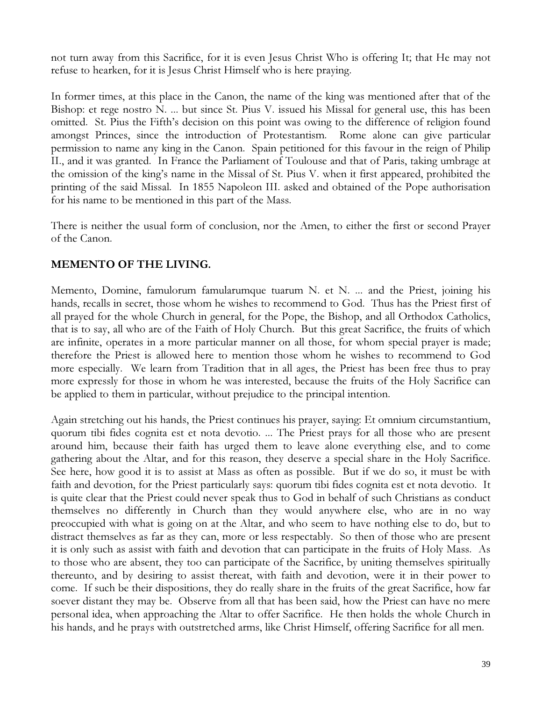not turn away from this Sacrifice, for it is even Jesus Christ Who is offering It; that He may not refuse to hearken, for it is Jesus Christ Himself who is here praying.

In former times, at this place in the Canon, the name of the king was mentioned after that of the Bishop: et rege nostro N. ... but since St. Pius V. issued his Missal for general use, this has been omitted. St. Pius the Fifth's decision on this point was owing to the difference of religion found amongst Princes, since the introduction of Protestantism. Rome alone can give particular permission to name any king in the Canon. Spain petitioned for this favour in the reign of Philip II., and it was granted. In France the Parliament of Toulouse and that of Paris, taking umbrage at the omission of the king's name in the Missal of St. Pius V. when it first appeared, prohibited the printing of the said Missal. In 1855 Napoleon III. asked and obtained of the Pope authorisation for his name to be mentioned in this part of the Mass.

There is neither the usual form of conclusion, nor the Amen, to either the first or second Prayer of the Canon.

# MEMENTO OF THE LIVING.

Memento, Domine, famulorum famularumque tuarum N. et N. ... and the Priest, joining his hands, recalls in secret, those whom he wishes to recommend to God. Thus has the Priest first of all prayed for the whole Church in general, for the Pope, the Bishop, and all Orthodox Catholics, that is to say, all who are of the Faith of Holy Church. But this great Sacrifice, the fruits of which are infinite, operates in a more particular manner on all those, for whom special prayer is made; therefore the Priest is allowed here to mention those whom he wishes to recommend to God more especially. We learn from Tradition that in all ages, the Priest has been free thus to pray more expressly for those in whom he was interested, because the fruits of the Holy Sacrifice can be applied to them in particular, without prejudice to the principal intention.

Again stretching out his hands, the Priest continues his prayer, saying: Et omnium circumstantium, quorum tibi fides cognita est et nota devotio. ... The Priest prays for all those who are present around him, because their faith has urged them to leave alone everything else, and to come gathering about the Altar, and for this reason, they deserve a special share in the Holy Sacrifice. See here, how good it is to assist at Mass as often as possible. But if we do so, it must be with faith and devotion, for the Priest particularly says: quorum tibi fides cognita est et nota devotio. It is quite clear that the Priest could never speak thus to God in behalf of such Christians as conduct themselves no differently in Church than they would anywhere else, who are in no way preoccupied with what is going on at the Altar, and who seem to have nothing else to do, but to distract themselves as far as they can, more or less respectably. So then of those who are present it is only such as assist with faith and devotion that can participate in the fruits of Holy Mass. As to those who are absent, they too can participate of the Sacrifice, by uniting themselves spiritually thereunto, and by desiring to assist thereat, with faith and devotion, were it in their power to come. If such be their dispositions, they do really share in the fruits of the great Sacrifice, how far soever distant they may be. Observe from all that has been said, how the Priest can have no mere personal idea, when approaching the Altar to offer Sacrifice. He then holds the whole Church in his hands, and he prays with outstretched arms, like Christ Himself, offering Sacrifice for all men.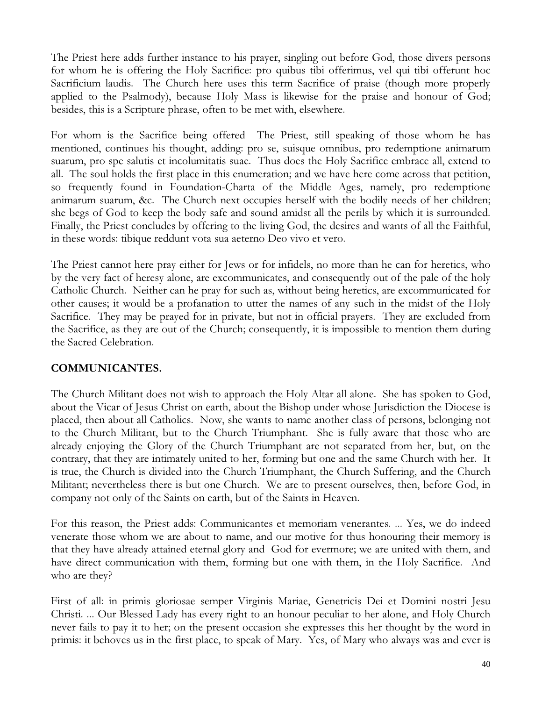The Priest here adds further instance to his prayer, singling out before God, those divers persons for whom he is offering the Holy Sacrifice: pro quibus tibi offerimus, vel qui tibi offerunt hoc Sacrificium laudis. The Church here uses this term Sacrifice of praise (though more properly applied to the Psalmody), because Holy Mass is likewise for the praise and honour of God; besides, this is a Scripture phrase, often to be met with, elsewhere.

For whom is the Sacrifice being offered The Priest, still speaking of those whom he has mentioned, continues his thought, adding: pro se, suisque omnibus, pro redemptione animarum suarum, pro spe salutis et incolumitatis suae. Thus does the Holy Sacrifice embrace all, extend to all. The soul holds the first place in this enumeration; and we have here come across that petition, so frequently found in Foundation-Charta of the Middle Ages, namely, pro redemptione animarum suarum, &c. The Church next occupies herself with the bodily needs of her children; she begs of God to keep the body safe and sound amidst all the perils by which it is surrounded. Finally, the Priest concludes by offering to the living God, the desires and wants of all the Faithful, in these words: tibique reddunt vota sua aeterno Deo vivo et vero.

The Priest cannot here pray either for Jews or for infidels, no more than he can for heretics, who by the very fact of heresy alone, are excommunicates, and consequently out of the pale of the holy Catholic Church. Neither can he pray for such as, without being heretics, are excommunicated for other causes; it would be a profanation to utter the names of any such in the midst of the Holy Sacrifice. They may be prayed for in private, but not in official prayers. They are excluded from the Sacrifice, as they are out of the Church; consequently, it is impossible to mention them during the Sacred Celebration.

## COMMUNICANTES.

The Church Militant does not wish to approach the Holy Altar all alone. She has spoken to God, about the Vicar of Jesus Christ on earth, about the Bishop under whose Jurisdiction the Diocese is placed, then about all Catholics. Now, she wants to name another class of persons, belonging not to the Church Militant, but to the Church Triumphant. She is fully aware that those who are already enjoying the Glory of the Church Triumphant are not separated from her, but, on the contrary, that they are intimately united to her, forming but one and the same Church with her. It is true, the Church is divided into the Church Triumphant, the Church Suffering, and the Church Militant; nevertheless there is but one Church. We are to present ourselves, then, before God, in company not only of the Saints on earth, but of the Saints in Heaven.

For this reason, the Priest adds: Communicantes et memoriam venerantes. ... Yes, we do indeed venerate those whom we are about to name, and our motive for thus honouring their memory is that they have already attained eternal glory and God for evermore; we are united with them, and have direct communication with them, forming but one with them, in the Holy Sacrifice. And who are they?

First of all: in primis gloriosae semper Virginis Mariae, Genetricis Dei et Domini nostri Jesu Christi. ... Our Blessed Lady has every right to an honour peculiar to her alone, and Holy Church never fails to pay it to her; on the present occasion she expresses this her thought by the word in primis: it behoves us in the first place, to speak of Mary. Yes, of Mary who always was and ever is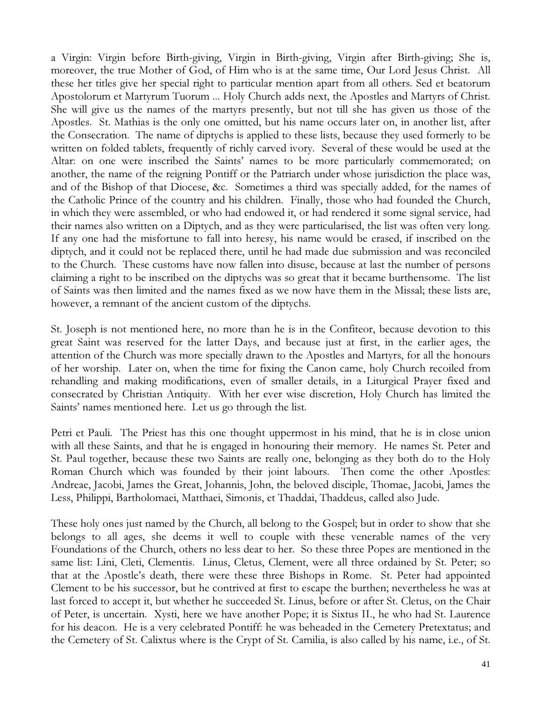a Virgin: Virgin before Birth-giving, Virgin in Birth-giving, Virgin after Birth-giving; She is, moreover, the true Mother of God, of Him who is at the same time, Our Lord Jesus Christ. All these her titles give her special right to particular mention apart from all others. Sed et beatorum Apostolorum et Martyrum Tuorum ... Holy Church adds next, the Apostles and Martyrs of Christ. She will give us the names of the martyrs presently, but not till she has given us those of the Apostles. St. Mathias is the only one omitted, but his name occurs later on, in another list, after the Consecration. The name of diptychs is applied to these lists, because they used formerly to be written on folded tablets, frequently of richly carved ivory. Several of these would be used at the Altar: on one were inscribed the Saints' names to be more particularly commemorated; on another, the name of the reigning Pontiff or the Patriarch under whose jurisdiction the place was, and of the Bishop of that Diocese, &c. Sometimes a third was specially added, for the names of the Catholic Prince of the country and his children. Finally, those who had founded the Church, in which they were assembled, or who had endowed it, or had rendered it some signal service, had their names also written on a Diptych, and as they were particularised, the list was often very long. If any one had the misfortune to fall into heresy, his name would be erased, if inscribed on the diptych, and it could not be replaced there, until he had made due submission and was reconciled to the Church. These customs have now fallen into disuse, because at last the number of persons claiming a right to be inscribed on the diptychs was so great that it became burthensome. The list of Saints was then limited and the names fixed as we now have them in the Missal; these lists are, however, a remnant of the ancient custom of the diptychs.

St. Joseph is not mentioned here, no more than he is in the Confiteor, because devotion to this great Saint was reserved for the latter Days, and because just at first, in the earlier ages, the attention of the Church was more specially drawn to the Apostles and Martyrs, for all the honours of her worship. Later on, when the time for fixing the Canon came, holy Church recoiled from rehandling and making modifications, even of smaller details, in a Liturgical Prayer fixed and consecrated by Christian Antiquity. With her ever wise discretion, Holy Church has limited the Saints' names mentioned here. Let us go through the list.

Petri et Pauli. The Priest has this one thought uppermost in his mind, that he is in close union with all these Saints, and that he is engaged in honouring their memory. He names St. Peter and St. Paul together, because these two Saints are really one, belonging as they both do to the Holy Roman Church which was founded by their joint labours. Then come the other Apostles: Andreae, Jacobi, James the Great, Johannis, John, the beloved disciple, Thomae, Jacobi, James the Less, Philippi, Bartholomaei, Matthaei, Simonis, et Thaddai, Thaddeus, called also Jude.

These holy ones just named by the Church, all belong to the Gospel; but in order to show that she belongs to all ages, she deems it well to couple with these venerable names of the very Foundations of the Church, others no less dear to her. So these three Popes are mentioned in the same list: Lini, Cleti, Clementis. Linus, Cletus, Clement, were all three ordained by St. Peter; so that at the Apostle's death, there were these three Bishops in Rome. St. Peter had appointed Clement to be his successor, but he contrived at first to escape the burthen; nevertheless he was at last forced to accept it, but whether he succeeded St. Linus, before or after St. Cletus, on the Chair of Peter, is uncertain. Xysti, here we have another Pope; it is Sixtus II., he who had St. Laurence for his deacon. He is a very celebrated Pontiff: he was beheaded in the Cemetery Pretextatus; and the Cemetery of St. Calixtus where is the Crypt of St. Camilia, is also called by his name, i.e., of St.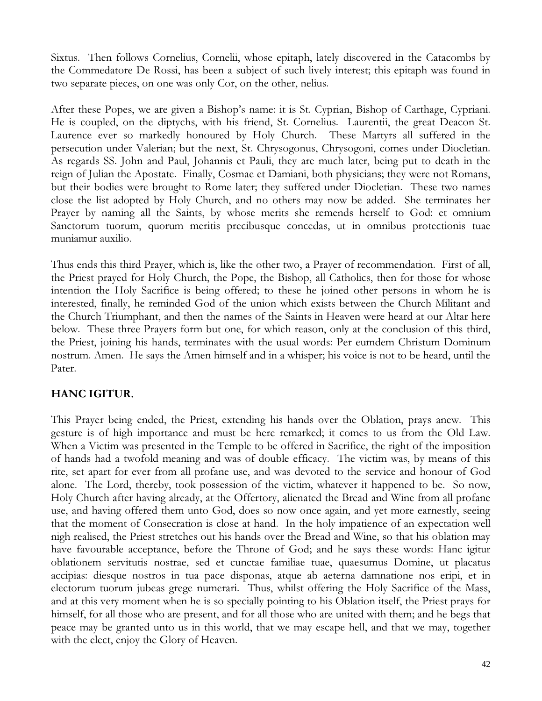Sixtus. Then follows Cornelius, Cornelii, whose epitaph, lately discovered in the Catacombs by the Commedatore De Rossi, has been a subject of such lively interest; this epitaph was found in two separate pieces, on one was only Cor, on the other, nelius.

After these Popes, we are given a Bishop's name: it is St. Cyprian, Bishop of Carthage, Cypriani. He is coupled, on the diptychs, with his friend, St. Cornelius. Laurentii, the great Deacon St. Laurence ever so markedly honoured by Holy Church. These Martyrs all suffered in the persecution under Valerian; but the next, St. Chrysogonus, Chrysogoni, comes under Diocletian. As regards SS. John and Paul, Johannis et Pauli, they are much later, being put to death in the reign of Julian the Apostate. Finally, Cosmae et Damiani, both physicians; they were not Romans, but their bodies were brought to Rome later; they suffered under Diocletian. These two names close the list adopted by Holy Church, and no others may now be added. She terminates her Prayer by naming all the Saints, by whose merits she remends herself to God: et omnium Sanctorum tuorum, quorum meritis precibusque concedas, ut in omnibus protectionis tuae muniamur auxilio.

Thus ends this third Prayer, which is, like the other two, a Prayer of recommendation. First of all, the Priest prayed for Holy Church, the Pope, the Bishop, all Catholics, then for those for whose intention the Holy Sacrifice is being offered; to these he joined other persons in whom he is interested, finally, he reminded God of the union which exists between the Church Militant and the Church Triumphant, and then the names of the Saints in Heaven were heard at our Altar here below. These three Prayers form but one, for which reason, only at the conclusion of this third, the Priest, joining his hands, terminates with the usual words: Per eumdem Christum Dominum nostrum. Amen. He says the Amen himself and in a whisper; his voice is not to be heard, until the Pater.

# HANC IGITUR.

This Prayer being ended, the Priest, extending his hands over the Oblation, prays anew. This gesture is of high importance and must be here remarked; it comes to us from the Old Law. When a Victim was presented in the Temple to be offered in Sacrifice, the right of the imposition of hands had a twofold meaning and was of double efficacy. The victim was, by means of this rite, set apart for ever from all profane use, and was devoted to the service and honour of God alone. The Lord, thereby, took possession of the victim, whatever it happened to be. So now, Holy Church after having already, at the Offertory, alienated the Bread and Wine from all profane use, and having offered them unto God, does so now once again, and yet more earnestly, seeing that the moment of Consecration is close at hand. In the holy impatience of an expectation well nigh realised, the Priest stretches out his hands over the Bread and Wine, so that his oblation may have favourable acceptance, before the Throne of God; and he says these words: Hanc igitur oblationem servitutis nostrae, sed et cunctae familiae tuae, quaesumus Domine, ut placatus accipias: diesque nostros in tua pace disponas, atque ab aeterna damnatione nos eripi, et in electorum tuorum jubeas grege numerari. Thus, whilst offering the Holy Sacrifice of the Mass, and at this very moment when he is so specially pointing to his Oblation itself, the Priest prays for himself, for all those who are present, and for all those who are united with them; and he begs that peace may be granted unto us in this world, that we may escape hell, and that we may, together with the elect, enjoy the Glory of Heaven.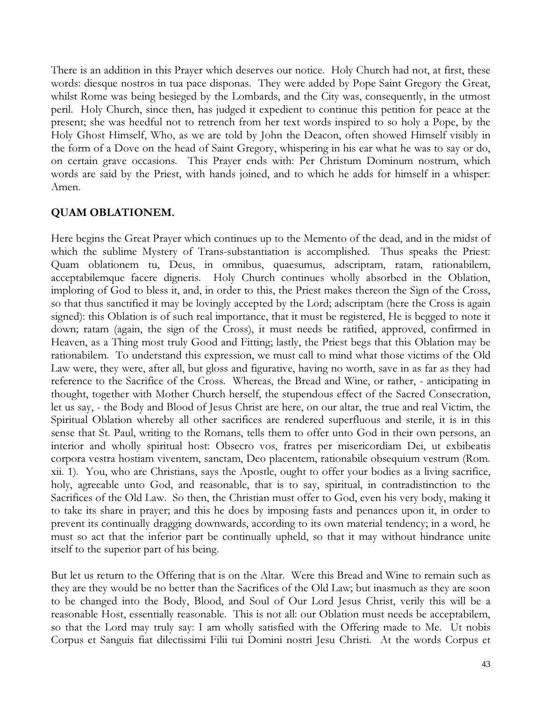There is an addition in this Prayer which deserves our notice. Holy Church had not, at first, these words: diesque nostros in tua pace disponas. They were added by Pope Saint Gregory the Great, whilst Rome was being besieged by the Lombards, and the City was, consequently, in the utmost peril. Holy Church, since then, has judged it expedient to continue this petition for peace at the present; she was heedful not to retrench from her text words inspired to so holy a Pope, by the Holy Ghost Himself, Who, as we are told by John the Deacon, often showed Himself visibly in the form of a Dove on the head of Saint Gregory, whispering in his ear what he was to say or do, on certain grave occasions. This Prayer ends with: Per Christum Dominum nostrum, which words are said by the Priest, with hands joined, and to which he adds for himself in a whisper: Amen.

#### QUAM OBLATIONEM.

Here begins the Great Prayer which continues up to the Memento of the dead, and in the midst of which the sublime Mystery of Trans-substantiation is accomplished. Thus speaks the Priest: Quam oblationem tu, Deus, in omnibus, quaesumus, adscriptam, ratam, rationabilem, acceptabilemque facere digneris. Holy Church continues wholly absorbed in the Oblation, imploring of God to bless it, and, in order to this, the Priest makes thereon the Sign of the Cross, so that thus sanctified it may be lovingly accepted by the Lord; adscriptam (here the Cross is again signed): this Oblation is of such real importance, that it must be registered, He is begged to note it down; ratam (again, the sign of the Cross), it must needs be ratified, approved, confirmed in Heaven, as a Thing most truly Good and Fitting; lastly, the Priest begs that this Oblation may be rationabilem. To understand this expression, we must call to mind what those victims of the Old Law were, they were, after all, but gloss and figurative, having no worth, save in as far as they had reference to the Sacrifice of the Cross. Whereas, the Bread and Wine, or rather, - anticipating in thought, together with Mother Church herself, the stupendous effect of the Sacred Consecration, let us say, - the Body and Blood of Jesus Christ are here, on our altar, the true and real Victim, the Spiritual Oblation whereby all other sacrifices are rendered superfluous and sterile, it is in this sense that St. Paul, writing to the Romans, tells them to offer unto God in their own persons, an interior and wholly spiritual host: Obsecro vos, fratres per misericordiam Dei, ut exbibeatis corpora vestra hostiam viventem, sanctam, Deo placentem, rationabile obsequium vestrum (Rom. xii. 1). You, who are Christians, says the Apostle, ought to offer your bodies as a living sacrifice, holy, agreeable unto God, and reasonable, that is to say, spiritual, in contradistinction to the Sacrifices of the Old Law. So then, the Christian must offer to God, even his very body, making it to take its share in prayer; and this he does by imposing fasts and penances upon it, in order to prevent its continually dragging downwards, according to its own material tendency; in a word, he must so act that the inferior part be continually upheld, so that it may without hindrance unite itself to the superior part of his being.

But let us return to the Offering that is on the Altar. Were this Bread and Wine to remain such as they are they would be no better than the Sacrifices of the Old Law; but inasmuch as they are soon to be changed into the Body, Blood, and Soul of Our Lord Jesus Christ, verily this will be a reasonable Host, essentially reasonable. This is not all: our Oblation must needs be acceptabilem, so that the Lord may truly say: I am wholly satisfied with the Offering made to Me. Ut nobis Corpus et Sanguis fiat dilectissimi Filii tui Domini nostri Jesu Christi. At the words Corpus et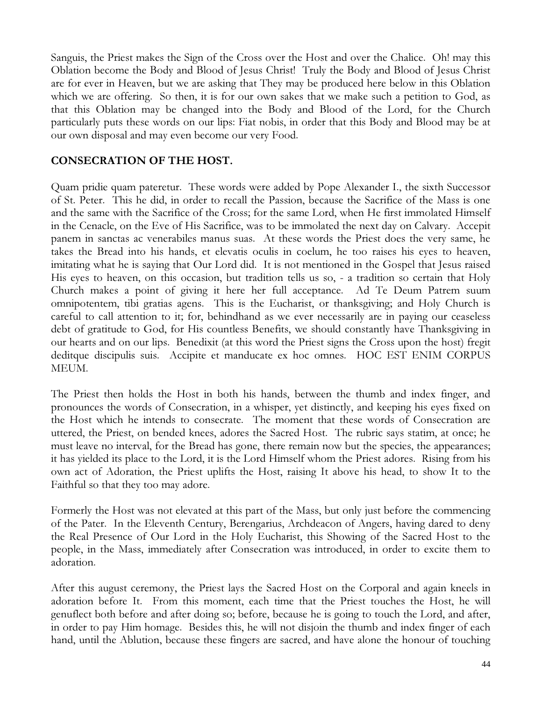Sanguis, the Priest makes the Sign of the Cross over the Host and over the Chalice. Oh! may this Oblation become the Body and Blood of Jesus Christ! Truly the Body and Blood of Jesus Christ are for ever in Heaven, but we are asking that They may be produced here below in this Oblation which we are offering. So then, it is for our own sakes that we make such a petition to God, as that this Oblation may be changed into the Body and Blood of the Lord, for the Church particularly puts these words on our lips: Fiat nobis, in order that this Body and Blood may be at our own disposal and may even become our very Food.

## CONSECRATION OF THE HOST.

Quam pridie quam pateretur. These words were added by Pope Alexander I., the sixth Successor of St. Peter. This he did, in order to recall the Passion, because the Sacrifice of the Mass is one and the same with the Sacrifice of the Cross; for the same Lord, when He first immolated Himself in the Cenacle, on the Eve of His Sacrifice, was to be immolated the next day on Calvary. Accepit panem in sanctas ac venerabiles manus suas. At these words the Priest does the very same, he takes the Bread into his hands, et elevatis oculis in coelum, he too raises his eyes to heaven, imitating what he is saying that Our Lord did. It is not mentioned in the Gospel that Jesus raised His eyes to heaven, on this occasion, but tradition tells us so, - a tradition so certain that Holy Church makes a point of giving it here her full acceptance. Ad Te Deum Patrem suum omnipotentem, tibi gratias agens. This is the Eucharist, or thanksgiving; and Holy Church is careful to call attention to it; for, behindhand as we ever necessarily are in paying our ceaseless debt of gratitude to God, for His countless Benefits, we should constantly have Thanksgiving in our hearts and on our lips. Benedixit (at this word the Priest signs the Cross upon the host) fregit deditque discipulis suis. Accipite et manducate ex hoc omnes. HOC EST ENIM CORPUS MEUM.

The Priest then holds the Host in both his hands, between the thumb and index finger, and pronounces the words of Consecration, in a whisper, yet distinctly, and keeping his eyes fixed on the Host which he intends to consecrate. The moment that these words of Consecration are uttered, the Priest, on bended knees, adores the Sacred Host. The rubric says statim, at once; he must leave no interval, for the Bread has gone, there remain now but the species, the appearances; it has yielded its place to the Lord, it is the Lord Himself whom the Priest adores. Rising from his own act of Adoration, the Priest uplifts the Host, raising It above his head, to show It to the Faithful so that they too may adore.

Formerly the Host was not elevated at this part of the Mass, but only just before the commencing of the Pater. In the Eleventh Century, Berengarius, Archdeacon of Angers, having dared to deny the Real Presence of Our Lord in the Holy Eucharist, this Showing of the Sacred Host to the people, in the Mass, immediately after Consecration was introduced, in order to excite them to adoration.

After this august ceremony, the Priest lays the Sacred Host on the Corporal and again kneels in adoration before It. From this moment, each time that the Priest touches the Host, he will genuflect both before and after doing so; before, because he is going to touch the Lord, and after, in order to pay Him homage. Besides this, he will not disjoin the thumb and index finger of each hand, until the Ablution, because these fingers are sacred, and have alone the honour of touching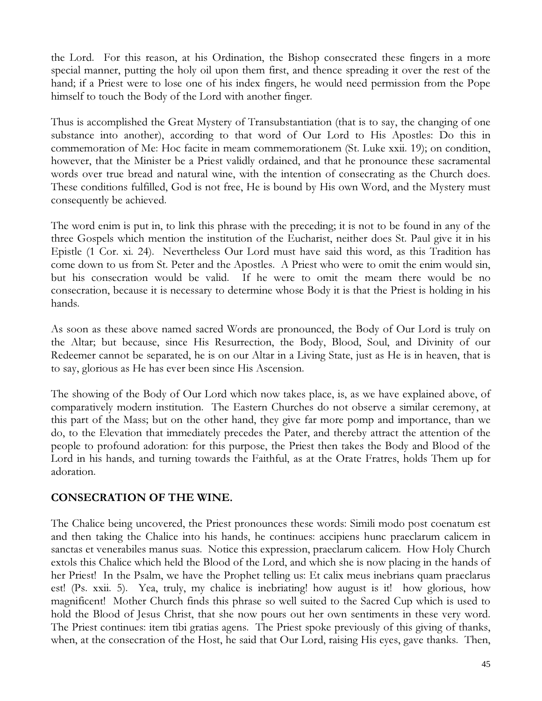the Lord. For this reason, at his Ordination, the Bishop consecrated these fingers in a more special manner, putting the holy oil upon them first, and thence spreading it over the rest of the hand; if a Priest were to lose one of his index fingers, he would need permission from the Pope himself to touch the Body of the Lord with another finger.

Thus is accomplished the Great Mystery of Transubstantiation (that is to say, the changing of one substance into another), according to that word of Our Lord to His Apostles: Do this in commemoration of Me: Hoc facite in meam commemorationem (St. Luke xxii. 19); on condition, however, that the Minister be a Priest validly ordained, and that he pronounce these sacramental words over true bread and natural wine, with the intention of consecrating as the Church does. These conditions fulfilled, God is not free, He is bound by His own Word, and the Mystery must consequently be achieved.

The word enim is put in, to link this phrase with the preceding; it is not to be found in any of the three Gospels which mention the institution of the Eucharist, neither does St. Paul give it in his Epistle (1 Cor. xi. 24). Nevertheless Our Lord must have said this word, as this Tradition has come down to us from St. Peter and the Apostles. A Priest who were to omit the enim would sin, but his consecration would be valid. If he were to omit the meam there would be no consecration, because it is necessary to determine whose Body it is that the Priest is holding in his hands.

As soon as these above named sacred Words are pronounced, the Body of Our Lord is truly on the Altar; but because, since His Resurrection, the Body, Blood, Soul, and Divinity of our Redeemer cannot be separated, he is on our Altar in a Living State, just as He is in heaven, that is to say, glorious as He has ever been since His Ascension.

The showing of the Body of Our Lord which now takes place, is, as we have explained above, of comparatively modern institution. The Eastern Churches do not observe a similar ceremony, at this part of the Mass; but on the other hand, they give far more pomp and importance, than we do, to the Elevation that immediately precedes the Pater, and thereby attract the attention of the people to profound adoration: for this purpose, the Priest then takes the Body and Blood of the Lord in his hands, and turning towards the Faithful, as at the Orate Fratres, holds Them up for adoration.

## CONSECRATION OF THE WINE.

The Chalice being uncovered, the Priest pronounces these words: Simili modo post coenatum est and then taking the Chalice into his hands, he continues: accipiens hunc praeclarum calicem in sanctas et venerabiles manus suas. Notice this expression, praeclarum calicem. How Holy Church extols this Chalice which held the Blood of the Lord, and which she is now placing in the hands of her Priest! In the Psalm, we have the Prophet telling us: Et calix meus inebrians quam praeclarus est! (Ps. xxii. 5). Yea, truly, my chalice is inebriating! how august is it! how glorious, how magnificent! Mother Church finds this phrase so well suited to the Sacred Cup which is used to hold the Blood of Jesus Christ, that she now pours out her own sentiments in these very word. The Priest continues: item tibi gratias agens. The Priest spoke previously of this giving of thanks, when, at the consecration of the Host, he said that Our Lord, raising His eyes, gave thanks. Then,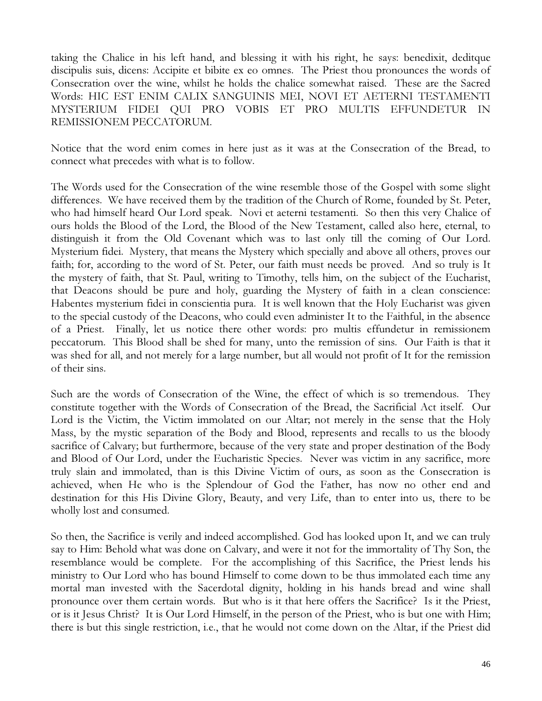taking the Chalice in his left hand, and blessing it with his right, he says: benedixit, deditque discipulis suis, dicens: Accipite et bibite ex eo omnes. The Priest thou pronounces the words of Consecration over the wine, whilst he holds the chalice somewhat raised. These are the Sacred Words: HIC EST ENIM CALIX SANGUINIS MEI, NOVI ET AETERNI TESTAMENTI MYSTERIUM FIDEI QUI PRO VOBIS ET PRO MULTIS EFFUNDETUR IN REMISSIONEM PECCATORUM.

Notice that the word enim comes in here just as it was at the Consecration of the Bread, to connect what precedes with what is to follow.

The Words used for the Consecration of the wine resemble those of the Gospel with some slight differences. We have received them by the tradition of the Church of Rome, founded by St. Peter, who had himself heard Our Lord speak. Novi et aeterni testamenti. So then this very Chalice of ours holds the Blood of the Lord, the Blood of the New Testament, called also here, eternal, to distinguish it from the Old Covenant which was to last only till the coming of Our Lord. Mysterium fidei. Mystery, that means the Mystery which specially and above all others, proves our faith; for, according to the word of St. Peter, our faith must needs be proved. And so truly is It the mystery of faith, that St. Paul, writing to Timothy, tells him, on the subject of the Eucharist, that Deacons should be pure and holy, guarding the Mystery of faith in a clean conscience: Habentes mysterium fidei in conscientia pura. It is well known that the Holy Eucharist was given to the special custody of the Deacons, who could even administer It to the Faithful, in the absence of a Priest. Finally, let us notice there other words: pro multis effundetur in remissionem peccatorum. This Blood shall be shed for many, unto the remission of sins. Our Faith is that it was shed for all, and not merely for a large number, but all would not profit of It for the remission of their sins.

Such are the words of Consecration of the Wine, the effect of which is so tremendous. They constitute together with the Words of Consecration of the Bread, the Sacrificial Act itself. Our Lord is the Victim, the Victim immolated on our Altar; not merely in the sense that the Holy Mass, by the mystic separation of the Body and Blood, represents and recalls to us the bloody sacrifice of Calvary; but furthermore, because of the very state and proper destination of the Body and Blood of Our Lord, under the Eucharistic Species. Never was victim in any sacrifice, more truly slain and immolated, than is this Divine Victim of ours, as soon as the Consecration is achieved, when He who is the Splendour of God the Father, has now no other end and destination for this His Divine Glory, Beauty, and very Life, than to enter into us, there to be wholly lost and consumed.

So then, the Sacrifice is verily and indeed accomplished. God has looked upon It, and we can truly say to Him: Behold what was done on Calvary, and were it not for the immortality of Thy Son, the resemblance would be complete. For the accomplishing of this Sacrifice, the Priest lends his ministry to Our Lord who has bound Himself to come down to be thus immolated each time any mortal man invested with the Sacerdotal dignity, holding in his hands bread and wine shall pronounce over them certain words. But who is it that here offers the Sacrifice? Is it the Priest, or is it Jesus Christ? It is Our Lord Himself, in the person of the Priest, who is but one with Him; there is but this single restriction, i.e., that he would not come down on the Altar, if the Priest did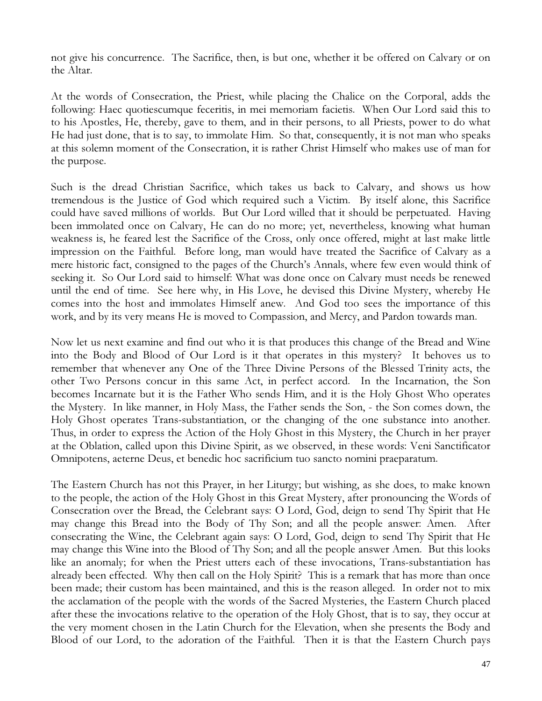not give his concurrence. The Sacrifice, then, is but one, whether it be offered on Calvary or on the Altar.

At the words of Consecration, the Priest, while placing the Chalice on the Corporal, adds the following: Haec quotiescumque feceritis, in mei memoriam facietis. When Our Lord said this to to his Apostles, He, thereby, gave to them, and in their persons, to all Priests, power to do what He had just done, that is to say, to immolate Him. So that, consequently, it is not man who speaks at this solemn moment of the Consecration, it is rather Christ Himself who makes use of man for the purpose.

Such is the dread Christian Sacrifice, which takes us back to Calvary, and shows us how tremendous is the Justice of God which required such a Victim. By itself alone, this Sacrifice could have saved millions of worlds. But Our Lord willed that it should be perpetuated. Having been immolated once on Calvary, He can do no more; yet, nevertheless, knowing what human weakness is, he feared lest the Sacrifice of the Cross, only once offered, might at last make little impression on the Faithful. Before long, man would have treated the Sacrifice of Calvary as a mere historic fact, consigned to the pages of the Church's Annals, where few even would think of seeking it. So Our Lord said to himself: What was done once on Calvary must needs be renewed until the end of time. See here why, in His Love, he devised this Divine Mystery, whereby He comes into the host and immolates Himself anew. And God too sees the importance of this work, and by its very means He is moved to Compassion, and Mercy, and Pardon towards man.

Now let us next examine and find out who it is that produces this change of the Bread and Wine into the Body and Blood of Our Lord is it that operates in this mystery? It behoves us to remember that whenever any One of the Three Divine Persons of the Blessed Trinity acts, the other Two Persons concur in this same Act, in perfect accord. In the Incarnation, the Son becomes Incarnate but it is the Father Who sends Him, and it is the Holy Ghost Who operates the Mystery. In like manner, in Holy Mass, the Father sends the Son, - the Son comes down, the Holy Ghost operates Trans-substantiation, or the changing of the one substance into another. Thus, in order to express the Action of the Holy Ghost in this Mystery, the Church in her prayer at the Oblation, called upon this Divine Spirit, as we observed, in these words: Veni Sanctificator Omnipotens, aeterne Deus, et benedic hoc sacrificium tuo sancto nomini praeparatum.

The Eastern Church has not this Prayer, in her Liturgy; but wishing, as she does, to make known to the people, the action of the Holy Ghost in this Great Mystery, after pronouncing the Words of Consecration over the Bread, the Celebrant says: O Lord, God, deign to send Thy Spirit that He may change this Bread into the Body of Thy Son; and all the people answer: Amen. After consecrating the Wine, the Celebrant again says: O Lord, God, deign to send Thy Spirit that He may change this Wine into the Blood of Thy Son; and all the people answer Amen. But this looks like an anomaly; for when the Priest utters each of these invocations, Trans-substantiation has already been effected. Why then call on the Holy Spirit? This is a remark that has more than once been made; their custom has been maintained, and this is the reason alleged. In order not to mix the acclamation of the people with the words of the Sacred Mysteries, the Eastern Church placed after these the invocations relative to the operation of the Holy Ghost, that is to say, they occur at the very moment chosen in the Latin Church for the Elevation, when she presents the Body and Blood of our Lord, to the adoration of the Faithful. Then it is that the Eastern Church pays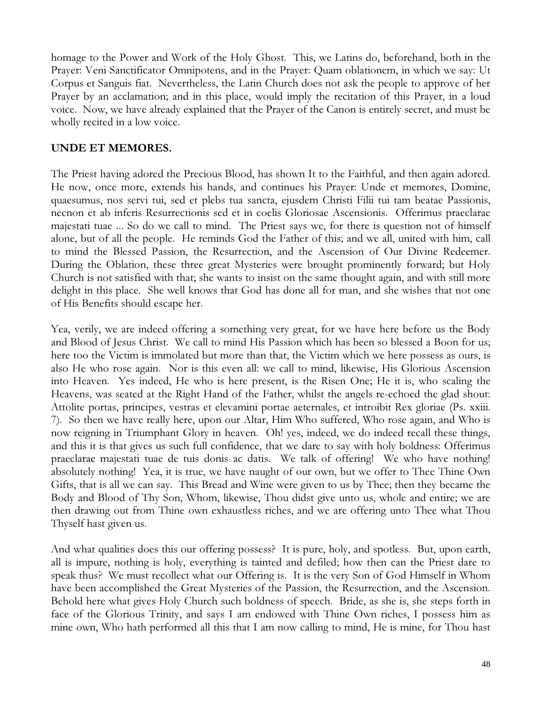homage to the Power and Work of the Holy Ghost. This, we Latins do, beforehand, both in the Prayer: Veni Sanctificator Omnipotens, and in the Prayer: Quam oblationem, in which we say: Ut Corpus et Sanguis fiat. Nevertheless, the Latin Church does not ask the people to approve of her Prayer by an acclamation; and in this place, would imply the recitation of this Prayer, in a loud voice. Now, we have already explained that the Prayer of the Canon is entirely secret, and must be wholly recited in a low voice.

### UNDE ET MEMORES.

The Priest having adored the Precious Blood, has shown It to the Faithful, and then again adored. He now, once more, extends his hands, and continues his Prayer: Unde et memores, Domine, quaesumus, nos servi tui, sed et plebs tua sancta, ejusdem Christi Filii tui tam beatae Passionis, necnon et ab inferis Resurrectionis sed et in coelis Gloriosae Ascensionis. Offerimus praeclarae majestati tuae ... So do we call to mind. The Priest says we, for there is question not of himself alone, but of all the people. He reminds God the Father of this; and we all, united with him, call to mind the Blessed Passion, the Resurrection, and the Ascension of Our Divine Redeemer. During the Oblation, these three great Mysteries were brought prominently forward; but Holy Church is not satisfied with that; she wants to insist on the same thought again, and with still more delight in this place. She well knows that God has done all for man, and she wishes that not one of His Benefits should escape her.

Yea, verily, we are indeed offering a something very great, for we have here before us the Body and Blood of Jesus Christ. We call to mind His Passion which has been so blessed a Boon for us; here too the Victim is immolated but more than that, the Victim which we here possess as ours, is also He who rose again. Nor is this even all: we call to mind, likewise, His Glorious Ascension into Heaven. Yes indeed, He who is here present, is the Risen One; He it is, who scaling the Heavens, was seated at the Right Hand of the Father, whilst the angels re-echoed the glad shout: Attolite portas, principes, vestras et elevamini portae aeternales, et introibit Rex gloriae (Ps. xxiii. 7). So then we have really here, upon our Altar, Him Who suffered, Who rose again, and Who is now reigning in Triumphant Glory in heaven. Oh! yes, indeed, we do indeed recall these things, and this it is that gives us such full confidence, that we dare to say with holy boldness: Offerimus praeclarae majestati tuae de tuis donis ac datis. We talk of offering! We who have nothing! absolutely nothing! Yea, it is true, we have naught of our own, but we offer to Thee Thine Own Gifts, that is all we can say. This Bread and Wine were given to us by Thee; then they became the Body and Blood of Thy Son, Whom, likewise, Thou didst give unto us, whole and entire; we are then drawing out from Thine own exhaustless riches, and we are offering unto Thee what Thou Thyself hast given us.

And what qualities does this our offering possess? It is pure, holy, and spotless. But, upon earth, all is impure, nothing is holy, everything is tainted and defiled; how then can the Priest dare to speak thus? We must recollect what our Offering is. It is the very Son of God Himself in Whom have been accomplished the Great Mysteries of the Passion, the Resurrection, and the Ascension. Behold here what gives Holy Church such boldness of speech. Bride, as she is, she steps forth in face of the Glorious Trinity, and says I am endowed with Thine Own riches, I possess him as mine own, Who hath performed all this that I am now calling to mind, He is mine, for Thou hast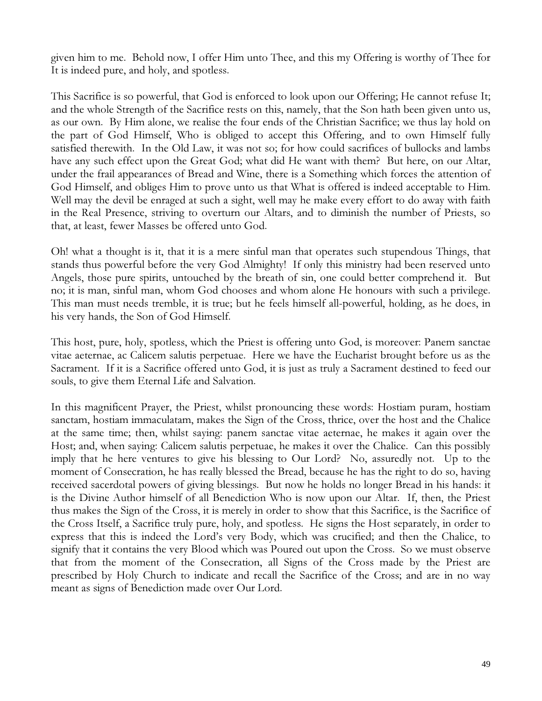given him to me. Behold now, I offer Him unto Thee, and this my Offering is worthy of Thee for It is indeed pure, and holy, and spotless.

This Sacrifice is so powerful, that God is enforced to look upon our Offering; He cannot refuse It; and the whole Strength of the Sacrifice rests on this, namely, that the Son hath been given unto us, as our own. By Him alone, we realise the four ends of the Christian Sacrifice; we thus lay hold on the part of God Himself, Who is obliged to accept this Offering, and to own Himself fully satisfied therewith. In the Old Law, it was not so; for how could sacrifices of bullocks and lambs have any such effect upon the Great God; what did He want with them? But here, on our Altar, under the frail appearances of Bread and Wine, there is a Something which forces the attention of God Himself, and obliges Him to prove unto us that What is offered is indeed acceptable to Him. Well may the devil be enraged at such a sight, well may he make every effort to do away with faith in the Real Presence, striving to overturn our Altars, and to diminish the number of Priests, so that, at least, fewer Masses be offered unto God.

Oh! what a thought is it, that it is a mere sinful man that operates such stupendous Things, that stands thus powerful before the very God Almighty! If only this ministry had been reserved unto Angels, those pure spirits, untouched by the breath of sin, one could better comprehend it. But no; it is man, sinful man, whom God chooses and whom alone He honours with such a privilege. This man must needs tremble, it is true; but he feels himself all-powerful, holding, as he does, in his very hands, the Son of God Himself.

This host, pure, holy, spotless, which the Priest is offering unto God, is moreover: Panem sanctae vitae aeternae, ac Calicem salutis perpetuae. Here we have the Eucharist brought before us as the Sacrament. If it is a Sacrifice offered unto God, it is just as truly a Sacrament destined to feed our souls, to give them Eternal Life and Salvation.

In this magnificent Prayer, the Priest, whilst pronouncing these words: Hostiam puram, hostiam sanctam, hostiam immaculatam, makes the Sign of the Cross, thrice, over the host and the Chalice at the same time; then, whilst saying: panem sanctae vitae aeternae, he makes it again over the Host; and, when saying: Calicem salutis perpetuae, he makes it over the Chalice. Can this possibly imply that he here ventures to give his blessing to Our Lord? No, assuredly not. Up to the moment of Consecration, he has really blessed the Bread, because he has the right to do so, having received sacerdotal powers of giving blessings. But now he holds no longer Bread in his hands: it is the Divine Author himself of all Benediction Who is now upon our Altar. If, then, the Priest thus makes the Sign of the Cross, it is merely in order to show that this Sacrifice, is the Sacrifice of the Cross Itself, a Sacrifice truly pure, holy, and spotless. He signs the Host separately, in order to express that this is indeed the Lord's very Body, which was crucified; and then the Chalice, to signify that it contains the very Blood which was Poured out upon the Cross. So we must observe that from the moment of the Consecration, all Signs of the Cross made by the Priest are prescribed by Holy Church to indicate and recall the Sacrifice of the Cross; and are in no way meant as signs of Benediction made over Our Lord.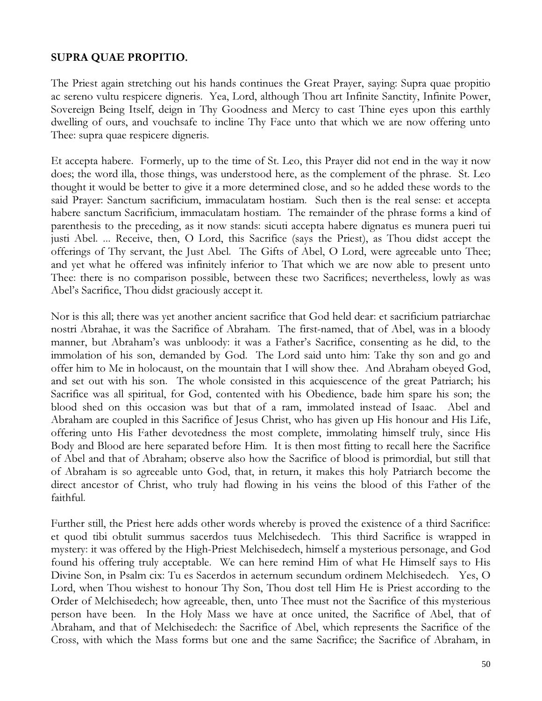#### SUPRA QUAE PROPITIO.

The Priest again stretching out his hands continues the Great Prayer, saying: Supra quae propitio ac sereno vultu respicere digneris. Yea, Lord, although Thou art Infinite Sanctity, Infinite Power, Sovereign Being Itself, deign in Thy Goodness and Mercy to cast Thine eyes upon this earthly dwelling of ours, and vouchsafe to incline Thy Face unto that which we are now offering unto Thee: supra quae respicere digneris.

Et accepta habere. Formerly, up to the time of St. Leo, this Prayer did not end in the way it now does; the word illa, those things, was understood here, as the complement of the phrase. St. Leo thought it would be better to give it a more determined close, and so he added these words to the said Prayer: Sanctum sacrificium, immaculatam hostiam. Such then is the real sense: et accepta habere sanctum Sacrificium, immaculatam hostiam. The remainder of the phrase forms a kind of parenthesis to the preceding, as it now stands: sicuti accepta habere dignatus es munera pueri tui justi Abel. ... Receive, then, O Lord, this Sacrifice (says the Priest), as Thou didst accept the offerings of Thy servant, the Just Abel. The Gifts of Abel, O Lord, were agreeable unto Thee; and yet what he offered was infinitely inferior to That which we are now able to present unto Thee: there is no comparison possible, between these two Sacrifices; nevertheless, lowly as was Abel's Sacrifice, Thou didst graciously accept it.

Nor is this all; there was yet another ancient sacrifice that God held dear: et sacrificium patriarchae nostri Abrahae, it was the Sacrifice of Abraham. The first-named, that of Abel, was in a bloody manner, but Abraham's was unbloody: it was a Father's Sacrifice, consenting as he did, to the immolation of his son, demanded by God. The Lord said unto him: Take thy son and go and offer him to Me in holocaust, on the mountain that I will show thee. And Abraham obeyed God, and set out with his son. The whole consisted in this acquiescence of the great Patriarch; his Sacrifice was all spiritual, for God, contented with his Obedience, bade him spare his son; the blood shed on this occasion was but that of a ram, immolated instead of Isaac. Abel and Abraham are coupled in this Sacrifice of Jesus Christ, who has given up His honour and His Life, offering unto His Father devotedness the most complete, immolating himself truly, since His Body and Blood are here separated before Him. It is then most fitting to recall here the Sacrifice of Abel and that of Abraham; observe also how the Sacrifice of blood is primordial, but still that of Abraham is so agreeable unto God, that, in return, it makes this holy Patriarch become the direct ancestor of Christ, who truly had flowing in his veins the blood of this Father of the faithful.

Further still, the Priest here adds other words whereby is proved the existence of a third Sacrifice: et quod tibi obtulit summus sacerdos tuus Melchisedech. This third Sacrifice is wrapped in mystery: it was offered by the High-Priest Melchisedech, himself a mysterious personage, and God found his offering truly acceptable. We can here remind Him of what He Himself says to His Divine Son, in Psalm cix: Tu es Sacerdos in aeternum secundum ordinem Melchisedech. Yes, O Lord, when Thou wishest to honour Thy Son, Thou dost tell Him He is Priest according to the Order of Melchisedech; how agreeable, then, unto Thee must not the Sacrifice of this mysterious person have been. In the Holy Mass we have at once united, the Sacrifice of Abel, that of Abraham, and that of Melchisedech: the Sacrifice of Abel, which represents the Sacrifice of the Cross, with which the Mass forms but one and the same Sacrifice; the Sacrifice of Abraham, in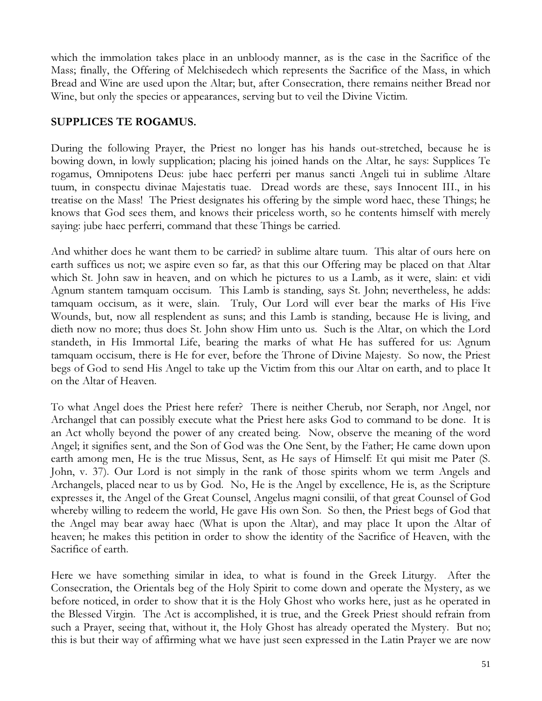which the immolation takes place in an unbloody manner, as is the case in the Sacrifice of the Mass; finally, the Offering of Melchisedech which represents the Sacrifice of the Mass, in which Bread and Wine are used upon the Altar; but, after Consecration, there remains neither Bread nor Wine, but only the species or appearances, serving but to veil the Divine Victim.

## SUPPLICES TE ROGAMUS.

During the following Prayer, the Priest no longer has his hands out-stretched, because he is bowing down, in lowly supplication; placing his joined hands on the Altar, he says: Supplices Te rogamus, Omnipotens Deus: jube haec perferri per manus sancti Angeli tui in sublime Altare tuum, in conspectu divinae Majestatis tuae. Dread words are these, says Innocent III., in his treatise on the Mass! The Priest designates his offering by the simple word haec, these Things; he knows that God sees them, and knows their priceless worth, so he contents himself with merely saying: jube haec perferri, command that these Things be carried.

And whither does he want them to be carried? in sublime altare tuum. This altar of ours here on earth suffices us not; we aspire even so far, as that this our Offering may be placed on that Altar which St. John saw in heaven, and on which he pictures to us a Lamb, as it were, slain: et vidi Agnum stantem tamquam occisum. This Lamb is standing, says St. John; nevertheless, he adds: tamquam occisum, as it were, slain. Truly, Our Lord will ever bear the marks of His Five Wounds, but, now all resplendent as suns; and this Lamb is standing, because He is living, and dieth now no more; thus does St. John show Him unto us. Such is the Altar, on which the Lord standeth, in His Immortal Life, bearing the marks of what He has suffered for us: Agnum tamquam occisum, there is He for ever, before the Throne of Divine Majesty. So now, the Priest begs of God to send His Angel to take up the Victim from this our Altar on earth, and to place It on the Altar of Heaven.

To what Angel does the Priest here refer? There is neither Cherub, nor Seraph, nor Angel, nor Archangel that can possibly execute what the Priest here asks God to command to be done. It is an Act wholly beyond the power of any created being. Now, observe the meaning of the word Angel; it signifies sent, and the Son of God was the One Sent, by the Father; He came down upon earth among men, He is the true Missus, Sent, as He says of Himself: Et qui misit me Pater (S. John, v. 37). Our Lord is not simply in the rank of those spirits whom we term Angels and Archangels, placed near to us by God. No, He is the Angel by excellence, He is, as the Scripture expresses it, the Angel of the Great Counsel, Angelus magni consilii, of that great Counsel of God whereby willing to redeem the world, He gave His own Son. So then, the Priest begs of God that the Angel may bear away haec (What is upon the Altar), and may place It upon the Altar of heaven; he makes this petition in order to show the identity of the Sacrifice of Heaven, with the Sacrifice of earth.

Here we have something similar in idea, to what is found in the Greek Liturgy. After the Consecration, the Orientals beg of the Holy Spirit to come down and operate the Mystery, as we before noticed, in order to show that it is the Holy Ghost who works here, just as he operated in the Blessed Virgin. The Act is accomplished, it is true, and the Greek Priest should refrain from such a Prayer, seeing that, without it, the Holy Ghost has already operated the Mystery. But no; this is but their way of affirming what we have just seen expressed in the Latin Prayer we are now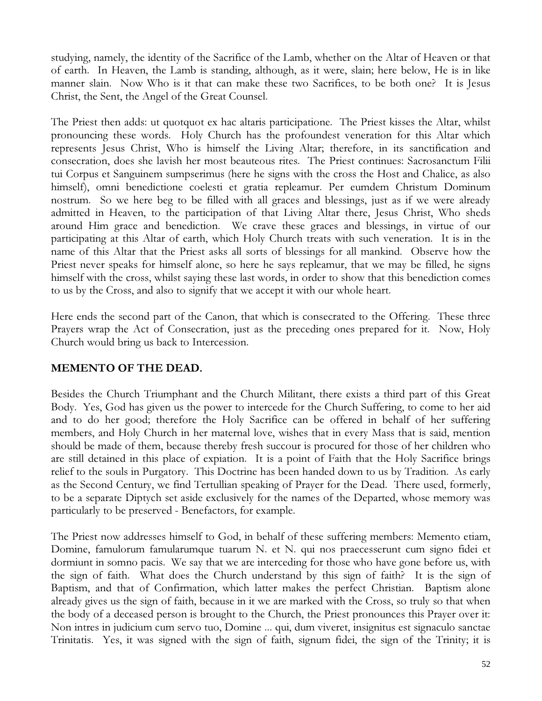studying, namely, the identity of the Sacrifice of the Lamb, whether on the Altar of Heaven or that of earth. In Heaven, the Lamb is standing, although, as it were, slain; here below, He is in like manner slain. Now Who is it that can make these two Sacrifices, to be both one? It is Jesus Christ, the Sent, the Angel of the Great Counsel.

The Priest then adds: ut quotquot ex hac altaris participatione. The Priest kisses the Altar, whilst pronouncing these words. Holy Church has the profoundest veneration for this Altar which represents Jesus Christ, Who is himself the Living Altar; therefore, in its sanctification and consecration, does she lavish her most beauteous rites. The Priest continues: Sacrosanctum Filii tui Corpus et Sanguinem sumpserimus (here he signs with the cross the Host and Chalice, as also himself), omni benedictione coelesti et gratia repleamur. Per eumdem Christum Dominum nostrum. So we here beg to be filled with all graces and blessings, just as if we were already admitted in Heaven, to the participation of that Living Altar there, Jesus Christ, Who sheds around Him grace and benediction. We crave these graces and blessings, in virtue of our participating at this Altar of earth, which Holy Church treats with such veneration. It is in the name of this Altar that the Priest asks all sorts of blessings for all mankind. Observe how the Priest never speaks for himself alone, so here he says repleamur, that we may be filled, he signs himself with the cross, whilst saying these last words, in order to show that this benediction comes to us by the Cross, and also to signify that we accept it with our whole heart.

Here ends the second part of the Canon, that which is consecrated to the Offering. These three Prayers wrap the Act of Consecration, just as the preceding ones prepared for it. Now, Holy Church would bring us back to Intercession.

## MEMENTO OF THE DEAD.

Besides the Church Triumphant and the Church Militant, there exists a third part of this Great Body. Yes, God has given us the power to intercede for the Church Suffering, to come to her aid and to do her good; therefore the Holy Sacrifice can be offered in behalf of her suffering members, and Holy Church in her maternal love, wishes that in every Mass that is said, mention should be made of them, because thereby fresh succour is procured for those of her children who are still detained in this place of expiation. It is a point of Faith that the Holy Sacrifice brings relief to the souls in Purgatory. This Doctrine has been handed down to us by Tradition. As early as the Second Century, we find Tertullian speaking of Prayer for the Dead. There used, formerly, to be a separate Diptych set aside exclusively for the names of the Departed, whose memory was particularly to be preserved - Benefactors, for example.

The Priest now addresses himself to God, in behalf of these suffering members: Memento etiam, Domine, famulorum famularumque tuarum N. et N. qui nos praecesserunt cum signo fidei et dormiunt in somno pacis. We say that we are interceding for those who have gone before us, with the sign of faith. What does the Church understand by this sign of faith? It is the sign of Baptism, and that of Confirmation, which latter makes the perfect Christian. Baptism alone already gives us the sign of faith, because in it we are marked with the Cross, so truly so that when the body of a deceased person is brought to the Church, the Priest pronounces this Prayer over it: Non intres in judicium cum servo tuo, Domine ... qui, dum viveret, insignitus est signaculo sanctae Trinitatis. Yes, it was signed with the sign of faith, signum fidei, the sign of the Trinity; it is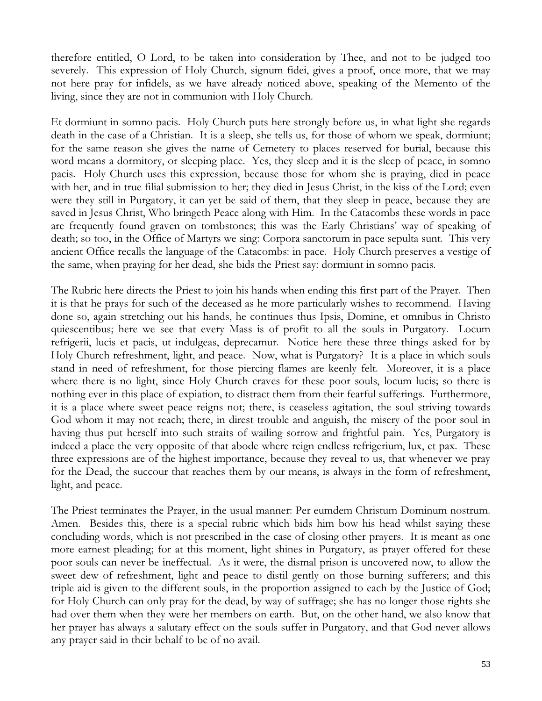therefore entitled, O Lord, to be taken into consideration by Thee, and not to be judged too severely. This expression of Holy Church, signum fidei, gives a proof, once more, that we may not here pray for infidels, as we have already noticed above, speaking of the Memento of the living, since they are not in communion with Holy Church.

Et dormiunt in somno pacis. Holy Church puts here strongly before us, in what light she regards death in the case of a Christian. It is a sleep, she tells us, for those of whom we speak, dormiunt; for the same reason she gives the name of Cemetery to places reserved for burial, because this word means a dormitory, or sleeping place. Yes, they sleep and it is the sleep of peace, in somno pacis. Holy Church uses this expression, because those for whom she is praying, died in peace with her, and in true filial submission to her; they died in Jesus Christ, in the kiss of the Lord; even were they still in Purgatory, it can yet be said of them, that they sleep in peace, because they are saved in Jesus Christ, Who bringeth Peace along with Him. In the Catacombs these words in pace are frequently found graven on tombstones; this was the Early Christians' way of speaking of death; so too, in the Office of Martyrs we sing: Corpora sanctorum in pace sepulta sunt. This very ancient Office recalls the language of the Catacombs: in pace. Holy Church preserves a vestige of the same, when praying for her dead, she bids the Priest say: dormiunt in somno pacis.

The Rubric here directs the Priest to join his hands when ending this first part of the Prayer. Then it is that he prays for such of the deceased as he more particularly wishes to recommend. Having done so, again stretching out his hands, he continues thus Ipsis, Domine, et omnibus in Christo quiescentibus; here we see that every Mass is of profit to all the souls in Purgatory. Locum refrigerii, lucis et pacis, ut indulgeas, deprecamur. Notice here these three things asked for by Holy Church refreshment, light, and peace. Now, what is Purgatory? It is a place in which souls stand in need of refreshment, for those piercing flames are keenly felt. Moreover, it is a place where there is no light, since Holy Church craves for these poor souls, locum lucis; so there is nothing ever in this place of expiation, to distract them from their fearful sufferings. Furthermore, it is a place where sweet peace reigns not; there, is ceaseless agitation, the soul striving towards God whom it may not reach; there, in direst trouble and anguish, the misery of the poor soul in having thus put herself into such straits of wailing sorrow and frightful pain. Yes, Purgatory is indeed a place the very opposite of that abode where reign endless refrigerium, lux, et pax. These three expressions are of the highest importance, because they reveal to us, that whenever we pray for the Dead, the succour that reaches them by our means, is always in the form of refreshment, light, and peace.

The Priest terminates the Prayer, in the usual manner: Per eumdem Christum Dominum nostrum. Amen. Besides this, there is a special rubric which bids him bow his head whilst saying these concluding words, which is not prescribed in the case of closing other prayers. It is meant as one more earnest pleading; for at this moment, light shines in Purgatory, as prayer offered for these poor souls can never be ineffectual. As it were, the dismal prison is uncovered now, to allow the sweet dew of refreshment, light and peace to distil gently on those burning sufferers; and this triple aid is given to the different souls, in the proportion assigned to each by the Justice of God; for Holy Church can only pray for the dead, by way of suffrage; she has no longer those rights she had over them when they were her members on earth. But, on the other hand, we also know that her prayer has always a salutary effect on the souls suffer in Purgatory, and that God never allows any prayer said in their behalf to be of no avail.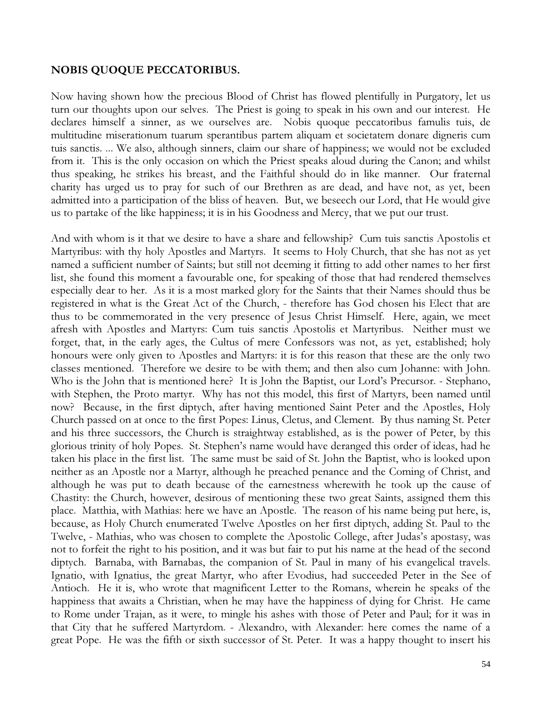#### NOBIS QUOQUE PECCATORIBUS.

Now having shown how the precious Blood of Christ has flowed plentifully in Purgatory, let us turn our thoughts upon our selves. The Priest is going to speak in his own and our interest. He declares himself a sinner, as we ourselves are. Nobis quoque peccatoribus famulis tuis, de multitudine miserationum tuarum sperantibus partem aliquam et societatem donare digneris cum tuis sanctis. ... We also, although sinners, claim our share of happiness; we would not be excluded from it. This is the only occasion on which the Priest speaks aloud during the Canon; and whilst thus speaking, he strikes his breast, and the Faithful should do in like manner. Our fraternal charity has urged us to pray for such of our Brethren as are dead, and have not, as yet, been admitted into a participation of the bliss of heaven. But, we beseech our Lord, that He would give us to partake of the like happiness; it is in his Goodness and Mercy, that we put our trust.

And with whom is it that we desire to have a share and fellowship? Cum tuis sanctis Apostolis et Martyribus: with thy holy Apostles and Martyrs. It seems to Holy Church, that she has not as yet named a sufficient number of Saints; but still not deeming it fitting to add other names to her first list, she found this moment a favourable one, for speaking of those that had rendered themselves especially dear to her. As it is a most marked glory for the Saints that their Names should thus be registered in what is the Great Act of the Church, - therefore has God chosen his Elect that are thus to be commemorated in the very presence of Jesus Christ Himself. Here, again, we meet afresh with Apostles and Martyrs: Cum tuis sanctis Apostolis et Martyribus. Neither must we forget, that, in the early ages, the Cultus of mere Confessors was not, as yet, established; holy honours were only given to Apostles and Martyrs: it is for this reason that these are the only two classes mentioned. Therefore we desire to be with them; and then also cum Johanne: with John. Who is the John that is mentioned here? It is John the Baptist, our Lord's Precursor. - Stephano, with Stephen, the Proto martyr. Why has not this model, this first of Martyrs, been named until now? Because, in the first diptych, after having mentioned Saint Peter and the Apostles, Holy Church passed on at once to the first Popes: Linus, Cletus, and Clement. By thus naming St. Peter and his three successors, the Church is straightway established, as is the power of Peter, by this glorious trinity of holy Popes. St. Stephen's name would have deranged this order of ideas, had he taken his place in the first list. The same must be said of St. John the Baptist, who is looked upon neither as an Apostle nor a Martyr, although he preached penance and the Coming of Christ, and although he was put to death because of the earnestness wherewith he took up the cause of Chastity: the Church, however, desirous of mentioning these two great Saints, assigned them this place. Matthia, with Mathias: here we have an Apostle. The reason of his name being put here, is, because, as Holy Church enumerated Twelve Apostles on her first diptych, adding St. Paul to the Twelve, - Mathias, who was chosen to complete the Apostolic College, after Judas's apostasy, was not to forfeit the right to his position, and it was but fair to put his name at the head of the second diptych. Barnaba, with Barnabas, the companion of St. Paul in many of his evangelical travels. Ignatio, with Ignatius, the great Martyr, who after Evodius, had succeeded Peter in the See of Antioch. He it is, who wrote that magnificent Letter to the Romans, wherein he speaks of the happiness that awaits a Christian, when he may have the happiness of dying for Christ. He came to Rome under Trajan, as it were, to mingle his ashes with those of Peter and Paul; for it was in that City that he suffered Martyrdom. - Alexandro, with Alexander: here comes the name of a great Pope. He was the fifth or sixth successor of St. Peter. It was a happy thought to insert his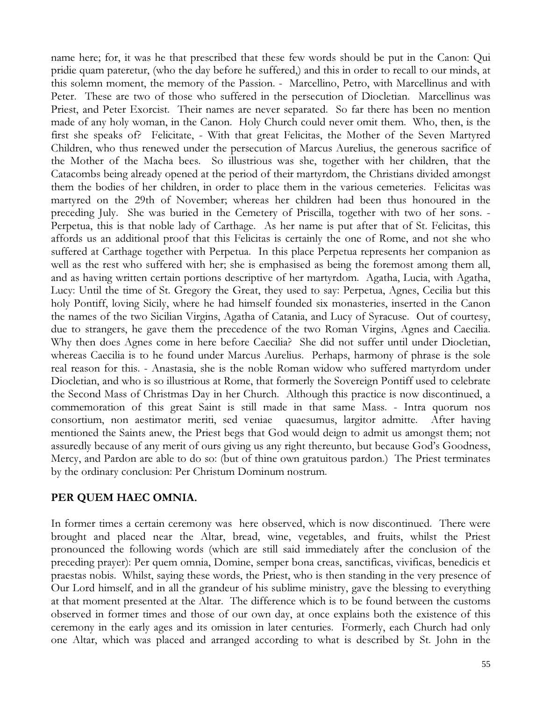name here; for, it was he that prescribed that these few words should be put in the Canon: Qui pridie quam pateretur, (who the day before he suffered,) and this in order to recall to our minds, at this solemn moment, the memory of the Passion. - Marcellino, Petro, with Marcellinus and with Peter. These are two of those who suffered in the persecution of Diocletian. Marcellinus was Priest, and Peter Exorcist. Their names are never separated. So far there has been no mention made of any holy woman, in the Canon. Holy Church could never omit them. Who, then, is the first she speaks of? Felicitate, - With that great Felicitas, the Mother of the Seven Martyred Children, who thus renewed under the persecution of Marcus Aurelius, the generous sacrifice of the Mother of the Macha bees. So illustrious was she, together with her children, that the Catacombs being already opened at the period of their martyrdom, the Christians divided amongst them the bodies of her children, in order to place them in the various cemeteries. Felicitas was martyred on the 29th of November; whereas her children had been thus honoured in the preceding July. She was buried in the Cemetery of Priscilla, together with two of her sons. - Perpetua, this is that noble lady of Carthage. As her name is put after that of St. Felicitas, this affords us an additional proof that this Felicitas is certainly the one of Rome, and not she who suffered at Carthage together with Perpetua. In this place Perpetua represents her companion as well as the rest who suffered with her; she is emphasised as being the foremost among them all, and as having written certain portions descriptive of her martyrdom. Agatha, Lucia, with Agatha, Lucy: Until the time of St. Gregory the Great, they used to say: Perpetua, Agnes, Cecilia but this holy Pontiff, loving Sicily, where he had himself founded six monasteries, inserted in the Canon the names of the two Sicilian Virgins, Agatha of Catania, and Lucy of Syracuse. Out of courtesy, due to strangers, he gave them the precedence of the two Roman Virgins, Agnes and Caecilia. Why then does Agnes come in here before Caecilia? She did not suffer until under Diocletian, whereas Caecilia is to he found under Marcus Aurelius. Perhaps, harmony of phrase is the sole real reason for this. - Anastasia, she is the noble Roman widow who suffered martyrdom under Diocletian, and who is so illustrious at Rome, that formerly the Sovereign Pontiff used to celebrate the Second Mass of Christmas Day in her Church. Although this practice is now discontinued, a commemoration of this great Saint is still made in that same Mass. - Intra quorum nos consortium, non aestimator meriti, sed veniae quaesumus, largitor admitte. After having mentioned the Saints anew, the Priest begs that God would deign to admit us amongst them; not assuredly because of any merit of ours giving us any right thereunto, but because God's Goodness, Mercy, and Pardon are able to do so: (but of thine own gratuitous pardon.) The Priest terminates by the ordinary conclusion: Per Christum Dominum nostrum.

#### PER QUEM HAEC OMNIA.

In former times a certain ceremony was here observed, which is now discontinued. There were brought and placed near the Altar, bread, wine, vegetables, and fruits, whilst the Priest pronounced the following words (which are still said immediately after the conclusion of the preceding prayer): Per quem omnia, Domine, semper bona creas, sanctificas, vivificas, benedicis et praestas nobis. Whilst, saying these words, the Priest, who is then standing in the very presence of Our Lord himself, and in all the grandeur of his sublime ministry, gave the blessing to everything at that moment presented at the Altar. The difference which is to be found between the customs observed in former times and those of our own day, at once explains both the existence of this ceremony in the early ages and its omission in later centuries. Formerly, each Church had only one Altar, which was placed and arranged according to what is described by St. John in the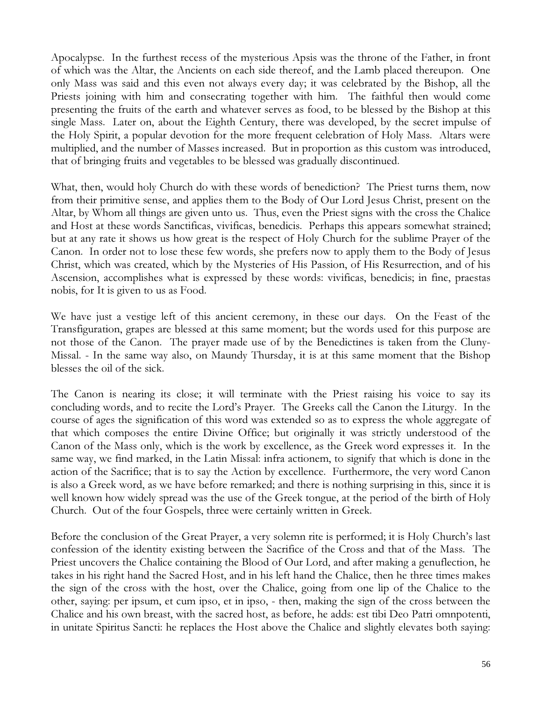Apocalypse. In the furthest recess of the mysterious Apsis was the throne of the Father, in front of which was the Altar, the Ancients on each side thereof, and the Lamb placed thereupon. One only Mass was said and this even not always every day; it was celebrated by the Bishop, all the Priests joining with him and consecrating together with him. The faithful then would come presenting the fruits of the earth and whatever serves as food, to be blessed by the Bishop at this single Mass. Later on, about the Eighth Century, there was developed, by the secret impulse of the Holy Spirit, a popular devotion for the more frequent celebration of Holy Mass. Altars were multiplied, and the number of Masses increased. But in proportion as this custom was introduced, that of bringing fruits and vegetables to be blessed was gradually discontinued.

What, then, would holy Church do with these words of benediction? The Priest turns them, now from their primitive sense, and applies them to the Body of Our Lord Jesus Christ, present on the Altar, by Whom all things are given unto us. Thus, even the Priest signs with the cross the Chalice and Host at these words Sanctificas, vivificas, benedicis. Perhaps this appears somewhat strained; but at any rate it shows us how great is the respect of Holy Church for the sublime Prayer of the Canon. In order not to lose these few words, she prefers now to apply them to the Body of Jesus Christ, which was created, which by the Mysteries of His Passion, of His Resurrection, and of his Ascension, accomplishes what is expressed by these words: vivificas, benedicis; in fine, praestas nobis, for It is given to us as Food.

We have just a vestige left of this ancient ceremony, in these our days. On the Feast of the Transfiguration, grapes are blessed at this same moment; but the words used for this purpose are not those of the Canon. The prayer made use of by the Benedictines is taken from the Cluny-Missal. - In the same way also, on Maundy Thursday, it is at this same moment that the Bishop blesses the oil of the sick.

The Canon is nearing its close; it will terminate with the Priest raising his voice to say its concluding words, and to recite the Lord's Prayer. The Greeks call the Canon the Liturgy. In the course of ages the signification of this word was extended so as to express the whole aggregate of that which composes the entire Divine Office; but originally it was strictly understood of the Canon of the Mass only, which is the work by excellence, as the Greek word expresses it. In the same way, we find marked, in the Latin Missal: infra actionem, to signify that which is done in the action of the Sacrifice; that is to say the Action by excellence. Furthermore, the very word Canon is also a Greek word, as we have before remarked; and there is nothing surprising in this, since it is well known how widely spread was the use of the Greek tongue, at the period of the birth of Holy Church. Out of the four Gospels, three were certainly written in Greek.

Before the conclusion of the Great Prayer, a very solemn rite is performed; it is Holy Church's last confession of the identity existing between the Sacrifice of the Cross and that of the Mass. The Priest uncovers the Chalice containing the Blood of Our Lord, and after making a genuflection, he takes in his right hand the Sacred Host, and in his left hand the Chalice, then he three times makes the sign of the cross with the host, over the Chalice, going from one lip of the Chalice to the other, saying: per ipsum, et cum ipso, et in ipso, - then, making the sign of the cross between the Chalice and his own breast, with the sacred host, as before, he adds: est tibi Deo Patri omnpotenti, in unitate Spiritus Sancti: he replaces the Host above the Chalice and slightly elevates both saying: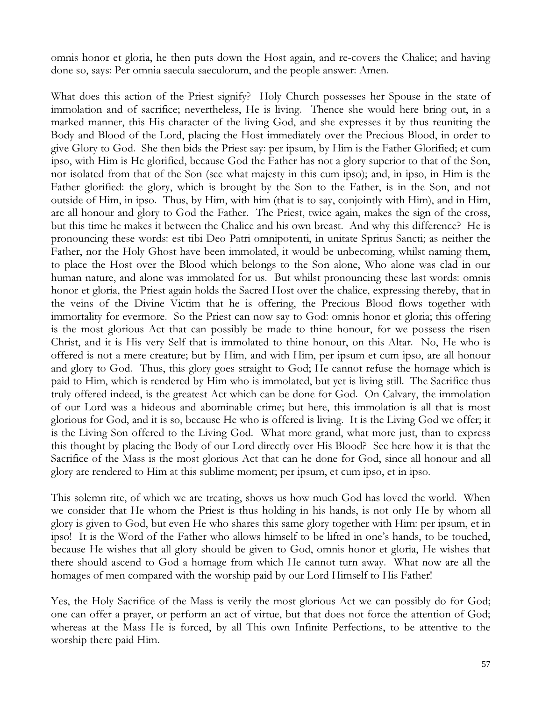omnis honor et gloria, he then puts down the Host again, and re-covers the Chalice; and having done so, says: Per omnia saecula saeculorum, and the people answer: Amen.

What does this action of the Priest signify? Holy Church possesses her Spouse in the state of immolation and of sacrifice; nevertheless, He is living. Thence she would here bring out, in a marked manner, this His character of the living God, and she expresses it by thus reuniting the Body and Blood of the Lord, placing the Host immediately over the Precious Blood, in order to give Glory to God. She then bids the Priest say: per ipsum, by Him is the Father Glorified; et cum ipso, with Him is He glorified, because God the Father has not a glory superior to that of the Son, nor isolated from that of the Son (see what majesty in this cum ipso); and, in ipso, in Him is the Father glorified: the glory, which is brought by the Son to the Father, is in the Son, and not outside of Him, in ipso. Thus, by Him, with him (that is to say, conjointly with Him), and in Him, are all honour and glory to God the Father. The Priest, twice again, makes the sign of the cross, but this time he makes it between the Chalice and his own breast. And why this difference? He is pronouncing these words: est tibi Deo Patri omnipotenti, in unitate Spritus Sancti; as neither the Father, nor the Holy Ghost have been immolated, it would be unbecoming, whilst naming them, to place the Host over the Blood which belongs to the Son alone, Who alone was clad in our human nature, and alone was immolated for us. But whilst pronouncing these last words: omnis honor et gloria, the Priest again holds the Sacred Host over the chalice, expressing thereby, that in the veins of the Divine Victim that he is offering, the Precious Blood flows together with immortality for evermore. So the Priest can now say to God: omnis honor et gloria; this offering is the most glorious Act that can possibly be made to thine honour, for we possess the risen Christ, and it is His very Self that is immolated to thine honour, on this Altar. No, He who is offered is not a mere creature; but by Him, and with Him, per ipsum et cum ipso, are all honour and glory to God. Thus, this glory goes straight to God; He cannot refuse the homage which is paid to Him, which is rendered by Him who is immolated, but yet is living still. The Sacrifice thus truly offered indeed, is the greatest Act which can be done for God. On Calvary, the immolation of our Lord was a hideous and abominable crime; but here, this immolation is all that is most glorious for God, and it is so, because He who is offered is living. It is the Living God we offer; it is the Living Son offered to the Living God. What more grand, what more just, than to express this thought by placing the Body of our Lord directly over His Blood? See here how it is that the Sacrifice of the Mass is the most glorious Act that can he done for God, since all honour and all glory are rendered to Him at this sublime moment; per ipsum, et cum ipso, et in ipso.

This solemn rite, of which we are treating, shows us how much God has loved the world. When we consider that He whom the Priest is thus holding in his hands, is not only He by whom all glory is given to God, but even He who shares this same glory together with Him: per ipsum, et in ipso! It is the Word of the Father who allows himself to be lifted in one's hands, to be touched, because He wishes that all glory should be given to God, omnis honor et gloria, He wishes that there should ascend to God a homage from which He cannot turn away. What now are all the homages of men compared with the worship paid by our Lord Himself to His Father!

Yes, the Holy Sacrifice of the Mass is verily the most glorious Act we can possibly do for God; one can offer a prayer, or perform an act of virtue, but that does not force the attention of God; whereas at the Mass He is forced, by all This own Infinite Perfections, to be attentive to the worship there paid Him.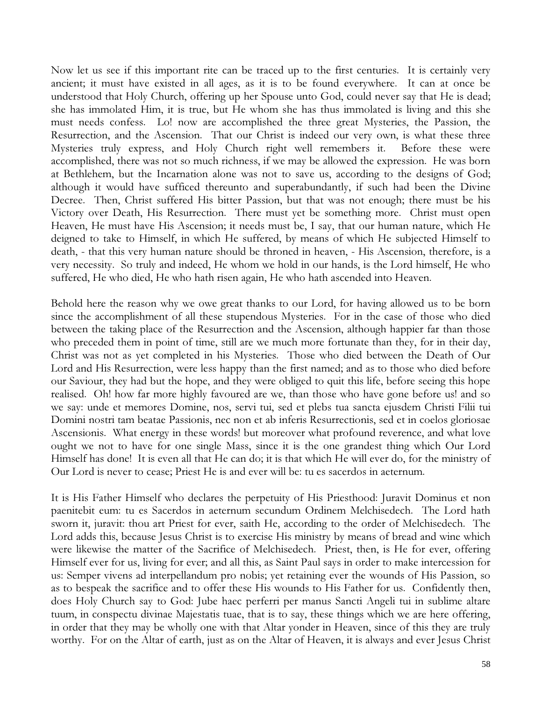Now let us see if this important rite can be traced up to the first centuries. It is certainly very ancient; it must have existed in all ages, as it is to be found everywhere. It can at once be understood that Holy Church, offering up her Spouse unto God, could never say that He is dead; she has immolated Him, it is true, but He whom she has thus immolated is living and this she must needs confess. Lo! now are accomplished the three great Mysteries, the Passion, the Resurrection, and the Ascension. That our Christ is indeed our very own, is what these three Mysteries truly express, and Holy Church right well remembers it. Before these were accomplished, there was not so much richness, if we may be allowed the expression. He was born at Bethlehem, but the Incarnation alone was not to save us, according to the designs of God; although it would have sufficed thereunto and superabundantly, if such had been the Divine Decree. Then, Christ suffered His bitter Passion, but that was not enough; there must be his Victory over Death, His Resurrection. There must yet be something more. Christ must open Heaven, He must have His Ascension; it needs must be, I say, that our human nature, which He deigned to take to Himself, in which He suffered, by means of which He subjected Himself to death, - that this very human nature should be throned in heaven, - His Ascension, therefore, is a very necessity. So truly and indeed, He whom we hold in our hands, is the Lord himself, He who suffered, He who died, He who hath risen again, He who hath ascended into Heaven.

Behold here the reason why we owe great thanks to our Lord, for having allowed us to be born since the accomplishment of all these stupendous Mysteries. For in the case of those who died between the taking place of the Resurrection and the Ascension, although happier far than those who preceded them in point of time, still are we much more fortunate than they, for in their day, Christ was not as yet completed in his Mysteries. Those who died between the Death of Our Lord and His Resurrection, were less happy than the first named; and as to those who died before our Saviour, they had but the hope, and they were obliged to quit this life, before seeing this hope realised. Oh! how far more highly favoured are we, than those who have gone before us! and so we say: unde et memores Domine, nos, servi tui, sed et plebs tua sancta ejusdem Christi Filii tui Domini nostri tam beatae Passionis, nec non et ab inferis Resurrectionis, sed et in coelos gloriosae Ascensionis. What energy in these words! but moreover what profound reverence, and what love ought we not to have for one single Mass, since it is the one grandest thing which Our Lord Himself has done! It is even all that He can do; it is that which He will ever do, for the ministry of Our Lord is never to cease; Priest He is and ever will be: tu es sacerdos in aeternum.

It is His Father Himself who declares the perpetuity of His Priesthood: Juravit Dominus et non paenitebit eum: tu es Sacerdos in aeternum secundum Ordinem Melchisedech. The Lord hath sworn it, juravit: thou art Priest for ever, saith He, according to the order of Melchisedech. The Lord adds this, because Jesus Christ is to exercise His ministry by means of bread and wine which were likewise the matter of the Sacrifice of Melchisedech. Priest, then, is He for ever, offering Himself ever for us, living for ever; and all this, as Saint Paul says in order to make intercession for us: Semper vivens ad interpellandum pro nobis; yet retaining ever the wounds of His Passion, so as to bespeak the sacrifice and to offer these His wounds to His Father for us. Confidently then, does Holy Church say to God: Jube haec perferri per manus Sancti Angeli tui in sublime altare tuum, in conspectu divinae Majestatis tuae, that is to say, these things which we are here offering, in order that they may be wholly one with that Altar yonder in Heaven, since of this they are truly worthy. For on the Altar of earth, just as on the Altar of Heaven, it is always and ever Jesus Christ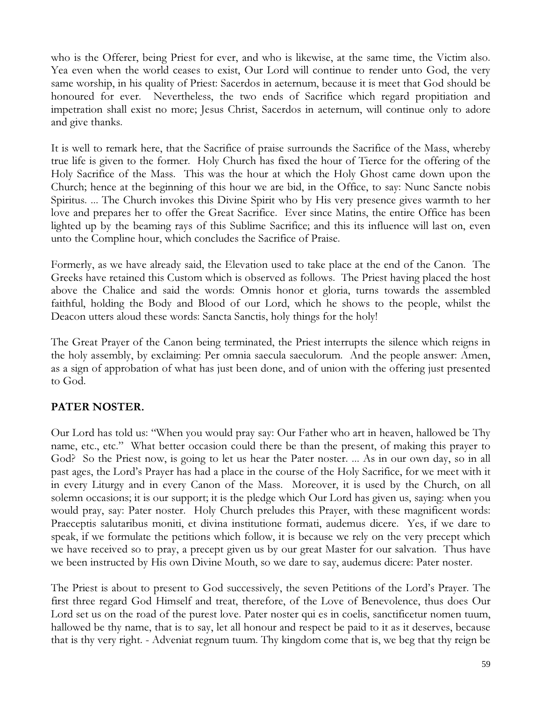who is the Offerer, being Priest for ever, and who is likewise, at the same time, the Victim also. Yea even when the world ceases to exist, Our Lord will continue to render unto God, the very same worship, in his quality of Priest: Sacerdos in aeternum, because it is meet that God should be honoured for ever. Nevertheless, the two ends of Sacrifice which regard propitiation and impetration shall exist no more; Jesus Christ, Sacerdos in aeternum, will continue only to adore and give thanks.

It is well to remark here, that the Sacrifice of praise surrounds the Sacrifice of the Mass, whereby true life is given to the former. Holy Church has fixed the hour of Tierce for the offering of the Holy Sacrifice of the Mass. This was the hour at which the Holy Ghost came down upon the Church; hence at the beginning of this hour we are bid, in the Office, to say: Nunc Sancte nobis Spiritus. ... The Church invokes this Divine Spirit who by His very presence gives warmth to her love and prepares her to offer the Great Sacrifice. Ever since Matins, the entire Office has been lighted up by the beaming rays of this Sublime Sacrifice; and this its influence will last on, even unto the Compline hour, which concludes the Sacrifice of Praise.

Formerly, as we have already said, the Elevation used to take place at the end of the Canon. The Greeks have retained this Custom which is observed as follows. The Priest having placed the host above the Chalice and said the words: Omnis honor et gloria, turns towards the assembled faithful, holding the Body and Blood of our Lord, which he shows to the people, whilst the Deacon utters aloud these words: Sancta Sanctis, holy things for the holy!

The Great Prayer of the Canon being terminated, the Priest interrupts the silence which reigns in the holy assembly, by exclaiming: Per omnia saecula saeculorum. And the people answer: Amen, as a sign of approbation of what has just been done, and of union with the offering just presented to God.

# PATER NOSTER.

Our Lord has told us: "When you would pray say: Our Father who art in heaven, hallowed be Thy name, etc., etc." What better occasion could there be than the present, of making this prayer to God? So the Priest now, is going to let us hear the Pater noster. ... As in our own day, so in all past ages, the Lord's Prayer has had a place in the course of the Holy Sacrifice, for we meet with it in every Liturgy and in every Canon of the Mass. Moreover, it is used by the Church, on all solemn occasions; it is our support; it is the pledge which Our Lord has given us, saying: when you would pray, say: Pater noster. Holy Church preludes this Prayer, with these magnificent words: Praeceptis salutaribus moniti, et divina institutione formati, audemus dicere. Yes, if we dare to speak, if we formulate the petitions which follow, it is because we rely on the very precept which we have received so to pray, a precept given us by our great Master for our salvation. Thus have we been instructed by His own Divine Mouth, so we dare to say, audemus dicere: Pater noster.

The Priest is about to present to God successively, the seven Petitions of the Lord's Prayer. The first three regard God Himself and treat, therefore, of the Love of Benevolence, thus does Our Lord set us on the road of the purest love. Pater noster qui es in coelis, sanctificetur nomen tuum, hallowed be thy name, that is to say, let all honour and respect be paid to it as it deserves, because that is thy very right. - Adveniat regnum tuum. Thy kingdom come that is, we beg that thy reign be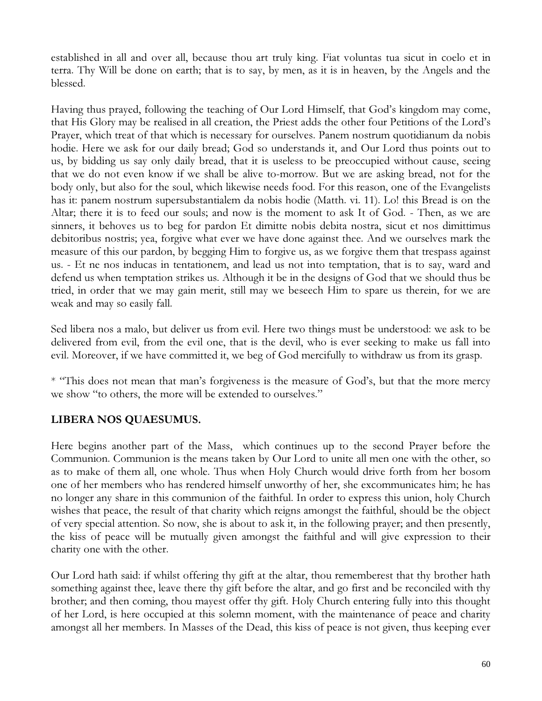established in all and over all, because thou art truly king. Fiat voluntas tua sicut in coelo et in terra. Thy Will be done on earth; that is to say, by men, as it is in heaven, by the Angels and the blessed.

Having thus prayed, following the teaching of Our Lord Himself, that God's kingdom may come, that His Glory may be realised in all creation, the Priest adds the other four Petitions of the Lord's Prayer, which treat of that which is necessary for ourselves. Panem nostrum quotidianum da nobis hodie. Here we ask for our daily bread; God so understands it, and Our Lord thus points out to us, by bidding us say only daily bread, that it is useless to be preoccupied without cause, seeing that we do not even know if we shall be alive to-morrow. But we are asking bread, not for the body only, but also for the soul, which likewise needs food. For this reason, one of the Evangelists has it: panem nostrum supersubstantialem da nobis hodie (Matth. vi. 11). Lo! this Bread is on the Altar; there it is to feed our souls; and now is the moment to ask It of God. - Then, as we are sinners, it behoves us to beg for pardon Et dimitte nobis debita nostra, sicut et nos dimittimus debitoribus nostris; yea, forgive what ever we have done against thee. And we ourselves mark the measure of this our pardon, by begging Him to forgive us, as we forgive them that trespass against us. - Et ne nos inducas in tentationem, and lead us not into temptation, that is to say, ward and defend us when temptation strikes us. Although it be in the designs of God that we should thus be tried, in order that we may gain merit, still may we beseech Him to spare us therein, for we are weak and may so easily fall.

Sed libera nos a malo, but deliver us from evil. Here two things must be understood: we ask to be delivered from evil, from the evil one, that is the devil, who is ever seeking to make us fall into evil. Moreover, if we have committed it, we beg of God mercifully to withdraw us from its grasp.

\* "This does not mean that man's forgiveness is the measure of God's, but that the more mercy we show "to others, the more will be extended to ourselves."

## LIBERA NOS QUAESUMUS.

Here begins another part of the Mass, which continues up to the second Prayer before the Communion. Communion is the means taken by Our Lord to unite all men one with the other, so as to make of them all, one whole. Thus when Holy Church would drive forth from her bosom one of her members who has rendered himself unworthy of her, she excommunicates him; he has no longer any share in this communion of the faithful. In order to express this union, holy Church wishes that peace, the result of that charity which reigns amongst the faithful, should be the object of very special attention. So now, she is about to ask it, in the following prayer; and then presently, the kiss of peace will be mutually given amongst the faithful and will give expression to their charity one with the other.

Our Lord hath said: if whilst offering thy gift at the altar, thou rememberest that thy brother hath something against thee, leave there thy gift before the altar, and go first and be reconciled with thy brother; and then coming, thou mayest offer thy gift. Holy Church entering fully into this thought of her Lord, is here occupied at this solemn moment, with the maintenance of peace and charity amongst all her members. In Masses of the Dead, this kiss of peace is not given, thus keeping ever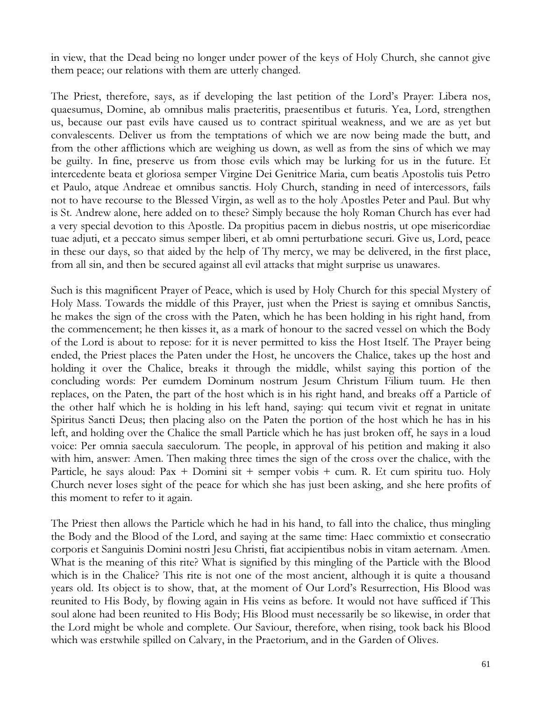in view, that the Dead being no longer under power of the keys of Holy Church, she cannot give them peace; our relations with them are utterly changed.

The Priest, therefore, says, as if developing the last petition of the Lord's Prayer: Libera nos, quaesumus, Domine, ab omnibus malis praeteritis, praesentibus et futuris. Yea, Lord, strengthen us, because our past evils have caused us to contract spiritual weakness, and we are as yet but convalescents. Deliver us from the temptations of which we are now being made the butt, and from the other afflictions which are weighing us down, as well as from the sins of which we may be guilty. In fine, preserve us from those evils which may be lurking for us in the future. Et intercedente beata et gloriosa semper Virgine Dei Genitrice Maria, cum beatis Apostolis tuis Petro et Paulo, atque Andreae et omnibus sanctis. Holy Church, standing in need of intercessors, fails not to have recourse to the Blessed Virgin, as well as to the holy Apostles Peter and Paul. But why is St. Andrew alone, here added on to these? Simply because the holy Roman Church has ever had a very special devotion to this Apostle. Da propitius pacem in diebus nostris, ut ope misericordiae tuae adjuti, et a peccato simus semper liberi, et ab omni perturbatione securi. Give us, Lord, peace in these our days, so that aided by the help of Thy mercy, we may be delivered, in the first place, from all sin, and then be secured against all evil attacks that might surprise us unawares.

Such is this magnificent Prayer of Peace, which is used by Holy Church for this special Mystery of Holy Mass. Towards the middle of this Prayer, just when the Priest is saying et omnibus Sanctis, he makes the sign of the cross with the Paten, which he has been holding in his right hand, from the commencement; he then kisses it, as a mark of honour to the sacred vessel on which the Body of the Lord is about to repose: for it is never permitted to kiss the Host Itself. The Prayer being ended, the Priest places the Paten under the Host, he uncovers the Chalice, takes up the host and holding it over the Chalice, breaks it through the middle, whilst saying this portion of the concluding words: Per eumdem Dominum nostrum Jesum Christum Filium tuum. He then replaces, on the Paten, the part of the host which is in his right hand, and breaks off a Particle of the other half which he is holding in his left hand, saying: qui tecum vivit et regnat in unitate Spiritus Sancti Deus; then placing also on the Paten the portion of the host which he has in his left, and holding over the Chalice the small Particle which he has just broken off, he says in a loud voice: Per omnia saecula saeculorum. The people, in approval of his petition and making it also with him, answer: Amen. Then making three times the sign of the cross over the chalice, with the Particle, he says aloud: Pax + Domini sit + semper vobis + cum. R. Et cum spiritu tuo. Holy Church never loses sight of the peace for which she has just been asking, and she here profits of this moment to refer to it again.

The Priest then allows the Particle which he had in his hand, to fall into the chalice, thus mingling the Body and the Blood of the Lord, and saying at the same time: Haec commixtio et consecratio corporis et Sanguinis Domini nostri Jesu Christi, fiat accipientibus nobis in vitam aeternam. Amen. What is the meaning of this rite? What is signified by this mingling of the Particle with the Blood which is in the Chalice? This rite is not one of the most ancient, although it is quite a thousand years old. Its object is to show, that, at the moment of Our Lord's Resurrection, His Blood was reunited to His Body, by flowing again in His veins as before. It would not have sufficed if This soul alone had been reunited to His Body; His Blood must necessarily be so likewise, in order that the Lord might be whole and complete. Our Saviour, therefore, when rising, took back his Blood which was erstwhile spilled on Calvary, in the Praetorium, and in the Garden of Olives.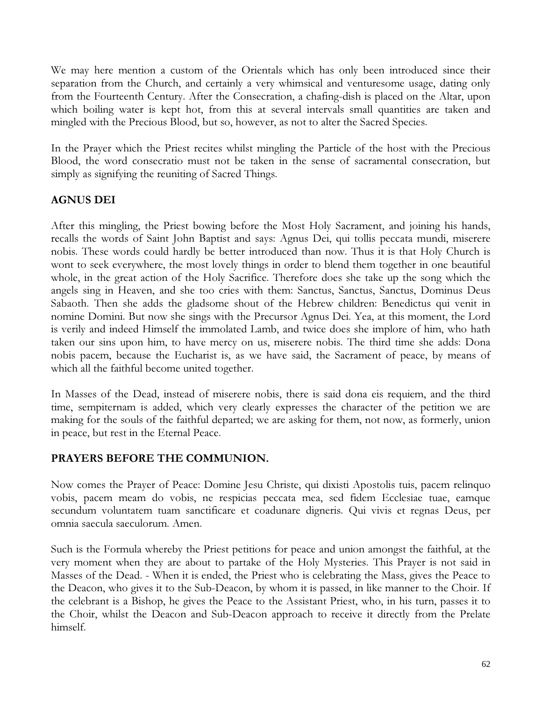We may here mention a custom of the Orientals which has only been introduced since their separation from the Church, and certainly a very whimsical and venturesome usage, dating only from the Fourteenth Century. After the Consecration, a chafing-dish is placed on the Altar, upon which boiling water is kept hot, from this at several intervals small quantities are taken and mingled with the Precious Blood, but so, however, as not to alter the Sacred Species.

In the Prayer which the Priest recites whilst mingling the Particle of the host with the Precious Blood, the word consecratio must not be taken in the sense of sacramental consecration, but simply as signifying the reuniting of Sacred Things.

# AGNUS DEI

After this mingling, the Priest bowing before the Most Holy Sacrament, and joining his hands, recalls the words of Saint John Baptist and says: Agnus Dei, qui tollis peccata mundi, miserere nobis. These words could hardly be better introduced than now. Thus it is that Holy Church is wont to seek everywhere, the most lovely things in order to blend them together in one beautiful whole, in the great action of the Holy Sacrifice. Therefore does she take up the song which the angels sing in Heaven, and she too cries with them: Sanctus, Sanctus, Sanctus, Dominus Deus Sabaoth. Then she adds the gladsome shout of the Hebrew children: Benedictus qui venit in nomine Domini. But now she sings with the Precursor Agnus Dei. Yea, at this moment, the Lord is verily and indeed Himself the immolated Lamb, and twice does she implore of him, who hath taken our sins upon him, to have mercy on us, miserere nobis. The third time she adds: Dona nobis pacem, because the Eucharist is, as we have said, the Sacrament of peace, by means of which all the faithful become united together.

In Masses of the Dead, instead of miserere nobis, there is said dona eis requiem, and the third time, sempiternam is added, which very clearly expresses the character of the petition we are making for the souls of the faithful departed; we are asking for them, not now, as formerly, union in peace, but rest in the Eternal Peace.

## PRAYERS BEFORE THE COMMUNION.

Now comes the Prayer of Peace: Domine Jesu Christe, qui dixisti Apostolis tuis, pacem relinquo vobis, pacem meam do vobis, ne respicias peccata mea, sed fidem Ecclesiae tuae, eamque secundum voluntatem tuam sanctificare et coadunare digneris. Qui vivis et regnas Deus, per omnia saecula saeculorum. Amen.

Such is the Formula whereby the Priest petitions for peace and union amongst the faithful, at the very moment when they are about to partake of the Holy Mysteries. This Prayer is not said in Masses of the Dead. - When it is ended, the Priest who is celebrating the Mass, gives the Peace to the Deacon, who gives it to the Sub-Deacon, by whom it is passed, in like manner to the Choir. If the celebrant is a Bishop, he gives the Peace to the Assistant Priest, who, in his turn, passes it to the Choir, whilst the Deacon and Sub-Deacon approach to receive it directly from the Prelate himself.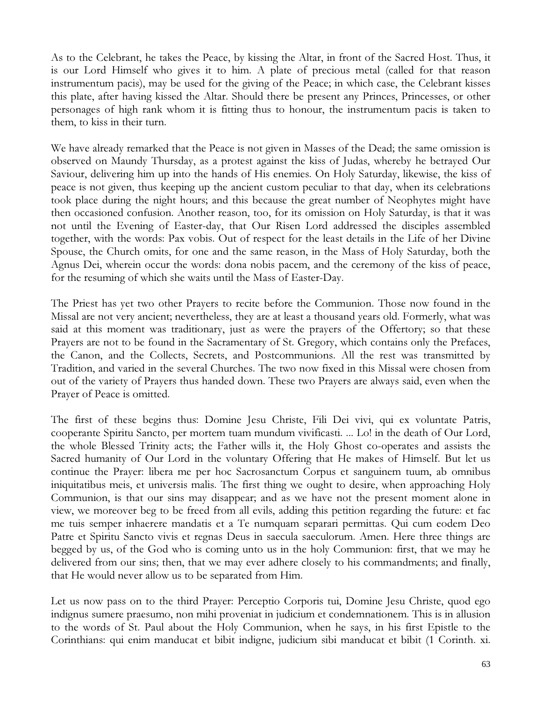As to the Celebrant, he takes the Peace, by kissing the Altar, in front of the Sacred Host. Thus, it is our Lord Himself who gives it to him. A plate of precious metal (called for that reason instrumentum pacis), may be used for the giving of the Peace; in which case, the Celebrant kisses this plate, after having kissed the Altar. Should there be present any Princes, Princesses, or other personages of high rank whom it is fitting thus to honour, the instrumentum pacis is taken to them, to kiss in their turn.

We have already remarked that the Peace is not given in Masses of the Dead; the same omission is observed on Maundy Thursday, as a protest against the kiss of Judas, whereby he betrayed Our Saviour, delivering him up into the hands of His enemies. On Holy Saturday, likewise, the kiss of peace is not given, thus keeping up the ancient custom peculiar to that day, when its celebrations took place during the night hours; and this because the great number of Neophytes might have then occasioned confusion. Another reason, too, for its omission on Holy Saturday, is that it was not until the Evening of Easter-day, that Our Risen Lord addressed the disciples assembled together, with the words: Pax vobis. Out of respect for the least details in the Life of her Divine Spouse, the Church omits, for one and the same reason, in the Mass of Holy Saturday, both the Agnus Dei, wherein occur the words: dona nobis pacem, and the ceremony of the kiss of peace, for the resuming of which she waits until the Mass of Easter-Day.

The Priest has yet two other Prayers to recite before the Communion. Those now found in the Missal are not very ancient; nevertheless, they are at least a thousand years old. Formerly, what was said at this moment was traditionary, just as were the prayers of the Offertory; so that these Prayers are not to be found in the Sacramentary of St. Gregory, which contains only the Prefaces, the Canon, and the Collects, Secrets, and Postcommunions. All the rest was transmitted by Tradition, and varied in the several Churches. The two now fixed in this Missal were chosen from out of the variety of Prayers thus handed down. These two Prayers are always said, even when the Prayer of Peace is omitted.

The first of these begins thus: Domine Jesu Christe, Fili Dei vivi, qui ex voluntate Patris, cooperante Spiritu Sancto, per mortem tuam mundum vivificasti. ... Lo! in the death of Our Lord, the whole Blessed Trinity acts; the Father wills it, the Holy Ghost co-operates and assists the Sacred humanity of Our Lord in the voluntary Offering that He makes of Himself. But let us continue the Prayer: libera me per hoc Sacrosanctum Corpus et sanguinem tuum, ab omnibus iniquitatibus meis, et universis malis. The first thing we ought to desire, when approaching Holy Communion, is that our sins may disappear; and as we have not the present moment alone in view, we moreover beg to be freed from all evils, adding this petition regarding the future: et fac me tuis semper inhaerere mandatis et a Te numquam separari permittas. Qui cum eodem Deo Patre et Spiritu Sancto vivis et regnas Deus in saecula saeculorum. Amen. Here three things are begged by us, of the God who is coming unto us in the holy Communion: first, that we may he delivered from our sins; then, that we may ever adhere closely to his commandments; and finally, that He would never allow us to be separated from Him.

Let us now pass on to the third Prayer: Perceptio Corporis tui, Domine Jesu Christe, quod ego indignus sumere praesumo, non mihi proveniat in judicium et condemnationem. This is in allusion to the words of St. Paul about the Holy Communion, when he says, in his first Epistle to the Corinthians: qui enim manducat et bibit indigne, judicium sibi manducat et bibit (1 Corinth. xi.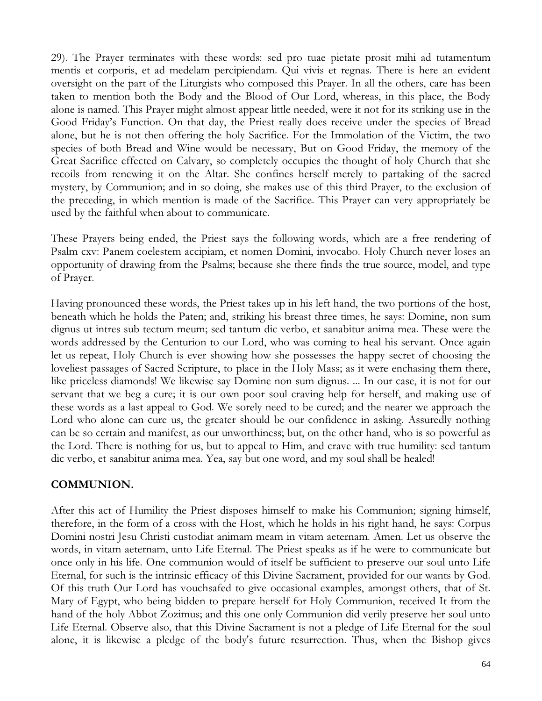29). The Prayer terminates with these words: sed pro tuae pietate prosit mihi ad tutamentum mentis et corporis, et ad medelam percipiendam. Qui vivis et regnas. There is here an evident oversight on the part of the Liturgists who composed this Prayer. In all the others, care has been taken to mention both the Body and the Blood of Our Lord, whereas, in this place, the Body alone is named. This Prayer might almost appear little needed, were it not for its striking use in the Good Friday's Function. On that day, the Priest really does receive under the species of Bread alone, but he is not then offering the holy Sacrifice. For the Immolation of the Victim, the two species of both Bread and Wine would be necessary, But on Good Friday, the memory of the Great Sacrifice effected on Calvary, so completely occupies the thought of holy Church that she recoils from renewing it on the Altar. She confines herself merely to partaking of the sacred mystery, by Communion; and in so doing, she makes use of this third Prayer, to the exclusion of the preceding, in which mention is made of the Sacrifice. This Prayer can very appropriately be used by the faithful when about to communicate.

These Prayers being ended, the Priest says the following words, which are a free rendering of Psalm cxv: Panem coelestem accipiam, et nomen Domini, invocabo. Holy Church never loses an opportunity of drawing from the Psalms; because she there finds the true source, model, and type of Prayer.

Having pronounced these words, the Priest takes up in his left hand, the two portions of the host, beneath which he holds the Paten; and, striking his breast three times, he says: Domine, non sum dignus ut intres sub tectum meum; sed tantum dic verbo, et sanabitur anima mea. These were the words addressed by the Centurion to our Lord, who was coming to heal his servant. Once again let us repeat, Holy Church is ever showing how she possesses the happy secret of choosing the loveliest passages of Sacred Scripture, to place in the Holy Mass; as it were enchasing them there, like priceless diamonds! We likewise say Domine non sum dignus. ... In our case, it is not for our servant that we beg a cure; it is our own poor soul craving help for herself, and making use of these words as a last appeal to God. We sorely need to be cured; and the nearer we approach the Lord who alone can cure us, the greater should be our confidence in asking. Assuredly nothing can be so certain and manifest, as our unworthiness; but, on the other hand, who is so powerful as the Lord. There is nothing for us, but to appeal to Him, and crave with true humility: sed tantum dic verbo, et sanabitur anima mea. Yea, say but one word, and my soul shall be healed!

#### COMMUNION.

After this act of Humility the Priest disposes himself to make his Communion; signing himself, therefore, in the form of a cross with the Host, which he holds in his right hand, he says: Corpus Domini nostri Jesu Christi custodiat animam meam in vitam aeternam. Amen. Let us observe the words, in vitam aeternam, unto Life Eternal. The Priest speaks as if he were to communicate but once only in his life. One communion would of itself be sufficient to preserve our soul unto Life Eternal, for such is the intrinsic efficacy of this Divine Sacrament, provided for our wants by God. Of this truth Our Lord has vouchsafed to give occasional examples, amongst others, that of St. Mary of Egypt, who being bidden to prepare herself for Holy Communion, received It from the hand of the holy Abbot Zozimus; and this one only Communion did verily preserve her soul unto Life Eternal. Observe also, that this Divine Sacrament is not a pledge of Life Eternal for the soul alone, it is likewise a pledge of the body's future resurrection. Thus, when the Bishop gives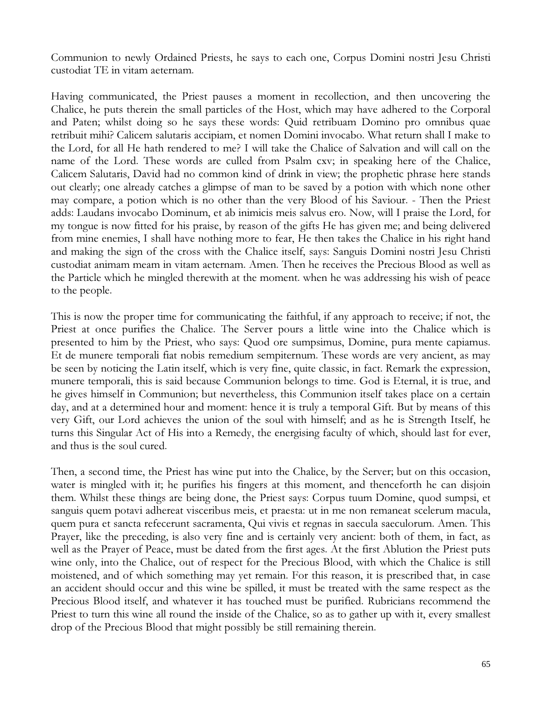Communion to newly Ordained Priests, he says to each one, Corpus Domini nostri Jesu Christi custodiat TE in vitam aeternam.

Having communicated, the Priest pauses a moment in recollection, and then uncovering the Chalice, he puts therein the small particles of the Host, which may have adhered to the Corporal and Paten; whilst doing so he says these words: Quid retribuam Domino pro omnibus quae retribuit mihi? Calicem salutaris accipiam, et nomen Domini invocabo. What return shall I make to the Lord, for all He hath rendered to me? I will take the Chalice of Salvation and will call on the name of the Lord. These words are culled from Psalm cxv; in speaking here of the Chalice, Calicem Salutaris, David had no common kind of drink in view; the prophetic phrase here stands out clearly; one already catches a glimpse of man to be saved by a potion with which none other may compare, a potion which is no other than the very Blood of his Saviour. - Then the Priest adds: Laudans invocabo Dominum, et ab inimicis meis salvus ero. Now, will I praise the Lord, for my tongue is now fitted for his praise, by reason of the gifts He has given me; and being delivered from mine enemies, I shall have nothing more to fear, He then takes the Chalice in his right hand and making the sign of the cross with the Chalice itself, says: Sanguis Domini nostri Jesu Christi custodiat animam meam in vitam aeternam. Amen. Then he receives the Precious Blood as well as the Particle which he mingled therewith at the moment. when he was addressing his wish of peace to the people.

This is now the proper time for communicating the faithful, if any approach to receive; if not, the Priest at once purifies the Chalice. The Server pours a little wine into the Chalice which is presented to him by the Priest, who says: Quod ore sumpsimus, Domine, pura mente capiamus. Et de munere temporali fiat nobis remedium sempiternum. These words are very ancient, as may be seen by noticing the Latin itself, which is very fine, quite classic, in fact. Remark the expression, munere temporali, this is said because Communion belongs to time. God is Eternal, it is true, and he gives himself in Communion; but nevertheless, this Communion itself takes place on a certain day, and at a determined hour and moment: hence it is truly a temporal Gift. But by means of this very Gift, our Lord achieves the union of the soul with himself; and as he is Strength Itself, he turns this Singular Act of His into a Remedy, the energising faculty of which, should last for ever, and thus is the soul cured.

Then, a second time, the Priest has wine put into the Chalice, by the Server; but on this occasion, water is mingled with it; he purifies his fingers at this moment, and thenceforth he can disjoin them. Whilst these things are being done, the Priest says: Corpus tuum Domine, quod sumpsi, et sanguis quem potavi adhereat visceribus meis, et praesta: ut in me non remaneat scelerum macula, quem pura et sancta refecerunt sacramenta, Qui vivis et regnas in saecula saeculorum. Amen. This Prayer, like the preceding, is also very fine and is certainly very ancient: both of them, in fact, as well as the Prayer of Peace, must be dated from the first ages. At the first Ablution the Priest puts wine only, into the Chalice, out of respect for the Precious Blood, with which the Chalice is still moistened, and of which something may yet remain. For this reason, it is prescribed that, in case an accident should occur and this wine be spilled, it must be treated with the same respect as the Precious Blood itself, and whatever it has touched must be purified. Rubricians recommend the Priest to turn this wine all round the inside of the Chalice, so as to gather up with it, every smallest drop of the Precious Blood that might possibly be still remaining therein.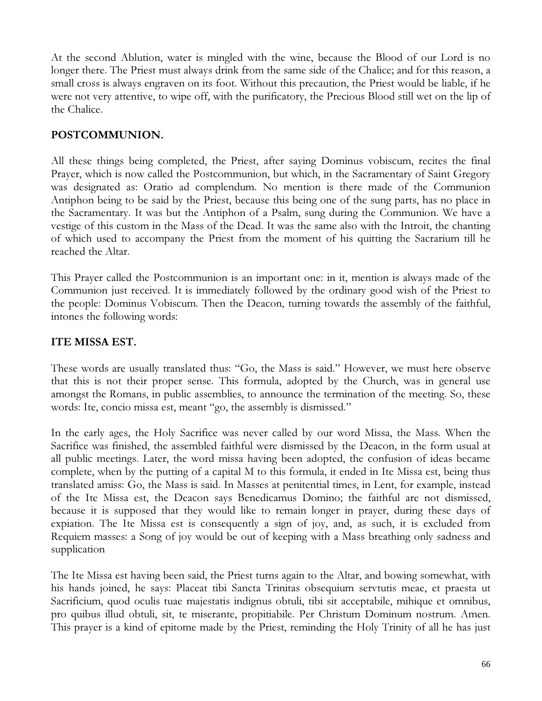At the second Ablution, water is mingled with the wine, because the Blood of our Lord is no longer there. The Priest must always drink from the same side of the Chalice; and for this reason, a small cross is always engraven on its foot. Without this precaution, the Priest would be liable, if he were not very attentive, to wipe off, with the purificatory, the Precious Blood still wet on the lip of the Chalice.

## POSTCOMMUNION.

All these things being completed, the Priest, after saying Dominus vobiscum, recites the final Prayer, which is now called the Postcommunion, but which, in the Sacramentary of Saint Gregory was designated as: Oratio ad complendum. No mention is there made of the Communion Antiphon being to be said by the Priest, because this being one of the sung parts, has no place in the Sacramentary. It was but the Antiphon of a Psalm, sung during the Communion. We have a vestige of this custom in the Mass of the Dead. It was the same also with the Introit, the chanting of which used to accompany the Priest from the moment of his quitting the Sacrarium till he reached the Altar.

This Prayer called the Postcommunion is an important one: in it, mention is always made of the Communion just received. It is immediately followed by the ordinary good wish of the Priest to the people: Dominus Vobiscum. Then the Deacon, turning towards the assembly of the faithful, intones the following words:

## ITE MISSA EST.

These words are usually translated thus: "Go, the Mass is said." However, we must here observe that this is not their proper sense. This formula, adopted by the Church, was in general use amongst the Romans, in public assemblies, to announce the termination of the meeting. So, these words: Ite, concio missa est, meant "go, the assembly is dismissed."

In the early ages, the Holy Sacrifice was never called by our word Missa, the Mass. When the Sacrifice was finished, the assembled faithful were dismissed by the Deacon, in the form usual at all public meetings. Later, the word missa having been adopted, the confusion of ideas became complete, when by the putting of a capital M to this formula, it ended in Ite Missa est, being thus translated amiss: Go, the Mass is said. In Masses at penitential times, in Lent, for example, instead of the Ite Missa est, the Deacon says Benedicamus Domino; the faithful are not dismissed, because it is supposed that they would like to remain longer in prayer, during these days of expiation. The Ite Missa est is consequently a sign of joy, and, as such, it is excluded from Requiem masses: a Song of joy would be out of keeping with a Mass breathing only sadness and supplication

The Ite Missa est having been said, the Priest turns again to the Altar, and bowing somewhat, with his hands joined, he says: Placeat tibi Sancta Trinitas obsequium servtutis meae, et praesta ut Sacrificium, quod oculis tuae majestatis indignus obtuli, tibi sit acceptabile, mihique et omnibus, pro quibus illud obtuli, sit, te miserante, propitiabile. Per Christum Dominum nostrum. Amen. This prayer is a kind of epitome made by the Priest, reminding the Holy Trinity of all he has just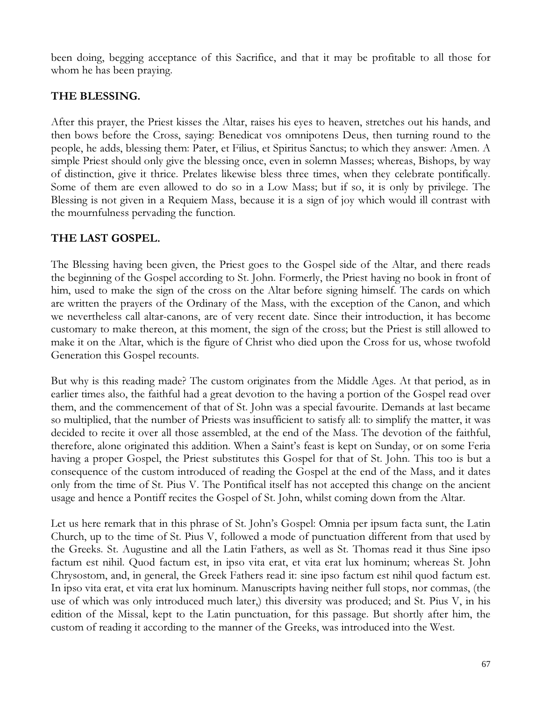been doing, begging acceptance of this Sacrifice, and that it may be profitable to all those for whom he has been praying.

## THE BLESSING.

After this prayer, the Priest kisses the Altar, raises his eyes to heaven, stretches out his hands, and then bows before the Cross, saying: Benedicat vos omnipotens Deus, then turning round to the people, he adds, blessing them: Pater, et Filius, et Spiritus Sanctus; to which they answer: Amen. A simple Priest should only give the blessing once, even in solemn Masses; whereas, Bishops, by way of distinction, give it thrice. Prelates likewise bless three times, when they celebrate pontifically. Some of them are even allowed to do so in a Low Mass; but if so, it is only by privilege. The Blessing is not given in a Requiem Mass, because it is a sign of joy which would ill contrast with the mournfulness pervading the function.

## THE LAST GOSPEL.

The Blessing having been given, the Priest goes to the Gospel side of the Altar, and there reads the beginning of the Gospel according to St. John. Formerly, the Priest having no book in front of him, used to make the sign of the cross on the Altar before signing himself. The cards on which are written the prayers of the Ordinary of the Mass, with the exception of the Canon, and which we nevertheless call altar-canons, are of very recent date. Since their introduction, it has become customary to make thereon, at this moment, the sign of the cross; but the Priest is still allowed to make it on the Altar, which is the figure of Christ who died upon the Cross for us, whose twofold Generation this Gospel recounts.

But why is this reading made? The custom originates from the Middle Ages. At that period, as in earlier times also, the faithful had a great devotion to the having a portion of the Gospel read over them, and the commencement of that of St. John was a special favourite. Demands at last became so multiplied, that the number of Priests was insufficient to satisfy all: to simplify the matter, it was decided to recite it over all those assembled, at the end of the Mass. The devotion of the faithful, therefore, alone originated this addition. When a Saint's feast is kept on Sunday, or on some Feria having a proper Gospel, the Priest substitutes this Gospel for that of St. John. This too is but a consequence of the custom introduced of reading the Gospel at the end of the Mass, and it dates only from the time of St. Pius V. The Pontifical itself has not accepted this change on the ancient usage and hence a Pontiff recites the Gospel of St. John, whilst coming down from the Altar.

Let us here remark that in this phrase of St. John's Gospel: Omnia per ipsum facta sunt, the Latin Church, up to the time of St. Pius V, followed a mode of punctuation different from that used by the Greeks. St. Augustine and all the Latin Fathers, as well as St. Thomas read it thus Sine ipso factum est nihil. Quod factum est, in ipso vita erat, et vita erat lux hominum; whereas St. John Chrysostom, and, in general, the Greek Fathers read it: sine ipso factum est nihil quod factum est. In ipso vita erat, et vita erat lux hominum. Manuscripts having neither full stops, nor commas, (the use of which was only introduced much later,) this diversity was produced; and St. Pius V, in his edition of the Missal, kept to the Latin punctuation, for this passage. But shortly after him, the custom of reading it according to the manner of the Greeks, was introduced into the West.